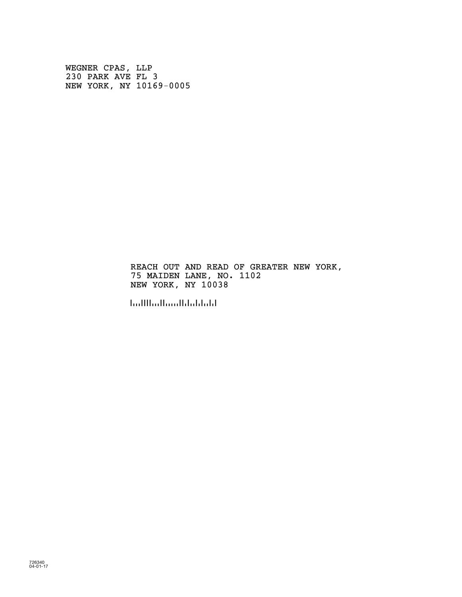WEGNER CPAS, LLP 230 PARK AVE FL 3 NEW YORK, NY 10169-0005

> REACH OUT AND READ OF GREATER NEW YORK, 75 MAIDEN LANE, NO. 1102 NEW YORK, NY 10038

!100388!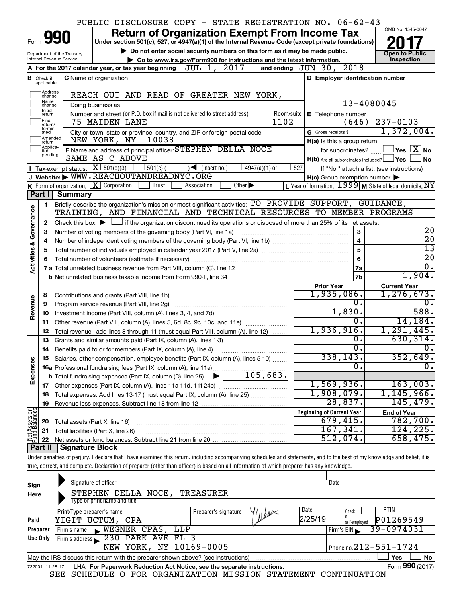|                         |                               |                                | PUBLIC DISCLOSURE COPY - STATE REGISTRATION NO. 06-62-43                                                                                                                                                         |                 |                                                     |  |                                                         |
|-------------------------|-------------------------------|--------------------------------|------------------------------------------------------------------------------------------------------------------------------------------------------------------------------------------------------------------|-----------------|-----------------------------------------------------|--|---------------------------------------------------------|
|                         |                               | 990                            | <b>Return of Organization Exempt From Income Tax</b>                                                                                                                                                             |                 |                                                     |  | OMB No. 1545-0047                                       |
| Form                    |                               |                                | Under section 501(c), 527, or 4947(a)(1) of the Internal Revenue Code (except private foundations)                                                                                                               |                 |                                                     |  |                                                         |
|                         |                               | Department of the Treasury     | Do not enter social security numbers on this form as it may be made public.                                                                                                                                      |                 |                                                     |  | <b>Open to Public</b>                                   |
|                         |                               | Internal Revenue Service       | Go to www.irs.gov/Form990 for instructions and the latest information.<br>JUL 1, 2017<br>and ending $JUN$ 30,<br>A For the 2017 calendar year, or tax year beginning                                             |                 | 2018                                                |  | Inspection                                              |
|                         |                               |                                |                                                                                                                                                                                                                  |                 |                                                     |  |                                                         |
|                         | <b>B</b> Check if applicable: |                                | <b>C</b> Name of organization                                                                                                                                                                                    |                 | D Employer identification number                    |  |                                                         |
|                         | Address<br> change            |                                | REACH OUT AND READ OF GREATER NEW YORK,                                                                                                                                                                          |                 |                                                     |  |                                                         |
|                         | Name<br>change                |                                | Doing business as                                                                                                                                                                                                |                 |                                                     |  | 13-4080045                                              |
|                         | Ilnitial<br>return            |                                | Number and street (or P.O. box if mail is not delivered to street address)                                                                                                                                       | Room/suite      | E Telephone number                                  |  |                                                         |
|                         | Final<br>lreturn/             |                                | 1102<br>75 MAIDEN LANE                                                                                                                                                                                           |                 | (646)                                               |  | $237 - 0103$                                            |
|                         | termin-<br>ated               |                                | City or town, state or province, country, and ZIP or foreign postal code                                                                                                                                         |                 | G Gross receipts \$                                 |  | 1,372,004.                                              |
|                         | Amended<br>Ireturn            |                                | 10038<br>NEW YORK, NY                                                                                                                                                                                            |                 | H(a) Is this a group return                         |  |                                                         |
|                         | Applica-<br>tion              |                                | F Name and address of principal officer: STEPHEN DELLA NOCE                                                                                                                                                      |                 | for subordinates?                                   |  | $\sqrt{}$ Yes $\sqrt{ \text{X}}$ No                     |
|                         | pending                       |                                | SAME AS C ABOVE                                                                                                                                                                                                  |                 | $H(b)$ Are all subordinates included? $\Box$ Yes    |  | l No                                                    |
|                         |                               |                                | Tax-exempt status: $X \overline{X}$ 501(c)(3)<br>$\vert$ 501(c) (<br>$\bigcup$ (insert no.)<br>$4947(a)(1)$ or                                                                                                   | 527             |                                                     |  | If "No," attach a list. (see instructions)              |
|                         |                               |                                | J Website: WWW.REACHOUTANDREADNYC.ORG                                                                                                                                                                            |                 | $H(c)$ Group exemption number $\blacktriangleright$ |  |                                                         |
|                         |                               |                                | K Form of organization: $X$ Corporation<br>Other $\blacktriangleright$<br>Trust<br>Association                                                                                                                   |                 |                                                     |  | L Year of formation: 1999 M State of legal domicile: NY |
|                         | Part I                        | <b>Summary</b>                 |                                                                                                                                                                                                                  |                 |                                                     |  |                                                         |
|                         | 1                             |                                | Briefly describe the organization's mission or most significant activities: TO PROVIDE SUPPORT, GUIDANCE,<br>TRAINING, AND FINANCIAL AND TECHNICAL RESOURCES TO MEMBER PROGRAMS                                  |                 |                                                     |  |                                                         |
|                         |                               |                                |                                                                                                                                                                                                                  |                 |                                                     |  |                                                         |
| Governance              | 2                             |                                | Check this box $\blacktriangleright$ $\Box$ if the organization discontinued its operations or disposed of more than 25% of its net assets.<br>Number of voting members of the governing body (Part VI, line 1a) |                 |                                                     |  | 20                                                      |
|                         | 3<br>4                        |                                |                                                                                                                                                                                                                  |                 | 3<br>$\overline{\mathbf{4}}$                        |  | $\overline{20}$                                         |
|                         | 5                             |                                | 5                                                                                                                                                                                                                | $\overline{13}$ |                                                     |  |                                                         |
|                         | 6                             |                                |                                                                                                                                                                                                                  |                 | $\bf 6$                                             |  | $\overline{20}$                                         |
| <b>Activities &amp;</b> |                               |                                |                                                                                                                                                                                                                  |                 | 7a                                                  |  | $\overline{0}$ .                                        |
|                         |                               |                                |                                                                                                                                                                                                                  |                 | 7 <sub>b</sub>                                      |  | 1,904.                                                  |
|                         |                               |                                |                                                                                                                                                                                                                  |                 | <b>Prior Year</b>                                   |  | <b>Current Year</b>                                     |
|                         | 8                             |                                |                                                                                                                                                                                                                  |                 | 1,935,086.                                          |  | 1, 276, 673.                                            |
| Revenue                 | 9                             |                                | Program service revenue (Part VIII, line 2g)                                                                                                                                                                     |                 | 0.                                                  |  | 0.                                                      |
|                         | 10                            |                                |                                                                                                                                                                                                                  |                 | 1,830.                                              |  | 588.                                                    |
|                         | 11                            |                                | Other revenue (Part VIII, column (A), lines 5, 6d, 8c, 9c, 10c, and 11e)                                                                                                                                         |                 | 0.                                                  |  | 14, 184.                                                |
|                         | 12                            |                                | Total revenue - add lines 8 through 11 (must equal Part VIII, column (A), line 12)                                                                                                                               |                 | 1,936,916.                                          |  | 1, 291, 445.                                            |
|                         | 13                            |                                | Grants and similar amounts paid (Part IX, column (A), lines 1-3)                                                                                                                                                 |                 | 0.<br>σ.                                            |  | 630, 314.                                               |
|                         | 14                            |                                |                                                                                                                                                                                                                  |                 |                                                     |  | 0.                                                      |
|                         |                               |                                | Salaries, other compensation, employee benefits (Part IX, column (A), lines 5-10)                                                                                                                                |                 | 338,143.<br>$\overline{0}$                          |  | 352,649.<br>σ.                                          |
| Expenses                |                               |                                |                                                                                                                                                                                                                  |                 |                                                     |  |                                                         |
|                         |                               |                                |                                                                                                                                                                                                                  |                 | 1,569,936.                                          |  | 163,003.                                                |
|                         | 18                            |                                | Total expenses. Add lines 13-17 (must equal Part IX, column (A), line 25) <i></i>                                                                                                                                |                 | 1,908,079.                                          |  | 1, 145, 966.                                            |
|                         | 19                            |                                |                                                                                                                                                                                                                  |                 | 28,837.                                             |  | 145,479.                                                |
|                         |                               |                                |                                                                                                                                                                                                                  |                 | <b>Beginning of Current Year</b>                    |  | <b>End of Year</b>                                      |
| Net Assets or           | 20                            | Total assets (Part X, line 16) |                                                                                                                                                                                                                  |                 | 679,415.                                            |  | 782,700.                                                |
|                         | 21                            |                                | Total liabilities (Part X, line 26)                                                                                                                                                                              |                 | 167, 341.                                           |  | 124, 225.                                               |
|                         | 22                            |                                |                                                                                                                                                                                                                  |                 | 512,074.                                            |  | 658,475.                                                |
|                         | Part II                       | <b>Signature Block</b>         |                                                                                                                                                                                                                  |                 |                                                     |  |                                                         |
|                         |                               |                                | Under penalties of perjury, I declare that I have examined this return, including accompanying schedules and statements, and to the best of my knowledge and belief, it is                                       |                 |                                                     |  |                                                         |
|                         |                               |                                | true, correct, and complete. Declaration of preparer (other than officer) is based on all information of which preparer has any knowledge.                                                                       |                 |                                                     |  |                                                         |
|                         |                               |                                |                                                                                                                                                                                                                  |                 |                                                     |  |                                                         |

| Sign<br>Here | Signature of officer<br>TREASURER<br>STEPHEN DELLA NOCE,<br>Type or print name and title                     | Date                                               |  |  |  |  |  |  |  |  |
|--------------|--------------------------------------------------------------------------------------------------------------|----------------------------------------------------|--|--|--|--|--|--|--|--|
| Paid         | Date<br>Print/Type preparer's name<br>Preparer's signature<br>$n$ <i>br</i><br>2/25/19<br>YIGIT UCTUM, CPA   | <b>PTIN</b><br>Check<br>P01269549<br>self-employed |  |  |  |  |  |  |  |  |
| Preparer     | WEGNER CPAS, LLP<br>Firm's name<br>$\mathbf{R}$                                                              | 39-0974031<br>Firm's EIN                           |  |  |  |  |  |  |  |  |
| Use Only     | Firm's address 230 PARK AVE FL 3                                                                             |                                                    |  |  |  |  |  |  |  |  |
|              | NEW YORK, NY 10169-0005                                                                                      | Phone no. $212 - 551 - 1724$                       |  |  |  |  |  |  |  |  |
|              | <b>No</b><br>Yes<br>May the IRS discuss this return with the preparer shown above? (see instructions)        |                                                    |  |  |  |  |  |  |  |  |
|              | Form 990 (2017)<br>LHA For Paperwork Reduction Act Notice, see the separate instructions.<br>732001 11-28-17 |                                                    |  |  |  |  |  |  |  |  |

SEE SCHEDULE O FOR ORGANIZATION MISSION STATEMENT CONTINUATION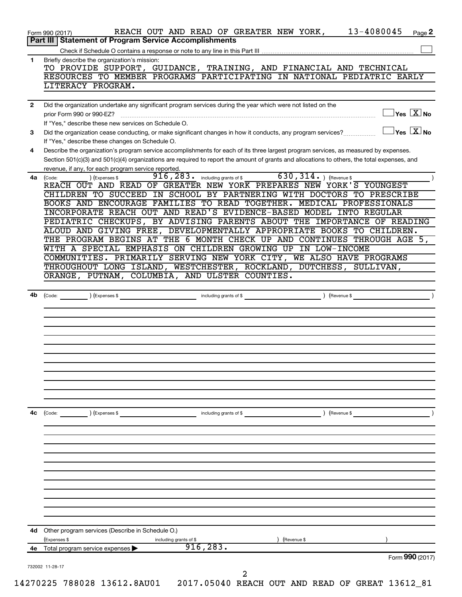| 4е           | Total program service expenses<br>Form 990 (2017)                                                                                                                                                            |
|--------------|--------------------------------------------------------------------------------------------------------------------------------------------------------------------------------------------------------------|
|              | 916, 283.                                                                                                                                                                                                    |
| 4d           | Other program services (Describe in Schedule O.)<br>(Expenses \$<br>including grants of \$<br>) (Revenue \$                                                                                                  |
|              |                                                                                                                                                                                                              |
|              |                                                                                                                                                                                                              |
|              |                                                                                                                                                                                                              |
|              |                                                                                                                                                                                                              |
|              |                                                                                                                                                                                                              |
| 4c           | including grants of \$ (Revenue \$)<br>(Code:<br>) (Expenses \$                                                                                                                                              |
|              |                                                                                                                                                                                                              |
|              |                                                                                                                                                                                                              |
|              |                                                                                                                                                                                                              |
|              |                                                                                                                                                                                                              |
|              |                                                                                                                                                                                                              |
| 4b           | including grants of \$<br>) (Revenue \$<br>(Code: ) (Expenses \$                                                                                                                                             |
|              | ORANGE, PUTNAM, COLUMBIA, AND ULSTER COUNTIES.                                                                                                                                                               |
|              | COMMUNITIES. PRIMARILY SERVING NEW YORK CITY, WE ALSO HAVE PROGRAMS<br>THROUGHOUT LONG ISLAND, WESTCHESTER, ROCKLAND, DUTCHESS, SULLIVAN,                                                                    |
|              | WITH A SPECIAL EMPHASIS ON CHILDREN GROWING UP IN LOW-INCOME                                                                                                                                                 |
|              | ALOUD AND GIVING FREE, DEVELOPMENTALLY APPROPRIATE BOOKS TO CHILDREN.<br>THE PROGRAM BEGINS AT THE 6 MONTH CHECK UP AND CONTINUES THROUGH AGE 5,                                                             |
|              | PEDIATRIC CHECKUPS, BY ADVISING PARENTS ABOUT THE IMPORTANCE OF READING                                                                                                                                      |
|              | BOOKS AND ENCOURAGE FAMILIES TO READ TOGETHER. MEDICAL PROFESSIONALS<br>INCORPORATE REACH OUT AND READ'S EVIDENCE-BASED MODEL INTO REGULAR                                                                   |
|              | CHILDREN TO SUCCEED IN SCHOOL BY PARTNERING WITH DOCTORS TO PRESCRIBE                                                                                                                                        |
| 4a           | 916, 283. including grants of \$ 630, 314. ) (Revenue \$<br>(Expenses \$<br>(Code:<br>REACH OUT AND READ OF GREATER NEW YORK PREPARES NEW YORK'S YOUNGEST                                                    |
|              | Section 501(c)(3) and 501(c)(4) organizations are required to report the amount of grants and allocations to others, the total expenses, and<br>revenue, if any, for each program service reported.          |
| 4            | Describe the organization's program service accomplishments for each of its three largest program services, as measured by expenses.                                                                         |
| 3            | $\overline{\ }$ Yes $\overline{\ \ X}$ No<br>Did the organization cease conducting, or make significant changes in how it conducts, any program services?<br>If "Yes," describe these changes on Schedule O. |
|              | $\exists$ Yes $\boxed{\text{X}}$ No<br>prior Form 990 or 990-EZ?<br>If "Yes," describe these new services on Schedule O.                                                                                     |
| $\mathbf{2}$ | Did the organization undertake any significant program services during the year which were not listed on the                                                                                                 |
|              | LITERACY PROGRAM.                                                                                                                                                                                            |
|              | TO PROVIDE SUPPORT, GUIDANCE, TRAINING, AND FINANCIAL AND TECHNICAL<br>RESOURCES TO MEMBER PROGRAMS PARTICIPATING IN NATIONAL PEDIATRIC EARLY                                                                |
|              |                                                                                                                                                                                                              |
| 1            | Briefly describe the organization's mission:                                                                                                                                                                 |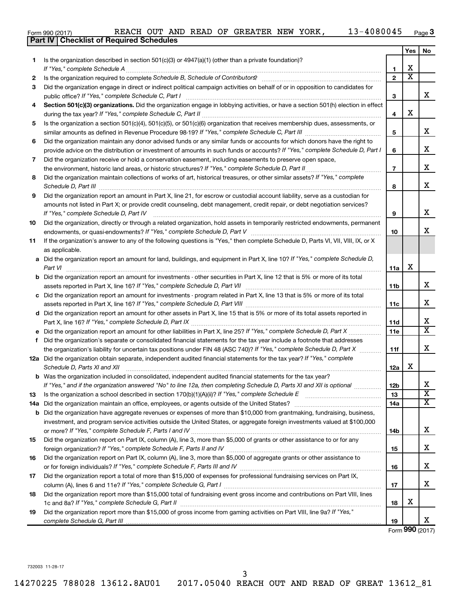|  | Form 990 (2017) |
|--|-----------------|
|  |                 |

|     | <b>Part IV   Checklist of Required Schedules</b>                                                                                                                                                                                                    |                 |                         |                         |
|-----|-----------------------------------------------------------------------------------------------------------------------------------------------------------------------------------------------------------------------------------------------------|-----------------|-------------------------|-------------------------|
|     |                                                                                                                                                                                                                                                     |                 | Yes                     | No.                     |
| 1   | Is the organization described in section $501(c)(3)$ or $4947(a)(1)$ (other than a private foundation)?                                                                                                                                             |                 |                         |                         |
|     |                                                                                                                                                                                                                                                     | 1               | х                       |                         |
| 2   |                                                                                                                                                                                                                                                     | $\overline{2}$  | $\overline{\texttt{x}}$ |                         |
| 3   | Did the organization engage in direct or indirect political campaign activities on behalf of or in opposition to candidates for                                                                                                                     |                 |                         |                         |
|     |                                                                                                                                                                                                                                                     | 3               |                         | x                       |
| 4   | Section 501(c)(3) organizations. Did the organization engage in lobbying activities, or have a section 501(h) election in effect                                                                                                                    |                 |                         |                         |
|     |                                                                                                                                                                                                                                                     | 4               | х                       |                         |
| 5   | Is the organization a section 501(c)(4), 501(c)(5), or 501(c)(6) organization that receives membership dues, assessments, or                                                                                                                        |                 |                         |                         |
|     |                                                                                                                                                                                                                                                     | 5               |                         | x                       |
| 6   | Did the organization maintain any donor advised funds or any similar funds or accounts for which donors have the right to                                                                                                                           |                 |                         |                         |
|     | provide advice on the distribution or investment of amounts in such funds or accounts? If "Yes," complete Schedule D, Part I                                                                                                                        | 6               |                         | x                       |
| 7   | Did the organization receive or hold a conservation easement, including easements to preserve open space,                                                                                                                                           |                 |                         |                         |
|     |                                                                                                                                                                                                                                                     | $\overline{7}$  |                         | x                       |
| 8   | Did the organization maintain collections of works of art, historical treasures, or other similar assets? If "Yes," complete                                                                                                                        |                 |                         |                         |
|     | Schedule D, Part III <b>Marting Constructs</b> 2014 11 2014 12:00 12:00 12:00 12:00 12:00 12:00 12:00 12:00 12:00 12:00 12:00 12:00 12:00 12:00 12:00 12:00 12:00 12:00 12:00 12:00 12:00 12:00 12:00 12:00 12:00 12:00 12:00 12:00                 | 8               |                         | x                       |
| 9   | Did the organization report an amount in Part X, line 21, for escrow or custodial account liability, serve as a custodian for                                                                                                                       |                 |                         |                         |
|     | amounts not listed in Part X; or provide credit counseling, debt management, credit repair, or debt negotiation services?                                                                                                                           |                 |                         |                         |
|     |                                                                                                                                                                                                                                                     | 9               |                         | x                       |
| 10  | Did the organization, directly or through a related organization, hold assets in temporarily restricted endowments, permanent                                                                                                                       |                 |                         |                         |
|     |                                                                                                                                                                                                                                                     | 10              |                         | x                       |
| 11  | If the organization's answer to any of the following questions is "Yes," then complete Schedule D, Parts VI, VII, VIII, IX, or X                                                                                                                    |                 |                         |                         |
|     | as applicable.                                                                                                                                                                                                                                      |                 |                         |                         |
|     | a Did the organization report an amount for land, buildings, and equipment in Part X, line 10? If "Yes," complete Schedule D,                                                                                                                       |                 |                         |                         |
|     | Part VI                                                                                                                                                                                                                                             | 11a             | X                       |                         |
|     | <b>b</b> Did the organization report an amount for investments - other securities in Part X, line 12 that is 5% or more of its total                                                                                                                |                 |                         |                         |
|     | assets reported in Part X, line 16? If "Yes," complete Schedule D, Part VII [11] [11] [12] [12] [12] [12] [12] [                                                                                                                                    | 11 <sub>b</sub> |                         | x                       |
|     | c Did the organization report an amount for investments - program related in Part X, line 13 that is 5% or more of its total                                                                                                                        |                 |                         |                         |
|     |                                                                                                                                                                                                                                                     | 11c             |                         | x                       |
|     | d Did the organization report an amount for other assets in Part X, line 15 that is 5% or more of its total assets reported in                                                                                                                      |                 |                         |                         |
|     |                                                                                                                                                                                                                                                     | 11d             |                         | x                       |
|     |                                                                                                                                                                                                                                                     | 11e             |                         | $\overline{\texttt{x}}$ |
| f   |                                                                                                                                                                                                                                                     |                 |                         |                         |
|     | Did the organization's separate or consolidated financial statements for the tax year include a footnote that addresses<br>the organization's liability for uncertain tax positions under FIN 48 (ASC 740)? If "Yes," complete Schedule D, Part X   | 11f             |                         | x                       |
|     | 12a Did the organization obtain separate, independent audited financial statements for the tax year? If "Yes," complete                                                                                                                             |                 |                         |                         |
|     | Schedule D, Parts XI and XII                                                                                                                                                                                                                        | 12a             | х                       |                         |
|     |                                                                                                                                                                                                                                                     |                 |                         |                         |
|     | <b>b</b> Was the organization included in consolidated, independent audited financial statements for the tax year?<br>If "Yes," and if the organization answered "No" to line 12a, then completing Schedule D, Parts XI and XII is optional <i></i> | 12b             |                         | x                       |
| 13  |                                                                                                                                                                                                                                                     | 13              |                         | $\overline{\texttt{x}}$ |
| 14a |                                                                                                                                                                                                                                                     | 14a             |                         | $\overline{\texttt{x}}$ |
|     | <b>b</b> Did the organization have aggregate revenues or expenses of more than \$10,000 from grantmaking, fundraising, business,                                                                                                                    |                 |                         |                         |
|     | investment, and program service activities outside the United States, or aggregate foreign investments valued at \$100,000                                                                                                                          |                 |                         |                         |
|     |                                                                                                                                                                                                                                                     | 14b             |                         | x                       |
| 15  | Did the organization report on Part IX, column (A), line 3, more than \$5,000 of grants or other assistance to or for any                                                                                                                           |                 |                         |                         |
|     |                                                                                                                                                                                                                                                     | 15              |                         | x                       |
| 16  | Did the organization report on Part IX, column (A), line 3, more than \$5,000 of aggregate grants or other assistance to                                                                                                                            |                 |                         |                         |
|     |                                                                                                                                                                                                                                                     | 16              |                         | x                       |
| 17  | Did the organization report a total of more than \$15,000 of expenses for professional fundraising services on Part IX,                                                                                                                             |                 |                         |                         |
|     |                                                                                                                                                                                                                                                     | 17              |                         | x                       |
| 18  | Did the organization report more than \$15,000 total of fundraising event gross income and contributions on Part VIII. lines                                                                                                                        |                 |                         |                         |
|     |                                                                                                                                                                                                                                                     |                 | х                       |                         |
|     | Did the organization report more than \$15,000 of gross income from gaming activities on Part VIII, line 9a? If "Yes,"                                                                                                                              | 18              |                         |                         |
| 19  |                                                                                                                                                                                                                                                     |                 |                         | x                       |
|     |                                                                                                                                                                                                                                                     | 19              |                         |                         |

Form (2017) **990**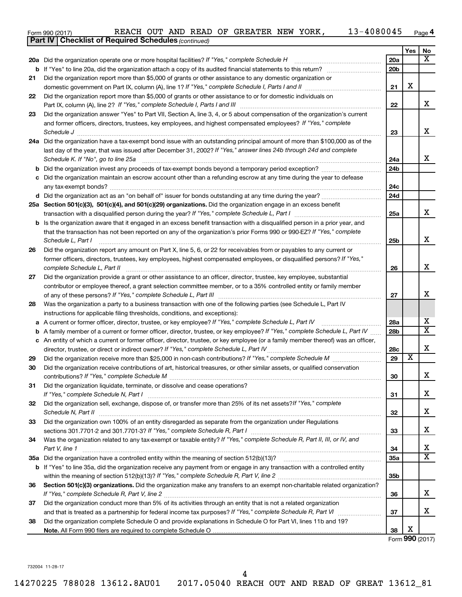| Form 990 (2017) |  |  |  |  |  | REACH OUT AND READ OF GREATER NEW YORK, |  |  | 13-4080045 | Page |
|-----------------|--|--|--|--|--|-----------------------------------------|--|--|------------|------|
|-----------------|--|--|--|--|--|-----------------------------------------|--|--|------------|------|

|    | <b>Part IV   Checklist of Required Schedules (continued)</b>                                                                        |                 |                         |                         |
|----|-------------------------------------------------------------------------------------------------------------------------------------|-----------------|-------------------------|-------------------------|
|    |                                                                                                                                     |                 | Yes                     | No                      |
|    | 20a Did the organization operate one or more hospital facilities? If "Yes," complete Schedule H                                     | 20a             |                         | $\overline{\text{X}}$   |
|    |                                                                                                                                     | 20 <sub>b</sub> |                         |                         |
| 21 | Did the organization report more than \$5,000 of grants or other assistance to any domestic organization or                         |                 |                         |                         |
|    |                                                                                                                                     | 21              | X                       |                         |
| 22 | Did the organization report more than \$5,000 of grants or other assistance to or for domestic individuals on                       |                 |                         |                         |
|    |                                                                                                                                     | 22              |                         | x                       |
| 23 | Did the organization answer "Yes" to Part VII, Section A, line 3, 4, or 5 about compensation of the organization's current          |                 |                         |                         |
|    | and former officers, directors, trustees, key employees, and highest compensated employees? If "Yes," complete                      |                 |                         |                         |
|    | Schedule J <b>Execute Schedule J Execute Schedule J</b>                                                                             | 23              |                         | x                       |
|    | 24a Did the organization have a tax-exempt bond issue with an outstanding principal amount of more than \$100,000 as of the         |                 |                         |                         |
|    | last day of the year, that was issued after December 31, 2002? If "Yes," answer lines 24b through 24d and complete                  |                 |                         |                         |
|    | Schedule K. If "No", go to line 25a                                                                                                 | 24a             |                         | x                       |
| b  |                                                                                                                                     | 24 <sub>b</sub> |                         |                         |
|    | Did the organization maintain an escrow account other than a refunding escrow at any time during the year to defease                |                 |                         |                         |
|    |                                                                                                                                     | 24c             |                         |                         |
|    |                                                                                                                                     | 24d             |                         |                         |
|    | 25a Section 501(c)(3), 501(c)(4), and 501(c)(29) organizations. Did the organization engage in an excess benefit                    |                 |                         |                         |
|    |                                                                                                                                     | 25a             |                         | x                       |
|    | <b>b</b> Is the organization aware that it engaged in an excess benefit transaction with a disqualified person in a prior year, and |                 |                         |                         |
|    | that the transaction has not been reported on any of the organization's prior Forms 990 or 990-EZ? If "Yes," complete               |                 |                         |                         |
|    | Schedule L, Part I                                                                                                                  | 25b             |                         | x                       |
| 26 | Did the organization report any amount on Part X, line 5, 6, or 22 for receivables from or payables to any current or               |                 |                         |                         |
|    | former officers, directors, trustees, key employees, highest compensated employees, or disqualified persons? If "Yes,"              |                 |                         |                         |
|    | complete Schedule L, Part II                                                                                                        | 26              |                         | x                       |
| 27 | Did the organization provide a grant or other assistance to an officer, director, trustee, key employee, substantial                |                 |                         |                         |
|    | contributor or employee thereof, a grant selection committee member, or to a 35% controlled entity or family member                 |                 |                         |                         |
|    |                                                                                                                                     | 27              |                         | x                       |
| 28 | Was the organization a party to a business transaction with one of the following parties (see Schedule L, Part IV                   |                 |                         |                         |
|    | instructions for applicable filing thresholds, conditions, and exceptions):                                                         |                 |                         |                         |
| а  | A current or former officer, director, trustee, or key employee? If "Yes," complete Schedule L, Part IV                             | 28a             |                         | x                       |
| b  | A family member of a current or former officer, director, trustee, or key employee? If "Yes," complete Schedule L, Part IV          | 28 <sub>b</sub> |                         | $\overline{\text{X}}$   |
|    | c An entity of which a current or former officer, director, trustee, or key employee (or a family member thereof) was an officer,   |                 |                         |                         |
|    | director, trustee, or direct or indirect owner? If "Yes," complete Schedule L, Part IV                                              | 28c             | $\overline{\textbf{x}}$ | х                       |
| 29 |                                                                                                                                     | 29              |                         |                         |
| 30 | Did the organization receive contributions of art, historical treasures, or other similar assets, or qualified conservation         |                 |                         |                         |
|    |                                                                                                                                     | 30              |                         | 4                       |
| 31 | Did the organization liquidate, terminate, or dissolve and cease operations?                                                        | 31              |                         | x                       |
| 32 | Did the organization sell, exchange, dispose of, or transfer more than 25% of its net assets?/f "Yes," complete                     |                 |                         |                         |
|    |                                                                                                                                     | 32              |                         | x                       |
| 33 | Did the organization own 100% of an entity disregarded as separate from the organization under Regulations                          |                 |                         |                         |
|    |                                                                                                                                     | 33              |                         | x                       |
| 34 | Was the organization related to any tax-exempt or taxable entity? If "Yes," complete Schedule R, Part II, III, or IV, and           |                 |                         |                         |
|    | Part V, line 1                                                                                                                      | 34              |                         | x                       |
|    |                                                                                                                                     | 35a             |                         | $\overline{\mathtt{x}}$ |
|    | b If "Yes" to line 35a, did the organization receive any payment from or engage in any transaction with a controlled entity         |                 |                         |                         |
|    |                                                                                                                                     | 35 <sub>b</sub> |                         |                         |
| 36 | Section 501(c)(3) organizations. Did the organization make any transfers to an exempt non-charitable related organization?          |                 |                         |                         |
|    |                                                                                                                                     | 36              |                         | x                       |
| 37 | Did the organization conduct more than 5% of its activities through an entity that is not a related organization                    |                 |                         |                         |
|    |                                                                                                                                     | 37              |                         | x                       |
| 38 | Did the organization complete Schedule O and provide explanations in Schedule O for Part VI, lines 11b and 19?                      |                 |                         |                         |
|    |                                                                                                                                     | 38              | X                       |                         |

Form (2017) **990**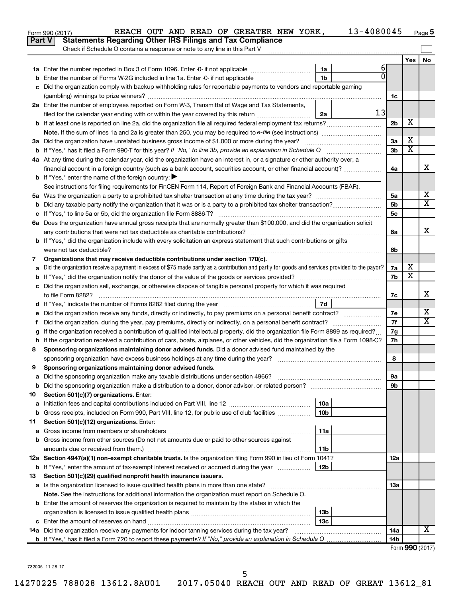|               | 13-4080045<br>REACH OUT AND READ OF GREATER NEW YORK,<br>Form 990 (2017)                                                                        |                 |                         | Page 5 |
|---------------|-------------------------------------------------------------------------------------------------------------------------------------------------|-----------------|-------------------------|--------|
| <b>Part V</b> | <b>Statements Regarding Other IRS Filings and Tax Compliance</b>                                                                                |                 |                         |        |
|               | Check if Schedule O contains a response or note to any line in this Part V                                                                      |                 |                         |        |
|               |                                                                                                                                                 |                 | Yes                     | No     |
|               | 61<br>1a                                                                                                                                        |                 |                         |        |
| b             | $\overline{0}$<br>1 <sub>b</sub><br>Enter the number of Forms W-2G included in line 1a. Enter -0- if not applicable                             |                 |                         |        |
| c             | Did the organization comply with backup withholding rules for reportable payments to vendors and reportable gaming                              |                 |                         |        |
|               |                                                                                                                                                 | 1c              |                         |        |
|               | 2a Enter the number of employees reported on Form W-3, Transmittal of Wage and Tax Statements,                                                  |                 |                         |        |
|               | 13<br>filed for the calendar year ending with or within the year covered by this return<br>2a                                                   |                 |                         |        |
|               |                                                                                                                                                 | 2 <sub>b</sub>  | X                       |        |
|               |                                                                                                                                                 |                 |                         |        |
|               |                                                                                                                                                 | 3a              | х                       |        |
|               |                                                                                                                                                 | 3 <sub>b</sub>  | $\overline{\mathbf{X}}$ |        |
|               | 4a At any time during the calendar year, did the organization have an interest in, or a signature or other authority over, a                    |                 |                         |        |
|               | financial account in a foreign country (such as a bank account, securities account, or other financial account)?                                | 4a              |                         | X      |
|               | <b>b</b> If "Yes," enter the name of the foreign country: $\blacktriangleright$                                                                 |                 |                         |        |
|               | See instructions for filing requirements for FinCEN Form 114, Report of Foreign Bank and Financial Accounts (FBAR).                             |                 |                         |        |
|               |                                                                                                                                                 | 5a              |                         | х      |
| b             |                                                                                                                                                 | 5 <sub>b</sub>  |                         | X      |
|               |                                                                                                                                                 | 5c              |                         |        |
|               | 6a Does the organization have annual gross receipts that are normally greater than \$100,000, and did the organization solicit                  |                 |                         |        |
|               |                                                                                                                                                 | 6a              |                         | X      |
|               | b If "Yes," did the organization include with every solicitation an express statement that such contributions or gifts                          |                 |                         |        |
|               |                                                                                                                                                 | 6b              |                         |        |
| 7             | Organizations that may receive deductible contributions under section 170(c).                                                                   |                 |                         |        |
| a             | Did the organization receive a payment in excess of \$75 made partly as a contribution and partly for goods and services provided to the payor? | 7a              | х                       |        |
| b             |                                                                                                                                                 | 7b              | $\overline{\mathbf{X}}$ |        |
|               | c Did the organization sell, exchange, or otherwise dispose of tangible personal property for which it was required                             |                 |                         |        |
|               |                                                                                                                                                 | 7с              |                         | х      |
|               | 7d                                                                                                                                              |                 |                         |        |
|               |                                                                                                                                                 | 7e              |                         | х      |
| Ť.            | Did the organization, during the year, pay premiums, directly or indirectly, on a personal benefit contract?                                    | 7f              |                         | X      |
| g             | If the organization received a contribution of qualified intellectual property, did the organization file Form 8899 as required?                | 7g              |                         |        |
|               | h If the organization received a contribution of cars, boats, airplanes, or other vehicles, did the organization file a Form 1098-C?            | 7h              |                         |        |
| 8             | Sponsoring organizations maintaining donor advised funds. Did a donor advised fund maintained by the                                            |                 |                         |        |
|               |                                                                                                                                                 | 8               |                         |        |
|               | Sponsoring organizations maintaining donor advised funds.                                                                                       |                 |                         |        |
| а             | Did the sponsoring organization make any taxable distributions under section 4966?                                                              | 9а              |                         |        |
| b             | Did the sponsoring organization make a distribution to a donor, donor advisor, or related person?                                               | 9b              |                         |        |
| 10            | Section 501(c)(7) organizations. Enter:                                                                                                         |                 |                         |        |
| a             | 10a                                                                                                                                             |                 |                         |        |
| b             | 10 <sub>b</sub><br>Gross receipts, included on Form 990, Part VIII, line 12, for public use of club facilities                                  |                 |                         |        |
| 11            | Section 501(c)(12) organizations. Enter:                                                                                                        |                 |                         |        |
| а             | 11a                                                                                                                                             |                 |                         |        |
| b             | Gross income from other sources (Do not net amounts due or paid to other sources against                                                        |                 |                         |        |
|               | amounts due or received from them.)<br>11b                                                                                                      |                 |                         |        |
|               | 12a Section 4947(a)(1) non-exempt charitable trusts. Is the organization filing Form 990 in lieu of Form 1041?                                  | 12a             |                         |        |
|               | <b>b</b> If "Yes," enter the amount of tax-exempt interest received or accrued during the year<br>12b                                           |                 |                         |        |
| 13            | Section 501(c)(29) qualified nonprofit health insurance issuers.                                                                                |                 |                         |        |
| а             | Is the organization licensed to issue qualified health plans in more than one state?                                                            | 13a             |                         |        |
|               | Note. See the instructions for additional information the organization must report on Schedule O.                                               |                 |                         |        |
|               | <b>b</b> Enter the amount of reserves the organization is required to maintain by the states in which the                                       |                 |                         |        |
|               | 13b                                                                                                                                             |                 |                         |        |
| c             | 13c                                                                                                                                             |                 |                         |        |
|               | 14a Did the organization receive any payments for indoor tanning services during the tax year?                                                  | 14a             |                         | x      |
|               |                                                                                                                                                 | 14 <sub>b</sub> |                         |        |
|               |                                                                                                                                                 |                 | Form 990 (2017)         |        |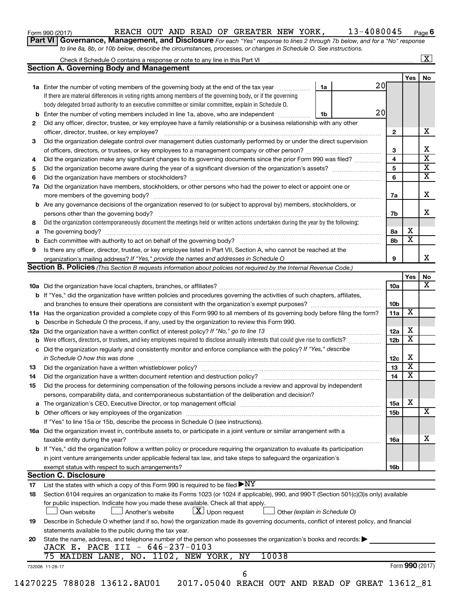| Form 990 (2017) |  |
|-----------------|--|
|-----------------|--|

### Form 990 (2017) **Page 1 REACH OUT AND READ OF GREATER NEW YORK,** 13-4080045  $_{\text{Page}}$

**6**

**Part VI** Governance, Management, and Disclosure For each "Yes" response to lines 2 through 7b below, and for a "No" response *to line 8a, 8b, or 10b below, describe the circumstances, processes, or changes in Schedule O. See instructions.*

|                |                                                                                                                                                                                                                                |    |    |                 |                         | $\mathbf{X}$ |
|----------------|--------------------------------------------------------------------------------------------------------------------------------------------------------------------------------------------------------------------------------|----|----|-----------------|-------------------------|--------------|
|                | <b>Section A. Governing Body and Management</b>                                                                                                                                                                                |    |    |                 |                         |              |
|                |                                                                                                                                                                                                                                |    | 20 |                 | Yes                     | No           |
|                | <b>1a</b> Enter the number of voting members of the governing body at the end of the tax year<br>If there are material differences in voting rights among members of the governing body, or if the governing                   | 1a |    |                 |                         |              |
|                |                                                                                                                                                                                                                                |    |    |                 |                         |              |
|                | body delegated broad authority to an executive committee or similar committee, explain in Schedule O.                                                                                                                          |    | 20 |                 |                         |              |
| b              | Enter the number of voting members included in line 1a, above, who are independent                                                                                                                                             | 1b |    |                 |                         |              |
| 2              | Did any officer, director, trustee, or key employee have a family relationship or a business relationship with any other                                                                                                       |    |    |                 |                         | х            |
|                |                                                                                                                                                                                                                                |    |    | $\mathbf{2}$    |                         |              |
| 3              | Did the organization delegate control over management duties customarily performed by or under the direct supervision                                                                                                          |    |    |                 |                         |              |
|                |                                                                                                                                                                                                                                |    |    | 3               |                         |              |
| 4              | Did the organization make any significant changes to its governing documents since the prior Form 990 was filed?                                                                                                               |    |    | 4               |                         |              |
| 5              |                                                                                                                                                                                                                                |    |    | 5               |                         |              |
| 6              |                                                                                                                                                                                                                                |    |    | 6               |                         |              |
| 7a             | Did the organization have members, stockholders, or other persons who had the power to elect or appoint one or                                                                                                                 |    |    |                 |                         |              |
|                |                                                                                                                                                                                                                                |    |    | 7a              |                         |              |
| b              | Are any governance decisions of the organization reserved to (or subject to approval by) members, stockholders, or                                                                                                             |    |    |                 |                         |              |
|                |                                                                                                                                                                                                                                |    |    | 7b              |                         |              |
| 8              | Did the organization contemporaneously document the meetings held or written actions undertaken during the year by the following:                                                                                              |    |    |                 |                         |              |
| а              |                                                                                                                                                                                                                                |    |    | 8а              | X                       |              |
| b              |                                                                                                                                                                                                                                |    |    | 8b              | $\overline{\mathbf{x}}$ |              |
| 9              | Is there any officer, director, trustee, or key employee listed in Part VII, Section A, who cannot be reached at the                                                                                                           |    |    |                 |                         |              |
|                |                                                                                                                                                                                                                                |    |    | 9               |                         |              |
|                | <b>Section B. Policies</b> (This Section B requests information about policies not required by the Internal Revenue Code.)                                                                                                     |    |    |                 |                         |              |
|                |                                                                                                                                                                                                                                |    |    |                 | Yes                     |              |
|                |                                                                                                                                                                                                                                |    |    | 10a             |                         |              |
|                | <b>b</b> If "Yes," did the organization have written policies and procedures governing the activities of such chapters, affiliates,                                                                                            |    |    |                 |                         |              |
|                |                                                                                                                                                                                                                                |    |    | 10 <sub>b</sub> |                         |              |
|                | 11a Has the organization provided a complete copy of this Form 990 to all members of its governing body before filing the form?                                                                                                |    |    | 11a             | X                       |              |
|                | <b>b</b> Describe in Schedule O the process, if any, used by the organization to review this Form 990.                                                                                                                         |    |    |                 |                         |              |
|                |                                                                                                                                                                                                                                |    |    | 12a             | Х                       |              |
|                | 12a Did the organization have a written conflict of interest policy? If "No," go to line 13                                                                                                                                    |    |    | 12 <sub>b</sub> | $\overline{\mathbf{X}}$ |              |
| b              | Were officers, directors, or trustees, and key employees required to disclose annually interests that could give rise to conflicts?                                                                                            |    |    |                 |                         |              |
| с              | Did the organization regularly and consistently monitor and enforce compliance with the policy? If "Yes," describe                                                                                                             |    |    |                 | Х                       |              |
|                | in Schedule O how this was done encourance and an according to the state of the state of the state of the state of the state of the state of the state of the state of the state of the state of the state of the state of the |    |    | 12c             | $\overline{\mathbf{X}}$ |              |
| 13             |                                                                                                                                                                                                                                |    |    | 13              |                         |              |
| 14             | Did the organization have a written document retention and destruction policy? [11] manufaction manufaction in                                                                                                                 |    |    | 14              | $\overline{\mathbf{X}}$ |              |
| 15             | Did the process for determining compensation of the following persons include a review and approval by independent                                                                                                             |    |    |                 |                         |              |
|                | persons, comparability data, and contemporaneous substantiation of the deliberation and decision?                                                                                                                              |    |    |                 |                         |              |
| а              | The organization's CEO, Executive Director, or top management official manufactured content content of the organization's CEO, Executive Director, or top management official manufactured content of the organization's       |    |    | 15a             | X                       |              |
|                |                                                                                                                                                                                                                                |    |    | <b>15b</b>      |                         |              |
|                | If "Yes" to line 15a or 15b, describe the process in Schedule O (see instructions).                                                                                                                                            |    |    |                 |                         |              |
|                | 16a Did the organization invest in, contribute assets to, or participate in a joint venture or similar arrangement with a                                                                                                      |    |    |                 |                         |              |
|                | taxable entity during the year?                                                                                                                                                                                                |    |    | 16a             |                         |              |
|                |                                                                                                                                                                                                                                |    |    |                 |                         |              |
|                | b If "Yes," did the organization follow a written policy or procedure requiring the organization to evaluate its participation                                                                                                 |    |    |                 |                         |              |
|                |                                                                                                                                                                                                                                |    |    |                 |                         |              |
|                | in joint venture arrangements under applicable federal tax law, and take steps to safeguard the organization's<br>exempt status with respect to such arrangements?                                                             |    |    | 16b             |                         |              |
|                |                                                                                                                                                                                                                                |    |    |                 |                         |              |
|                | <b>Section C. Disclosure</b>                                                                                                                                                                                                   |    |    |                 |                         |              |
|                | List the states with which a copy of this Form 990 is required to be filed $\blacktriangleright\text{NY}$                                                                                                                      |    |    |                 |                         |              |
|                | Section 6104 requires an organization to make its Forms 1023 (or 1024 if applicable), 990, and 990-T (Section 501(c)(3)s only) available                                                                                       |    |    |                 |                         |              |
|                | for public inspection. Indicate how you made these available. Check all that apply.                                                                                                                                            |    |    |                 |                         |              |
|                | $\lfloor x \rfloor$ Upon request<br>Own website<br>Another's website<br>Other (explain in Schedule O)                                                                                                                          |    |    |                 |                         |              |
|                | Describe in Schedule O whether (and if so, how) the organization made its governing documents, conflict of interest policy, and financial                                                                                      |    |    |                 |                         |              |
| 17<br>18<br>19 | statements available to the public during the tax year.                                                                                                                                                                        |    |    |                 |                         |              |
|                | State the name, address, and telephone number of the person who possesses the organization's books and records:                                                                                                                |    |    |                 |                         |              |
|                | JACK E. PACE III - 646-237-0103                                                                                                                                                                                                |    |    |                 |                         |              |
| 20             | 75 MAIDEN LANE, NO. 1102, NEW YORK,<br>10038<br>NY<br>732006 11-28-17                                                                                                                                                          |    |    |                 | Form 990 (2017)         |              |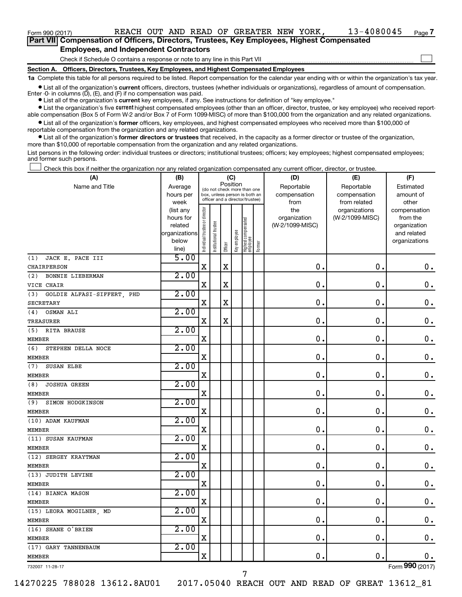Form 990 (2017) **Page 1 REACH OUT AND READ OF GREATER NEW YORK,** 13-4080045  $_{\text{Page}}$ 

 $\Box$ 

| Part VII Compensation of Officers, Directors, Trustees, Key Employees, Highest Compensated |  |  |
|--------------------------------------------------------------------------------------------|--|--|
| <b>Employees, and Independent Contractors</b>                                              |  |  |

Check if Schedule O contains a response or note to any line in this Part VII

**Section A. Officers, Directors, Trustees, Key Employees, and Highest Compensated Employees**

**1a**  Complete this table for all persons required to be listed. Report compensation for the calendar year ending with or within the organization's tax year.

**•** List all of the organization's current officers, directors, trustees (whether individuals or organizations), regardless of amount of compensation. Enter -0- in columns  $(D)$ ,  $(E)$ , and  $(F)$  if no compensation was paid.

**•** List all of the organization's **current** key employees, if any. See instructions for definition of "key employee."

**•** List the organization's five current highest compensated employees (other than an officer, director, trustee, or key employee) who received reportable compensation (Box 5 of Form W-2 and/or Box 7 of Form 1099-MISC) of more than \$100,000 from the organization and any related organizations.

**•** List all of the organization's former officers, key employees, and highest compensated employees who received more than \$100,000 of reportable compensation from the organization and any related organizations.

**•** List all of the organization's former directors or trustees that received, in the capacity as a former director or trustee of the organization, more than \$10,000 of reportable compensation from the organization and any related organizations.

List persons in the following order: individual trustees or directors; institutional trustees; officers; key employees; highest compensated employees; and former such persons.

Check this box if neither the organization nor any related organization compensated any current officer, director, or trustee.  $\Box$ 

| (A)                               | (B)                    |                                         |                                                                  | (C)         |              |                                 |        | (D)                 | (E)                              | (F)                      |
|-----------------------------------|------------------------|-----------------------------------------|------------------------------------------------------------------|-------------|--------------|---------------------------------|--------|---------------------|----------------------------------|--------------------------|
| Name and Title                    | Average                | Position<br>(do not check more than one |                                                                  |             |              |                                 |        | Reportable          | Reportable                       | Estimated                |
|                                   | hours per              |                                         | box, unless person is both an<br>officer and a director/trustee) |             |              |                                 |        | compensation        | compensation                     | amount of                |
|                                   | week                   |                                         |                                                                  |             |              |                                 |        | from                | from related                     | other                    |
|                                   | (list any<br>hours for |                                         |                                                                  |             |              |                                 |        | the<br>organization | organizations<br>(W-2/1099-MISC) | compensation<br>from the |
|                                   | related                |                                         |                                                                  |             |              |                                 |        | (W-2/1099-MISC)     |                                  | organization             |
|                                   | organizations          |                                         | trustee                                                          |             |              |                                 |        |                     |                                  | and related              |
|                                   | below                  |                                         |                                                                  |             |              |                                 |        |                     |                                  | organizations            |
|                                   | line)                  | Individual trustee or director          | Institutional t                                                  | Officer     | Key employee | Highest compensated<br>employee | Former |                     |                                  |                          |
| JACK E. PACE III<br>(1)           | 5.00                   |                                         |                                                                  |             |              |                                 |        |                     |                                  |                          |
| CHAIRPERSON                       |                        | $\mathbf x$                             |                                                                  | $\mathbf X$ |              |                                 |        | $\mathbf 0$ .       | $\mathbf 0$ .                    | 0.                       |
| (2)<br><b>BONNIE LIEBERMAN</b>    | 2.00                   |                                         |                                                                  |             |              |                                 |        |                     |                                  |                          |
| VICE CHAIR                        |                        | $\mathbf X$                             |                                                                  | X           |              |                                 |        | $\mathbf 0$ .       | $\mathbf 0$ .                    | $\mathbf 0$ .            |
| (3)<br>GOLDIE ALFASI-SIFFERT, PHD | 2.00                   |                                         |                                                                  |             |              |                                 |        |                     |                                  |                          |
| <b>SECRETARY</b>                  |                        | $\mathbf X$                             |                                                                  | $\mathbf X$ |              |                                 |        | $\mathbf 0$ .       | $\mathbf 0$ .                    | $\mathbf 0$ .            |
| OSMAN ALI<br>(4)                  | 2.00                   |                                         |                                                                  |             |              |                                 |        |                     |                                  |                          |
| TREASURER                         |                        | $\mathbf X$                             |                                                                  | $\mathbf X$ |              |                                 |        | 0.                  | $\mathbf 0$ .                    | $\mathbf 0$ .            |
| (5) RITA BRAUSE                   | 2.00                   |                                         |                                                                  |             |              |                                 |        |                     |                                  |                          |
| <b>MEMBER</b>                     |                        | $\mathbf X$                             |                                                                  |             |              |                                 |        | $\mathbf 0$ .       | $\mathbf 0$ .                    | $\mathbf 0$ .            |
| (6)<br>STEPHEN DELLA NOCE         | 2.00                   |                                         |                                                                  |             |              |                                 |        |                     |                                  |                          |
| <b>MEMBER</b>                     |                        | X                                       |                                                                  |             |              |                                 |        | $\mathbf 0$ .       | $\mathbf 0$                      | $\mathbf 0$ .            |
| SUSAN ELBE<br>(7)                 | 2.00                   |                                         |                                                                  |             |              |                                 |        |                     |                                  |                          |
| <b>MEMBER</b>                     |                        | X                                       |                                                                  |             |              |                                 |        | $\mathbf 0$ .       | $\mathbf 0$ .                    | $\mathbf 0$ .            |
| (8)<br><b>JOSHUA GREEN</b>        | 2.00                   |                                         |                                                                  |             |              |                                 |        |                     |                                  |                          |
| <b>MEMBER</b>                     |                        | $\mathbf X$                             |                                                                  |             |              |                                 |        | $\mathbf 0$ .       | $\mathbf 0$                      | $\mathbf 0$ .            |
| (9)<br>SIMON HODGKINSON           | 2.00                   |                                         |                                                                  |             |              |                                 |        |                     |                                  |                          |
| <b>MEMBER</b>                     |                        | $\mathbf X$                             |                                                                  |             |              |                                 |        | $\mathbf 0$ .       | $\mathbf 0$ .                    | $\mathbf 0$ .            |
| (10) ADAM KAUFMAN                 | 2.00                   |                                         |                                                                  |             |              |                                 |        |                     |                                  |                          |
| <b>MEMBER</b>                     |                        | $\mathbf X$                             |                                                                  |             |              |                                 |        | $\mathbf{0}$ .      | $\mathbf 0$ .                    | $0$ .                    |
| (11) SUSAN KAUFMAN                | 2.00                   |                                         |                                                                  |             |              |                                 |        |                     |                                  |                          |
| <b>MEMBER</b>                     |                        | X                                       |                                                                  |             |              |                                 |        | $\mathbf 0$ .       | $\mathbf 0$ .                    | $\mathbf 0$ .            |
| (12) SERGEY KRAYTMAN              | 2.00                   |                                         |                                                                  |             |              |                                 |        |                     |                                  |                          |
| <b>MEMBER</b>                     |                        | $\mathbf X$                             |                                                                  |             |              |                                 |        | 0.                  | $\mathbf 0$ .                    | $0$ .                    |
| (13) JUDITH LEVINE                | 2.00                   |                                         |                                                                  |             |              |                                 |        |                     |                                  |                          |
| <b>MEMBER</b>                     |                        | Χ                                       |                                                                  |             |              |                                 |        | $\mathbf 0$ .       | $\mathbf 0$ .                    | $\mathbf 0$ .            |
| (14) BIANCA MASON                 | 2.00                   |                                         |                                                                  |             |              |                                 |        |                     |                                  |                          |
| <b>MEMBER</b>                     |                        | $\mathbf X$                             |                                                                  |             |              |                                 |        | 0.                  | $\mathbf 0$ .                    | $\mathbf 0$ .            |
| (15) LEORA MOGILNER, MD           | 2.00                   |                                         |                                                                  |             |              |                                 |        |                     |                                  |                          |
| <b>MEMBER</b>                     |                        | $\mathbf X$                             |                                                                  |             |              |                                 |        | 0.                  | $\mathbf 0$ .                    | 0.                       |
| (16) SHANE O'BRIEN                | 2.00                   |                                         |                                                                  |             |              |                                 |        |                     |                                  |                          |
| <b>MEMBER</b>                     |                        | $\mathbf X$                             |                                                                  |             |              |                                 |        | 0.                  | $\mathbf 0$ .                    | $\mathbf 0$ .            |
| (17) GARY TANNENBAUM              | 2.00                   |                                         |                                                                  |             |              |                                 |        |                     |                                  |                          |
| <b>MEMBER</b>                     |                        | X                                       |                                                                  |             |              |                                 |        | $\mathbf 0$ .       | $\mathbf 0$ .                    | 0.                       |
|                                   |                        |                                         |                                                                  |             |              |                                 |        |                     |                                  | $\overline{\mathbf{a}}$  |

732007 11-28-17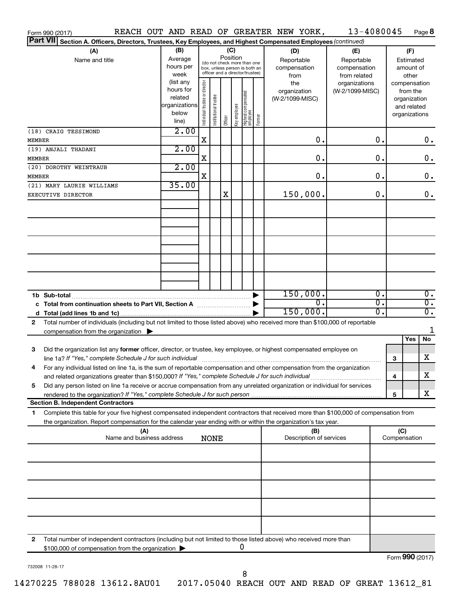| Form 990 (2017)                         |                                                                                                                                                                                                                                                                    |     |                                                                      |                                |                       |                                                                                                                    |              |                                   |        | REACH OUT AND READ OF GREATER NEW YORK,   |                                                   | 13-4080045 |     | Page 8                                                                   |
|-----------------------------------------|--------------------------------------------------------------------------------------------------------------------------------------------------------------------------------------------------------------------------------------------------------------------|-----|----------------------------------------------------------------------|--------------------------------|-----------------------|--------------------------------------------------------------------------------------------------------------------|--------------|-----------------------------------|--------|-------------------------------------------|---------------------------------------------------|------------|-----|--------------------------------------------------------------------------|
| <b>Part VII</b>                         | Section A. Officers, Directors, Trustees, Key Employees, and Highest Compensated Employees (continued)                                                                                                                                                             |     |                                                                      |                                |                       |                                                                                                                    |              |                                   |        |                                           |                                                   |            |     |                                                                          |
| (A)<br>Name and title                   |                                                                                                                                                                                                                                                                    |     | (B)<br>Average<br>hours per<br>week                                  |                                |                       | (C)<br>Position<br>(do not check more than one<br>box, unless person is both an<br>officer and a director/trustee) |              |                                   |        | (D)<br>Reportable<br>compensation<br>from | (E)<br>Reportable<br>compensation<br>from related |            |     | (F)<br>Estimated<br>amount of<br>other                                   |
|                                         |                                                                                                                                                                                                                                                                    |     | (list any<br>hours for<br>related<br>organizations<br>below<br>line) | Individual trustee or director | Institutional trustee | Officer                                                                                                            | Key employee | Highest compensated<br>  employee | Former | the<br>organization<br>(W-2/1099-MISC)    | organizations<br>(W-2/1099-MISC)                  |            |     | compensation<br>from the<br>organization<br>and related<br>organizations |
| (18) CRAIG TESSIMOND<br><b>MEMBER</b>   |                                                                                                                                                                                                                                                                    |     | 2.00                                                                 | X                              |                       |                                                                                                                    |              |                                   |        |                                           | 0.                                                | 0.         |     | 0.                                                                       |
| (19) ANJALI THADANI<br><b>MEMBER</b>    |                                                                                                                                                                                                                                                                    |     | 2.00                                                                 | X                              |                       |                                                                                                                    |              |                                   |        |                                           | 0.                                                | 0.         |     | $\mathbf 0$ .                                                            |
| (20) DOROTHY WEINTRAUB<br><b>MEMBER</b> |                                                                                                                                                                                                                                                                    |     | 2.00                                                                 | x                              |                       |                                                                                                                    |              |                                   |        |                                           | 0.                                                | 0.         |     | 0.                                                                       |
| EXECUTIVE DIRECTOR                      | (21) MARY LAURIE WILLIAMS                                                                                                                                                                                                                                          |     | 35.00                                                                |                                |                       | X                                                                                                                  |              |                                   |        | 150,000.                                  |                                                   | 0.         |     | 0.                                                                       |
|                                         |                                                                                                                                                                                                                                                                    |     |                                                                      |                                |                       |                                                                                                                    |              |                                   |        |                                           |                                                   |            |     |                                                                          |
|                                         |                                                                                                                                                                                                                                                                    |     |                                                                      |                                |                       |                                                                                                                    |              |                                   |        |                                           |                                                   |            |     |                                                                          |
|                                         |                                                                                                                                                                                                                                                                    |     |                                                                      |                                |                       |                                                                                                                    |              |                                   |        |                                           |                                                   |            |     |                                                                          |
|                                         |                                                                                                                                                                                                                                                                    |     |                                                                      |                                |                       |                                                                                                                    |              |                                   |        | 150,000.                                  |                                                   | σ.         |     | $\overline{0}$ .                                                         |
|                                         | c Total from continuation sheets to Part VII, Section A manufactured by                                                                                                                                                                                            |     |                                                                      |                                |                       |                                                                                                                    |              |                                   |        | 150,000.                                  | $\overline{0}$ .                                  | σ.<br>σ.   |     | $\overline{0}$ .<br>$\overline{0}$ .                                     |
| 2                                       | Total number of individuals (including but not limited to those listed above) who received more than \$100,000 of reportable<br>compensation from the organization $\blacktriangleright$                                                                           |     |                                                                      |                                |                       |                                                                                                                    |              |                                   |        |                                           |                                                   |            |     | 1<br>Yes<br>No                                                           |
| 3                                       | Did the organization list any former officer, director, or trustee, key employee, or highest compensated employee on<br>line 1a? If "Yes," complete Schedule J for such individual manufacture content to the set of the set of the schedule J for such individual |     |                                                                      |                                |                       |                                                                                                                    |              |                                   |        |                                           |                                                   |            | 3   | х                                                                        |
|                                         | For any individual listed on line 1a, is the sum of reportable compensation and other compensation from the organization<br>and related organizations greater than \$150,000? If "Yes," complete Schedule J for such individual                                    |     |                                                                      |                                |                       |                                                                                                                    |              |                                   |        |                                           |                                                   |            | 4   | х                                                                        |
| 5                                       | Did any person listed on line 1a receive or accrue compensation from any unrelated organization or individual for services                                                                                                                                         |     |                                                                      |                                |                       |                                                                                                                    |              |                                   |        |                                           |                                                   |            | 5   | х                                                                        |
| 1.                                      | <b>Section B. Independent Contractors</b><br>Complete this table for your five highest compensated independent contractors that received more than \$100,000 of compensation from                                                                                  |     |                                                                      |                                |                       |                                                                                                                    |              |                                   |        |                                           |                                                   |            |     |                                                                          |
|                                         | the organization. Report compensation for the calendar year ending with or within the organization's tax year.                                                                                                                                                     | (A) |                                                                      |                                |                       |                                                                                                                    |              |                                   |        | (B)                                       |                                                   |            | (C) |                                                                          |
|                                         | Name and business address                                                                                                                                                                                                                                          |     |                                                                      |                                | <b>NONE</b>           |                                                                                                                    |              |                                   |        | Description of services                   |                                                   |            |     | Compensation                                                             |
|                                         |                                                                                                                                                                                                                                                                    |     |                                                                      |                                |                       |                                                                                                                    |              |                                   |        |                                           |                                                   |            |     |                                                                          |
|                                         |                                                                                                                                                                                                                                                                    |     |                                                                      |                                |                       |                                                                                                                    |              |                                   |        |                                           |                                                   |            |     |                                                                          |
|                                         |                                                                                                                                                                                                                                                                    |     |                                                                      |                                |                       |                                                                                                                    |              |                                   |        |                                           |                                                   |            |     |                                                                          |
| 2                                       | Total number of independent contractors (including but not limited to those listed above) who received more than                                                                                                                                                   |     |                                                                      |                                |                       |                                                                                                                    |              |                                   |        |                                           |                                                   |            |     |                                                                          |
|                                         | \$100,000 of compensation from the organization                                                                                                                                                                                                                    |     |                                                                      |                                |                       |                                                                                                                    |              | 0                                 |        |                                           |                                                   |            |     | Form 990 (2017)                                                          |

732008 11-28-17

14270225 788028 13612.8AU01 2017.05040 REACH OUT AND READ OF GREAT 13612\_81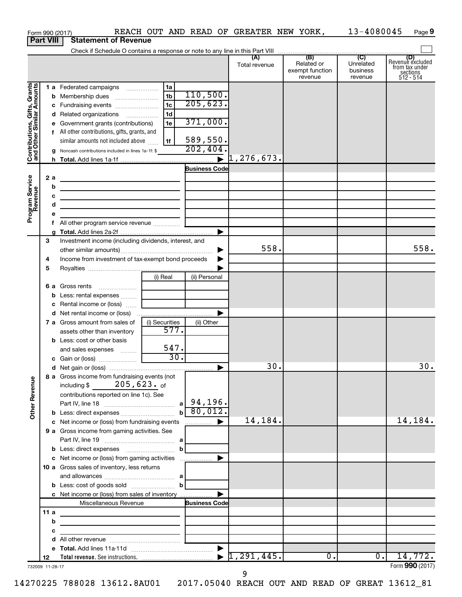|                                                           |                  |    | Form 990 (2017)                                                                                                                           |                |                      | REACH OUT AND READ OF GREATER NEW YORK, |                                          | 13-4080045                       | Page 9                                                      |
|-----------------------------------------------------------|------------------|----|-------------------------------------------------------------------------------------------------------------------------------------------|----------------|----------------------|-----------------------------------------|------------------------------------------|----------------------------------|-------------------------------------------------------------|
|                                                           | <b>Part VIII</b> |    | <b>Statement of Revenue</b>                                                                                                               |                |                      |                                         |                                          |                                  |                                                             |
|                                                           |                  |    |                                                                                                                                           |                |                      |                                         |                                          |                                  |                                                             |
|                                                           |                  |    |                                                                                                                                           |                |                      | Total revenue                           | Related or<br>exempt function<br>revenue | Unrelated<br>business<br>revenue | Revenue excluded<br>from tax under<br>sections<br>512 - 514 |
|                                                           |                  |    | 1 a Federated campaigns                                                                                                                   | 1a             |                      |                                         |                                          |                                  |                                                             |
| Contributions, Gifts, Grants<br>and Other Similar Amounts |                  |    | <b>b</b> Membership dues                                                                                                                  | 1 <sub>b</sub> | 110,500.             |                                         |                                          |                                  |                                                             |
|                                                           |                  |    |                                                                                                                                           | 1 <sub>c</sub> | 205,623.             |                                         |                                          |                                  |                                                             |
|                                                           |                  |    | d Related organizations                                                                                                                   | 1 <sub>d</sub> |                      |                                         |                                          |                                  |                                                             |
|                                                           |                  |    | e Government grants (contributions)                                                                                                       | 1e             | 371,000.             |                                         |                                          |                                  |                                                             |
|                                                           |                  |    | f All other contributions, gifts, grants, and                                                                                             |                |                      |                                         |                                          |                                  |                                                             |
|                                                           |                  |    | similar amounts not included above                                                                                                        | 1f             | 589,550.<br>202, 404 |                                         |                                          |                                  |                                                             |
|                                                           |                  |    | g Noncash contributions included in lines 1a-1f: \$                                                                                       |                |                      |                                         |                                          |                                  |                                                             |
|                                                           |                  |    |                                                                                                                                           |                | <b>Business Code</b> |                                         |                                          |                                  |                                                             |
|                                                           | 2a               |    | the contract of the contract of the contract of the contract of                                                                           |                |                      |                                         |                                          |                                  |                                                             |
|                                                           |                  | b  | the contract of the contract of the contract of the contract of the contract of                                                           |                |                      |                                         |                                          |                                  |                                                             |
|                                                           |                  | с  | the control of the control of the control of the control of the control of                                                                |                |                      |                                         |                                          |                                  |                                                             |
|                                                           |                  | d  | the control of the control of the control of the control of the control of                                                                |                |                      |                                         |                                          |                                  |                                                             |
| Program Service<br>Revenue                                |                  |    |                                                                                                                                           |                |                      |                                         |                                          |                                  |                                                             |
|                                                           |                  | f. |                                                                                                                                           |                |                      |                                         |                                          |                                  |                                                             |
|                                                           |                  |    |                                                                                                                                           |                | ▶                    |                                         |                                          |                                  |                                                             |
|                                                           | 3                |    | Investment income (including dividends, interest, and                                                                                     |                |                      | 558.                                    |                                          |                                  | 558.                                                        |
|                                                           |                  |    | Income from investment of tax-exempt bond proceeds                                                                                        |                |                      |                                         |                                          |                                  |                                                             |
|                                                           | 4<br>5           |    |                                                                                                                                           |                |                      |                                         |                                          |                                  |                                                             |
|                                                           |                  |    |                                                                                                                                           | (i) Real       | (ii) Personal        |                                         |                                          |                                  |                                                             |
|                                                           |                  |    | 6 a Gross rents                                                                                                                           |                |                      |                                         |                                          |                                  |                                                             |
|                                                           |                  |    | <b>b</b> Less: rental expenses                                                                                                            |                |                      |                                         |                                          |                                  |                                                             |
|                                                           |                  |    | <b>c</b> Rental income or (loss) $\ldots$                                                                                                 |                |                      |                                         |                                          |                                  |                                                             |
|                                                           |                  |    |                                                                                                                                           |                | ▶                    |                                         |                                          |                                  |                                                             |
|                                                           |                  |    | <b>7 a</b> Gross amount from sales of                                                                                                     | (i) Securities | (ii) Other           |                                         |                                          |                                  |                                                             |
|                                                           |                  |    | assets other than inventory                                                                                                               | 577.           |                      |                                         |                                          |                                  |                                                             |
|                                                           |                  |    | <b>b</b> Less: cost or other basis                                                                                                        |                |                      |                                         |                                          |                                  |                                                             |
|                                                           |                  |    | and sales expenses                                                                                                                        | 547.<br>30.    |                      |                                         |                                          |                                  |                                                             |
|                                                           |                  |    |                                                                                                                                           |                |                      | 30.                                     |                                          |                                  | 30.                                                         |
|                                                           |                  |    | 8 a Gross income from fundraising events (not                                                                                             |                |                      |                                         |                                          |                                  |                                                             |
| <b>Other Revenue</b>                                      |                  |    | including \$ $205,623$ of                                                                                                                 |                |                      |                                         |                                          |                                  |                                                             |
|                                                           |                  |    | contributions reported on line 1c). See                                                                                                   |                |                      |                                         |                                          |                                  |                                                             |
|                                                           |                  |    |                                                                                                                                           |                | $b \ 80,012.$        |                                         |                                          |                                  |                                                             |
|                                                           |                  |    | c Net income or (loss) from fundraising events                                                                                            |                | $\blacksquare$       | 14,184.                                 |                                          |                                  | 14,184.                                                     |
|                                                           |                  |    | 9 a Gross income from gaming activities. See                                                                                              |                |                      |                                         |                                          |                                  |                                                             |
|                                                           |                  |    |                                                                                                                                           |                |                      |                                         |                                          |                                  |                                                             |
|                                                           |                  |    |                                                                                                                                           |                |                      |                                         |                                          |                                  |                                                             |
|                                                           |                  |    | c Net income or (loss) from gaming activities                                                                                             |                | ▶                    |                                         |                                          |                                  |                                                             |
|                                                           |                  |    | 10 a Gross sales of inventory, less returns                                                                                               |                |                      |                                         |                                          |                                  |                                                             |
|                                                           |                  |    |                                                                                                                                           |                |                      |                                         |                                          |                                  |                                                             |
|                                                           |                  |    | <b>b</b> Less: cost of goods sold $\ldots$ <b>b</b>                                                                                       |                |                      |                                         |                                          |                                  |                                                             |
|                                                           |                  |    | c Net income or (loss) from sales of inventory                                                                                            |                | ▶                    |                                         |                                          |                                  |                                                             |
|                                                           | 11a              |    | Miscellaneous Revenue                                                                                                                     |                | <b>Business Code</b> |                                         |                                          |                                  |                                                             |
|                                                           |                  | b  | <u> 1989 - Johann Stein, mars an de Brasilia (b. 1989)</u>                                                                                |                |                      |                                         |                                          |                                  |                                                             |
|                                                           |                  | с  | the control of the control of the control of the control of the control of<br>the control of the control of the control of the control of |                |                      |                                         |                                          |                                  |                                                             |
|                                                           |                  | d  |                                                                                                                                           |                |                      |                                         |                                          |                                  |                                                             |
|                                                           |                  |    |                                                                                                                                           |                |                      |                                         |                                          |                                  |                                                             |
|                                                           | 12               |    |                                                                                                                                           |                |                      | 1, 291, 445.                            | $\overline{0}$ .                         | $\overline{0}$ .                 | 14,772.                                                     |
| 732009 11-28-17                                           |                  |    |                                                                                                                                           |                |                      |                                         |                                          |                                  | Form 990 (2017)                                             |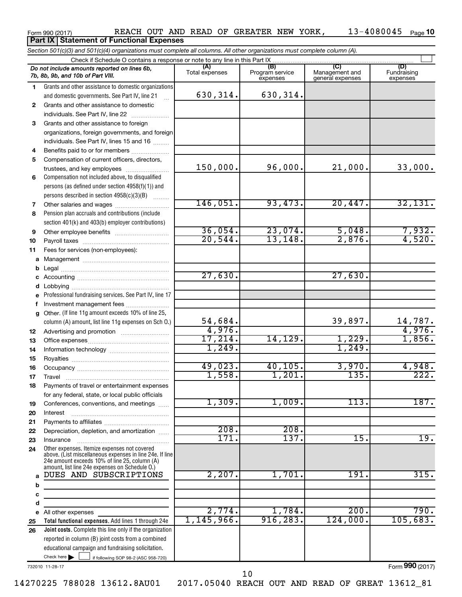### Form 990 (2017) REACH OUT AND READ OF GREATER NEW YORK , 13-4080045 <sub>Page</sub> 10 **Part IX | Statement of Functional Expenses**

|              | Section 501(c)(3) and 501(c)(4) organizations must complete all columns. All other organizations must complete column (A).                                                                                  |                       |                                    |                                           |                                |
|--------------|-------------------------------------------------------------------------------------------------------------------------------------------------------------------------------------------------------------|-----------------------|------------------------------------|-------------------------------------------|--------------------------------|
|              | Check if Schedule O contains a response or note to any line in this Part IX                                                                                                                                 |                       |                                    |                                           |                                |
|              | Do not include amounts reported on lines 6b,<br>7b, 8b, 9b, and 10b of Part VIII.                                                                                                                           | (A)<br>Total expenses | (B)<br>Program service<br>expenses | (C)<br>Management and<br>general expenses | (D)<br>Fundraising<br>expenses |
| 1            | Grants and other assistance to domestic organizations                                                                                                                                                       |                       |                                    |                                           |                                |
|              | and domestic governments. See Part IV, line 21<br>$\mathbf{r}$                                                                                                                                              | 630,314.              | 630, 314.                          |                                           |                                |
| $\mathbf{2}$ | Grants and other assistance to domestic                                                                                                                                                                     |                       |                                    |                                           |                                |
|              | individuals. See Part IV, line 22                                                                                                                                                                           |                       |                                    |                                           |                                |
| 3            | Grants and other assistance to foreign                                                                                                                                                                      |                       |                                    |                                           |                                |
|              | organizations, foreign governments, and foreign                                                                                                                                                             |                       |                                    |                                           |                                |
|              | individuals. See Part IV, lines 15 and 16                                                                                                                                                                   |                       |                                    |                                           |                                |
| 4            | Benefits paid to or for members                                                                                                                                                                             |                       |                                    |                                           |                                |
| 5            | Compensation of current officers, directors,<br>trustees, and key employees                                                                                                                                 | 150,000.              | 96,000.                            | 21,000.                                   | 33,000.                        |
| 6            | Compensation not included above, to disqualified                                                                                                                                                            |                       |                                    |                                           |                                |
|              | persons (as defined under section 4958(f)(1)) and                                                                                                                                                           |                       |                                    |                                           |                                |
|              | persons described in section 4958(c)(3)(B)<br>$\overline{1}$                                                                                                                                                |                       |                                    |                                           |                                |
| 7            |                                                                                                                                                                                                             | 146,051.              | 93,473.                            | 20,447.                                   | 32,131.                        |
| 8            | Pension plan accruals and contributions (include                                                                                                                                                            |                       |                                    |                                           |                                |
|              | section 401(k) and 403(b) employer contributions)                                                                                                                                                           |                       |                                    |                                           |                                |
| 9            |                                                                                                                                                                                                             | 36,054.               | 23,074.                            | 5,048.                                    | 7,932.                         |
| 10           |                                                                                                                                                                                                             | 20,544.               | 13, 148.                           | 2,876.                                    | 4,520.                         |
| 11           | Fees for services (non-employees):                                                                                                                                                                          |                       |                                    |                                           |                                |
| a            |                                                                                                                                                                                                             |                       |                                    |                                           |                                |
| b            |                                                                                                                                                                                                             |                       |                                    |                                           |                                |
| c            |                                                                                                                                                                                                             | 27,630.               |                                    | 27,630.                                   |                                |
| d            |                                                                                                                                                                                                             |                       |                                    |                                           |                                |
|              | Professional fundraising services. See Part IV, line 17                                                                                                                                                     |                       |                                    |                                           |                                |
| f            | Investment management fees                                                                                                                                                                                  |                       |                                    |                                           |                                |
| g            | Other. (If line 11g amount exceeds 10% of line 25,                                                                                                                                                          |                       |                                    |                                           |                                |
|              | column (A) amount, list line 11g expenses on Sch O.)                                                                                                                                                        | 54,684.<br>4,976.     |                                    | 39,897.                                   | 14,787.<br>4,976.              |
| 12           |                                                                                                                                                                                                             | 17,214.               | 14,129.                            | 1,229.                                    | 1,856.                         |
| 13           |                                                                                                                                                                                                             | 1,249.                |                                    | 1,249.                                    |                                |
| 14<br>15     |                                                                                                                                                                                                             |                       |                                    |                                           |                                |
| 16           |                                                                                                                                                                                                             | 49,023.               | 40, 105.                           | 3,970.                                    | 4,948.                         |
| 17           |                                                                                                                                                                                                             | 1,558.                | 1,201.                             | 135.                                      | 222.                           |
| 18           | Payments of travel or entertainment expenses                                                                                                                                                                |                       |                                    |                                           |                                |
|              | for any federal, state, or local public officials                                                                                                                                                           |                       |                                    |                                           |                                |
| 19           | Conferences, conventions, and meetings                                                                                                                                                                      | 1,309.                | 1,009.                             | 113.                                      | 187.                           |
| 20           | Interest                                                                                                                                                                                                    |                       |                                    |                                           |                                |
| 21           |                                                                                                                                                                                                             |                       |                                    |                                           |                                |
| 22           | Depreciation, depletion, and amortization                                                                                                                                                                   | 208.                  | 208.                               |                                           |                                |
| 23           | Insurance                                                                                                                                                                                                   | 171.                  | 137.                               | 15.                                       | 19.                            |
| 24           | Other expenses. Itemize expenses not covered<br>above. (List miscellaneous expenses in line 24e. If line<br>24e amount exceeds 10% of line 25, column (A)<br>amount, list line 24e expenses on Schedule O.) |                       |                                    |                                           |                                |
| a            | DUES AND SUBSCRIPTIONS                                                                                                                                                                                      | 2,207.                | 1,701.                             | 191.                                      | 315.                           |
| b            |                                                                                                                                                                                                             |                       |                                    |                                           |                                |
| с            |                                                                                                                                                                                                             |                       |                                    |                                           |                                |
| d            |                                                                                                                                                                                                             |                       |                                    |                                           |                                |
|              | e All other expenses                                                                                                                                                                                        | 2,774.                | 1,784.                             | 200.                                      | 790.                           |
| 25           | Total functional expenses. Add lines 1 through 24e                                                                                                                                                          | $1,145,966$ .         | 916, 283.                          | 124,000.                                  | 105,683.                       |
| 26           | Joint costs. Complete this line only if the organization                                                                                                                                                    |                       |                                    |                                           |                                |
|              | reported in column (B) joint costs from a combined<br>educational campaign and fundraising solicitation.                                                                                                    |                       |                                    |                                           |                                |
|              | Check here $\blacktriangleright$<br>if following SOP 98-2 (ASC 958-720)                                                                                                                                     |                       |                                    |                                           |                                |
|              |                                                                                                                                                                                                             |                       |                                    |                                           |                                |

732010 11-28-17

Form (2017) **990**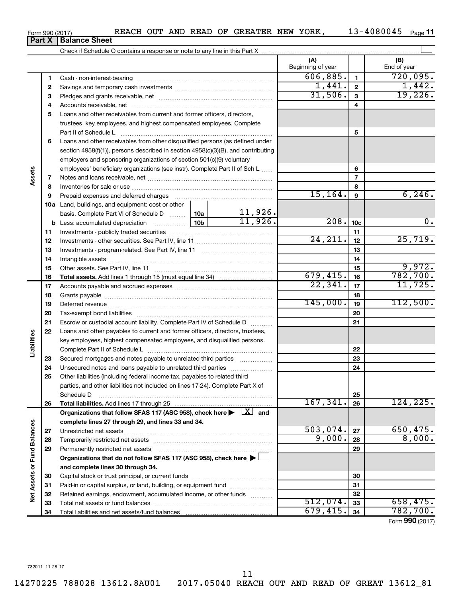**Part X Balance Sheet**

### Form 990 (2017) **Page 18 REACH OUT AND READ OF GREATER NEW YORK,** 13-4080045  $_{\text{Page}}$

13-4080045 Page 11

|                             |    |                                                                                                                         |          |          | (A)<br>Beginning of year |                 | (B)<br>End of year          |
|-----------------------------|----|-------------------------------------------------------------------------------------------------------------------------|----------|----------|--------------------------|-----------------|-----------------------------|
|                             | 1  |                                                                                                                         |          |          | 606, 885.                | $\mathbf{1}$    | 720,095.                    |
|                             | 2  |                                                                                                                         |          |          | 1,441.                   | $\mathbf{2}$    | 1,442.                      |
|                             | 3  |                                                                                                                         |          | 31,506.  | 3                        | 19,226.         |                             |
|                             | 4  |                                                                                                                         |          |          | 4                        |                 |                             |
|                             | 5  | Loans and other receivables from current and former officers, directors,                                                |          |          |                          |                 |                             |
|                             |    | trustees, key employees, and highest compensated employees. Complete                                                    |          |          |                          |                 |                             |
|                             |    | Part II of Schedule L                                                                                                   |          | 5        |                          |                 |                             |
|                             | 6  | Loans and other receivables from other disqualified persons (as defined under                                           |          |          |                          |                 |                             |
|                             |    | section 4958(f)(1)), persons described in section 4958(c)(3)(B), and contributing                                       |          |          |                          |                 |                             |
|                             |    | employers and sponsoring organizations of section 501(c)(9) voluntary                                                   |          |          |                          |                 |                             |
|                             |    | employees' beneficiary organizations (see instr). Complete Part II of Sch L                                             |          |          | 6                        |                 |                             |
| Assets                      | 7  |                                                                                                                         |          |          | $\overline{7}$           |                 |                             |
|                             | 8  |                                                                                                                         |          |          |                          | 8               |                             |
|                             | 9  |                                                                                                                         |          |          | 15, 164.                 | $\mathbf{9}$    | 6, 246.                     |
|                             |    | 10a Land, buildings, and equipment: cost or other                                                                       |          |          |                          |                 |                             |
|                             |    | basis. Complete Part VI of Schedule D                                                                                   | 10a      | 11,926.  |                          |                 |                             |
|                             |    | <b>b</b> Less: accumulated depreciation <i></i>                                                                         | 10b      | 11,926.  | 208.                     | 10 <sub>c</sub> | 0.                          |
|                             | 11 |                                                                                                                         |          |          | 11                       |                 |                             |
|                             | 12 |                                                                                                                         | 24, 211. | 12       | 25,719.                  |                 |                             |
|                             | 13 |                                                                                                                         |          | 13       |                          |                 |                             |
|                             | 14 |                                                                                                                         |          |          | 14                       |                 |                             |
|                             | 15 |                                                                                                                         |          |          |                          | 15              | 9,972.                      |
|                             | 16 |                                                                                                                         |          |          | 679,415.                 | 16              | 782,700.                    |
|                             | 17 |                                                                                                                         |          | 22, 341. | 17                       | 11,725.         |                             |
|                             | 18 |                                                                                                                         |          | 18       |                          |                 |                             |
|                             | 19 |                                                                                                                         | 145,000. | 19       | 112,500.                 |                 |                             |
|                             | 20 |                                                                                                                         |          |          |                          | 20              |                             |
|                             | 21 | Escrow or custodial account liability. Complete Part IV of Schedule D                                                   |          |          |                          | 21              |                             |
|                             | 22 | Loans and other payables to current and former officers, directors, trustees,                                           |          |          |                          |                 |                             |
| Liabilities                 |    | key employees, highest compensated employees, and disqualified persons.                                                 |          |          |                          |                 |                             |
|                             |    |                                                                                                                         |          |          |                          | 22              |                             |
|                             | 23 | Secured mortgages and notes payable to unrelated third parties                                                          |          |          |                          | 23              |                             |
|                             | 24 | Unsecured notes and loans payable to unrelated third parties                                                            |          |          |                          | 24              |                             |
|                             | 25 | Other liabilities (including federal income tax, payables to related third                                              |          |          |                          |                 |                             |
|                             |    | parties, and other liabilities not included on lines 17-24). Complete Part X of                                         |          |          |                          |                 |                             |
|                             |    | Schedule D                                                                                                              |          |          |                          | 25              |                             |
|                             | 26 |                                                                                                                         |          |          | 167,341.                 | 26              | 124, 225.                   |
|                             |    | Organizations that follow SFAS 117 (ASC 958), check here $\blacktriangleright \begin{array}{c} \perp X \end{array}$ and |          |          |                          |                 |                             |
|                             |    | complete lines 27 through 29, and lines 33 and 34.                                                                      |          |          |                          |                 |                             |
|                             | 27 |                                                                                                                         |          |          | 503,074.                 | 27              | 650,475.                    |
|                             | 28 |                                                                                                                         |          |          | 9,000.                   | 28              | 8,000.                      |
|                             | 29 | Permanently restricted net assets                                                                                       |          |          |                          | 29              |                             |
|                             |    | Organizations that do not follow SFAS 117 (ASC 958), check here $\blacktriangleright$                                   |          |          |                          |                 |                             |
| Net Assets or Fund Balances |    | and complete lines 30 through 34.                                                                                       |          |          |                          |                 |                             |
|                             | 30 |                                                                                                                         |          |          |                          | 30              |                             |
|                             | 31 | Paid-in or capital surplus, or land, building, or equipment fund                                                        |          |          |                          | 31              |                             |
|                             | 32 | Retained earnings, endowment, accumulated income, or other funds                                                        |          |          |                          | 32              |                             |
|                             | 33 |                                                                                                                         | 512,074. | 33       | 658,475.                 |                 |                             |
|                             | 34 |                                                                                                                         |          |          | 679,415.                 | 34              | 782,700.                    |
|                             |    |                                                                                                                         |          |          |                          |                 | $F_{\text{arm}}$ 000 (2017) |

Form (2017) **990**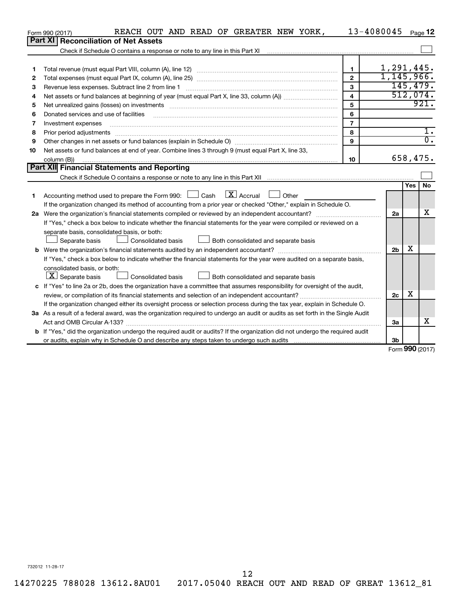|    | REACH OUT AND READ OF GREATER NEW YORK,<br>Form 990 (2017)                                                                                                                                                                     |                         | 13-4080045     |            | Page 12          |
|----|--------------------------------------------------------------------------------------------------------------------------------------------------------------------------------------------------------------------------------|-------------------------|----------------|------------|------------------|
|    | Part XI   Reconciliation of Net Assets                                                                                                                                                                                         |                         |                |            |                  |
|    |                                                                                                                                                                                                                                |                         |                |            |                  |
|    |                                                                                                                                                                                                                                |                         |                |            |                  |
| 1  |                                                                                                                                                                                                                                | 1.                      | 1,291,445.     |            |                  |
| 2  |                                                                                                                                                                                                                                | $\overline{2}$          | 1,145,966.     |            |                  |
| З  | Revenue less expenses. Subtract line 2 from line 1                                                                                                                                                                             | $\mathbf{a}$            |                |            | 145, 479.        |
| 4  |                                                                                                                                                                                                                                | $\overline{\mathbf{4}}$ |                |            | 512,074.         |
| 5  | Net unrealized gains (losses) on investments [11] matter than the control of the state of the state of the state of the state of the state of the state of the state of the state of the state of the state of the state of th | 5                       |                |            | 921.             |
| 6  | Donated services and use of facilities                                                                                                                                                                                         | 6                       |                |            |                  |
| 7  | Investment expenses                                                                                                                                                                                                            | $\overline{7}$          |                |            |                  |
| 8  | Prior period adjustments                                                                                                                                                                                                       | 8                       |                |            |                  |
| 9  |                                                                                                                                                                                                                                | 9                       |                |            | $\overline{0}$ . |
| 10 | Net assets or fund balances at end of year. Combine lines 3 through 9 (must equal Part X, line 33,                                                                                                                             |                         |                |            |                  |
|    | column (B))                                                                                                                                                                                                                    | 10                      |                |            | 658,475.         |
|    | <b>Part XII Financial Statements and Reporting</b>                                                                                                                                                                             |                         |                |            |                  |
|    |                                                                                                                                                                                                                                |                         |                |            |                  |
|    |                                                                                                                                                                                                                                |                         |                | <b>Yes</b> | <b>No</b>        |
| 1  | $\lfloor$ X $\rfloor$ Accrual<br>Accounting method used to prepare the Form 990: $\Box$ Cash<br>Other                                                                                                                          |                         |                |            |                  |
|    | If the organization changed its method of accounting from a prior year or checked "Other," explain in Schedule O.                                                                                                              |                         |                |            |                  |
|    | 2a Were the organization's financial statements compiled or reviewed by an independent accountant?                                                                                                                             |                         | 2a             |            | х                |
|    | If "Yes," check a box below to indicate whether the financial statements for the year were compiled or reviewed on a                                                                                                           |                         |                |            |                  |
|    | separate basis, consolidated basis, or both:                                                                                                                                                                                   |                         |                |            |                  |
|    | Both consolidated and separate basis<br>Separate basis<br>Consolidated basis                                                                                                                                                   |                         |                |            |                  |
|    |                                                                                                                                                                                                                                |                         | 2 <sub>b</sub> | х          |                  |
|    | If "Yes," check a box below to indicate whether the financial statements for the year were audited on a separate basis,                                                                                                        |                         |                |            |                  |
|    | consolidated basis, or both:                                                                                                                                                                                                   |                         |                |            |                  |
|    | $ \mathbf{X} $ Separate basis<br>Consolidated basis<br>Both consolidated and separate basis                                                                                                                                    |                         |                |            |                  |
|    | c If "Yes" to line 2a or 2b, does the organization have a committee that assumes responsibility for oversight of the audit,                                                                                                    |                         |                |            |                  |
|    |                                                                                                                                                                                                                                |                         | 2c             | х          |                  |
|    | If the organization changed either its oversight process or selection process during the tax year, explain in Schedule O.                                                                                                      |                         |                |            |                  |
|    | 3a As a result of a federal award, was the organization required to undergo an audit or audits as set forth in the Single Audit                                                                                                |                         |                |            |                  |
|    |                                                                                                                                                                                                                                |                         | За             |            | х                |
|    | b If "Yes," did the organization undergo the required audit or audits? If the organization did not undergo the required audit                                                                                                  |                         |                |            |                  |
|    |                                                                                                                                                                                                                                |                         | 3b             |            |                  |

Form (2017) **990**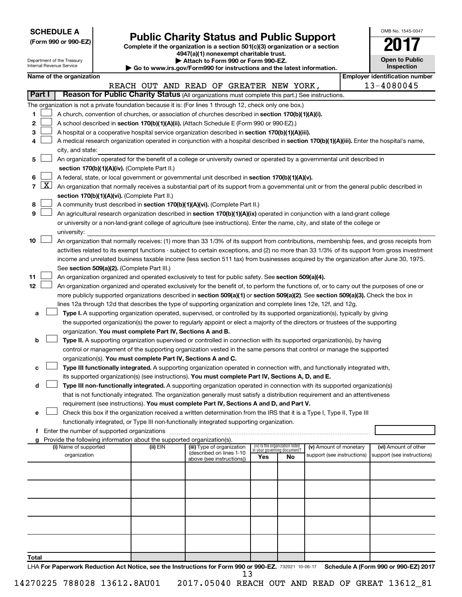| <b>SCHEDULE A</b> |  |
|-------------------|--|
|-------------------|--|

| (Form 990 or 990-EZ) |  |  |
|----------------------|--|--|

Form 990 or 990-EZ)<br>
Complete if the organization is a section 501(c)(3) organization or a section<br> **Public Charity Status and Public Support 4947(a)(1) nonexempt charitable trust.**

| OMB No 1545-0047              |
|-------------------------------|
| 0                             |
| <b>Open to Public</b><br>نامم |

 $\Box$ 

|        |                 | Department of the Treasury<br>Internal Revenue Service |                                                                        | Attach to Form 990 or Form 990-EZ.<br>Go to www.irs.gov/Form990 for instructions and the latest information.                                                                                                                                       |     |                                 |                                                      | <b>Open to Public</b><br>Inspection                |
|--------|-----------------|--------------------------------------------------------|------------------------------------------------------------------------|----------------------------------------------------------------------------------------------------------------------------------------------------------------------------------------------------------------------------------------------------|-----|---------------------------------|------------------------------------------------------|----------------------------------------------------|
|        |                 | Name of the organization                               |                                                                        |                                                                                                                                                                                                                                                    |     |                                 |                                                      | <b>Employer identification number</b>              |
|        |                 |                                                        |                                                                        | REACH OUT AND READ OF GREATER NEW YORK,                                                                                                                                                                                                            |     |                                 |                                                      | 13-4080045                                         |
| Part I |                 |                                                        |                                                                        | Reason for Public Charity Status (All organizations must complete this part.) See instructions.                                                                                                                                                    |     |                                 |                                                      |                                                    |
|        |                 |                                                        |                                                                        | The organization is not a private foundation because it is: (For lines 1 through 12, check only one box.)                                                                                                                                          |     |                                 |                                                      |                                                    |
| 1      |                 |                                                        |                                                                        | A church, convention of churches, or association of churches described in section 170(b)(1)(A)(i).                                                                                                                                                 |     |                                 |                                                      |                                                    |
| 2      |                 |                                                        |                                                                        | A school described in section 170(b)(1)(A)(ii). (Attach Schedule E (Form 990 or 990-EZ).)                                                                                                                                                          |     |                                 |                                                      |                                                    |
| З      |                 |                                                        |                                                                        | A hospital or a cooperative hospital service organization described in section 170(b)(1)(A)(iii).                                                                                                                                                  |     |                                 |                                                      |                                                    |
| 4      |                 |                                                        |                                                                        | A medical research organization operated in conjunction with a hospital described in section 170(b)(1)(A)(iii). Enter the hospital's name,                                                                                                         |     |                                 |                                                      |                                                    |
|        |                 | city, and state:                                       |                                                                        |                                                                                                                                                                                                                                                    |     |                                 |                                                      |                                                    |
| 5      |                 |                                                        |                                                                        | An organization operated for the benefit of a college or university owned or operated by a governmental unit described in                                                                                                                          |     |                                 |                                                      |                                                    |
|        |                 |                                                        | section 170(b)(1)(A)(iv). (Complete Part II.)                          |                                                                                                                                                                                                                                                    |     |                                 |                                                      |                                                    |
| 6      |                 |                                                        |                                                                        | A federal, state, or local government or governmental unit described in section 170(b)(1)(A)(v).                                                                                                                                                   |     |                                 |                                                      |                                                    |
|        | $7 \mid X \mid$ |                                                        |                                                                        | An organization that normally receives a substantial part of its support from a governmental unit or from the general public described in                                                                                                          |     |                                 |                                                      |                                                    |
|        |                 |                                                        | section 170(b)(1)(A)(vi). (Complete Part II.)                          |                                                                                                                                                                                                                                                    |     |                                 |                                                      |                                                    |
| 8      |                 |                                                        |                                                                        | A community trust described in section 170(b)(1)(A)(vi). (Complete Part II.)                                                                                                                                                                       |     |                                 |                                                      |                                                    |
| 9      |                 |                                                        |                                                                        | An agricultural research organization described in section 170(b)(1)(A)(ix) operated in conjunction with a land-grant college                                                                                                                      |     |                                 |                                                      |                                                    |
|        |                 |                                                        |                                                                        | or university or a non-land-grant college of agriculture (see instructions). Enter the name, city, and state of the college or                                                                                                                     |     |                                 |                                                      |                                                    |
|        |                 | university:                                            |                                                                        |                                                                                                                                                                                                                                                    |     |                                 |                                                      |                                                    |
| 10     |                 |                                                        |                                                                        | An organization that normally receives: (1) more than 33 1/3% of its support from contributions, membership fees, and gross receipts from                                                                                                          |     |                                 |                                                      |                                                    |
|        |                 |                                                        |                                                                        | activities related to its exempt functions - subject to certain exceptions, and (2) no more than 33 1/3% of its support from gross investment                                                                                                      |     |                                 |                                                      |                                                    |
|        |                 |                                                        |                                                                        | income and unrelated business taxable income (less section 511 tax) from businesses acquired by the organization after June 30, 1975.                                                                                                              |     |                                 |                                                      |                                                    |
| 11     |                 |                                                        | See section 509(a)(2). (Complete Part III.)                            |                                                                                                                                                                                                                                                    |     |                                 |                                                      |                                                    |
| 12     |                 |                                                        |                                                                        | An organization organized and operated exclusively to test for public safety. See section 509(a)(4).<br>An organization organized and operated exclusively for the benefit of, to perform the functions of, or to carry out the purposes of one or |     |                                 |                                                      |                                                    |
|        |                 |                                                        |                                                                        | more publicly supported organizations described in section 509(a)(1) or section 509(a)(2). See section 509(a)(3). Check the box in                                                                                                                 |     |                                 |                                                      |                                                    |
|        |                 |                                                        |                                                                        | lines 12a through 12d that describes the type of supporting organization and complete lines 12e, 12f, and 12g.                                                                                                                                     |     |                                 |                                                      |                                                    |
| а      |                 |                                                        |                                                                        | Type I. A supporting organization operated, supervised, or controlled by its supported organization(s), typically by giving                                                                                                                        |     |                                 |                                                      |                                                    |
|        |                 |                                                        |                                                                        | the supported organization(s) the power to regularly appoint or elect a majority of the directors or trustees of the supporting                                                                                                                    |     |                                 |                                                      |                                                    |
|        |                 |                                                        | organization. You must complete Part IV, Sections A and B.             |                                                                                                                                                                                                                                                    |     |                                 |                                                      |                                                    |
| b      |                 |                                                        |                                                                        | Type II. A supporting organization supervised or controlled in connection with its supported organization(s), by having                                                                                                                            |     |                                 |                                                      |                                                    |
|        |                 |                                                        |                                                                        | control or management of the supporting organization vested in the same persons that control or manage the supported                                                                                                                               |     |                                 |                                                      |                                                    |
|        |                 |                                                        | organization(s). You must complete Part IV, Sections A and C.          |                                                                                                                                                                                                                                                    |     |                                 |                                                      |                                                    |
| с      |                 |                                                        |                                                                        | Type III functionally integrated. A supporting organization operated in connection with, and functionally integrated with,                                                                                                                         |     |                                 |                                                      |                                                    |
|        |                 |                                                        |                                                                        | its supported organization(s) (see instructions). You must complete Part IV, Sections A, D, and E.                                                                                                                                                 |     |                                 |                                                      |                                                    |
| d      |                 |                                                        |                                                                        | Type III non-functionally integrated. A supporting organization operated in connection with its supported organization(s)                                                                                                                          |     |                                 |                                                      |                                                    |
|        |                 |                                                        |                                                                        | that is not functionally integrated. The organization generally must satisfy a distribution requirement and an attentiveness                                                                                                                       |     |                                 |                                                      |                                                    |
|        |                 |                                                        |                                                                        | requirement (see instructions). You must complete Part IV, Sections A and D, and Part V.                                                                                                                                                           |     |                                 |                                                      |                                                    |
| е      |                 |                                                        |                                                                        | Check this box if the organization received a written determination from the IRS that it is a Type I, Type II, Type III                                                                                                                            |     |                                 |                                                      |                                                    |
|        |                 |                                                        |                                                                        | functionally integrated, or Type III non-functionally integrated supporting organization.                                                                                                                                                          |     |                                 |                                                      |                                                    |
|        |                 |                                                        |                                                                        |                                                                                                                                                                                                                                                    |     |                                 |                                                      |                                                    |
|        |                 |                                                        | Provide the following information about the supported organization(s). |                                                                                                                                                                                                                                                    |     | (iv) Is the organization listed |                                                      |                                                    |
|        |                 | (i) Name of supported<br>organization                  | (ii) EIN                                                               | (iii) Type of organization<br>(described on lines 1-10                                                                                                                                                                                             |     | in your governing document?     | (v) Amount of monetary<br>support (see instructions) | (vi) Amount of other<br>support (see instructions) |
|        |                 |                                                        |                                                                        | above (see instructions))                                                                                                                                                                                                                          | Yes | No                              |                                                      |                                                    |
|        |                 |                                                        |                                                                        |                                                                                                                                                                                                                                                    |     |                                 |                                                      |                                                    |
|        |                 |                                                        |                                                                        |                                                                                                                                                                                                                                                    |     |                                 |                                                      |                                                    |
|        |                 |                                                        |                                                                        |                                                                                                                                                                                                                                                    |     |                                 |                                                      |                                                    |
|        |                 |                                                        |                                                                        |                                                                                                                                                                                                                                                    |     |                                 |                                                      |                                                    |
|        |                 |                                                        |                                                                        |                                                                                                                                                                                                                                                    |     |                                 |                                                      |                                                    |
|        |                 |                                                        |                                                                        |                                                                                                                                                                                                                                                    |     |                                 |                                                      |                                                    |
|        |                 |                                                        |                                                                        |                                                                                                                                                                                                                                                    |     |                                 |                                                      |                                                    |
|        |                 |                                                        |                                                                        |                                                                                                                                                                                                                                                    |     |                                 |                                                      |                                                    |
|        |                 |                                                        |                                                                        |                                                                                                                                                                                                                                                    |     |                                 |                                                      |                                                    |
| Total  |                 |                                                        |                                                                        |                                                                                                                                                                                                                                                    |     |                                 |                                                      |                                                    |

LHA For Paperwork Reduction Act Notice, see the Instructions for Form 990 or 990-EZ. 732021 10-06-17 Schedule A (Form 990 or 990-EZ) 2017 13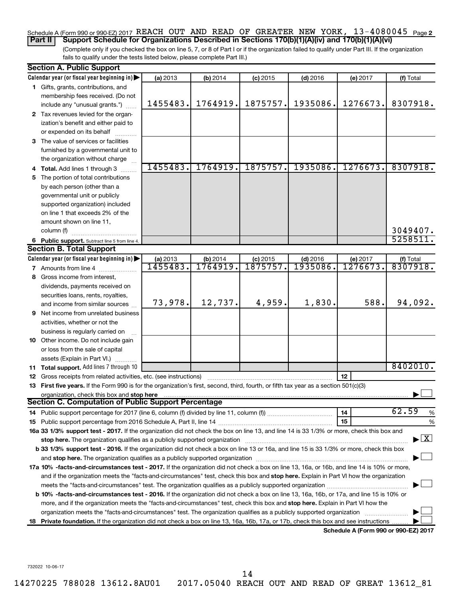### Schedule A (Form 990 or 990-EZ) 2017 REACH OUT AND READ OF GREATER NEW YORK, 13-4080045 <sub>Page 2</sub> **Part II Support Schedule for Organizations Described in Sections 170(b)(1)(A)(iv) and 170(b)(1)(A)(vi)**

(Complete only if you checked the box on line 5, 7, or 8 of Part I or if the organization failed to qualify under Part III. If the organization fails to qualify under the tests listed below, please complete Part III.)

|    | <b>Section A. Public Support</b>                                                                                                                                                                                                                                                                                                                                           |          |          |            |            |                                      |                                          |
|----|----------------------------------------------------------------------------------------------------------------------------------------------------------------------------------------------------------------------------------------------------------------------------------------------------------------------------------------------------------------------------|----------|----------|------------|------------|--------------------------------------|------------------------------------------|
|    | Calendar year (or fiscal year beginning in)                                                                                                                                                                                                                                                                                                                                | (a) 2013 | (b) 2014 | $(c)$ 2015 | $(d)$ 2016 | (e) 2017                             | (f) Total                                |
|    | 1 Gifts, grants, contributions, and                                                                                                                                                                                                                                                                                                                                        |          |          |            |            |                                      |                                          |
|    | membership fees received. (Do not                                                                                                                                                                                                                                                                                                                                          |          |          |            |            |                                      |                                          |
|    | include any "unusual grants.")                                                                                                                                                                                                                                                                                                                                             | 1455483. | 1764919. | 1875757.   | 1935086.   | 1276673.                             | 8307918.                                 |
|    | 2 Tax revenues levied for the organ-                                                                                                                                                                                                                                                                                                                                       |          |          |            |            |                                      |                                          |
|    | ization's benefit and either paid to                                                                                                                                                                                                                                                                                                                                       |          |          |            |            |                                      |                                          |
|    | or expended on its behalf                                                                                                                                                                                                                                                                                                                                                  |          |          |            |            |                                      |                                          |
|    | 3 The value of services or facilities                                                                                                                                                                                                                                                                                                                                      |          |          |            |            |                                      |                                          |
|    | furnished by a governmental unit to                                                                                                                                                                                                                                                                                                                                        |          |          |            |            |                                      |                                          |
|    | the organization without charge                                                                                                                                                                                                                                                                                                                                            |          |          |            |            |                                      |                                          |
|    | 4 Total. Add lines 1 through 3                                                                                                                                                                                                                                                                                                                                             | 1455483. | 1764919. | 1875757.   | 1935086.   | 1276673.                             | 8307918.                                 |
| 5. | The portion of total contributions                                                                                                                                                                                                                                                                                                                                         |          |          |            |            |                                      |                                          |
|    | by each person (other than a                                                                                                                                                                                                                                                                                                                                               |          |          |            |            |                                      |                                          |
|    | governmental unit or publicly                                                                                                                                                                                                                                                                                                                                              |          |          |            |            |                                      |                                          |
|    | supported organization) included                                                                                                                                                                                                                                                                                                                                           |          |          |            |            |                                      |                                          |
|    | on line 1 that exceeds 2% of the                                                                                                                                                                                                                                                                                                                                           |          |          |            |            |                                      |                                          |
|    | amount shown on line 11,                                                                                                                                                                                                                                                                                                                                                   |          |          |            |            |                                      |                                          |
|    | column (f)                                                                                                                                                                                                                                                                                                                                                                 |          |          |            |            |                                      | 3049407.                                 |
|    | 6 Public support. Subtract line 5 from line 4.                                                                                                                                                                                                                                                                                                                             |          |          |            |            |                                      | 5258511.                                 |
|    | <b>Section B. Total Support</b>                                                                                                                                                                                                                                                                                                                                            |          |          |            |            |                                      |                                          |
|    | Calendar year (or fiscal year beginning in) $\blacktriangleright$                                                                                                                                                                                                                                                                                                          | (a) 2013 | (b) 2014 | $(c)$ 2015 | $(d)$ 2016 | (e) 2017                             | (f) Total                                |
|    | <b>7</b> Amounts from line 4                                                                                                                                                                                                                                                                                                                                               | 1455483. | 1764919. | 1875757.   | 1935086    | 1276673.                             | 8307918.                                 |
|    | 8 Gross income from interest,                                                                                                                                                                                                                                                                                                                                              |          |          |            |            |                                      |                                          |
|    | dividends, payments received on                                                                                                                                                                                                                                                                                                                                            |          |          |            |            |                                      |                                          |
|    | securities loans, rents, royalties,                                                                                                                                                                                                                                                                                                                                        |          |          |            |            |                                      |                                          |
|    | and income from similar sources                                                                                                                                                                                                                                                                                                                                            | 73,978.  | 12,737.  | 4,959.     | 1,830.     | 588.                                 | 94,092.                                  |
|    | <b>9</b> Net income from unrelated business                                                                                                                                                                                                                                                                                                                                |          |          |            |            |                                      |                                          |
|    | activities, whether or not the                                                                                                                                                                                                                                                                                                                                             |          |          |            |            |                                      |                                          |
|    | business is regularly carried on                                                                                                                                                                                                                                                                                                                                           |          |          |            |            |                                      |                                          |
|    | 10 Other income. Do not include gain                                                                                                                                                                                                                                                                                                                                       |          |          |            |            |                                      |                                          |
|    | or loss from the sale of capital                                                                                                                                                                                                                                                                                                                                           |          |          |            |            |                                      |                                          |
|    | assets (Explain in Part VI.)                                                                                                                                                                                                                                                                                                                                               |          |          |            |            |                                      |                                          |
|    | 11 Total support. Add lines 7 through 10                                                                                                                                                                                                                                                                                                                                   |          |          |            |            |                                      | 8402010.                                 |
|    | <b>12</b> Gross receipts from related activities, etc. (see instructions)                                                                                                                                                                                                                                                                                                  |          |          |            |            | 12                                   |                                          |
|    | 13 First five years. If the Form 990 is for the organization's first, second, third, fourth, or fifth tax year as a section 501(c)(3)                                                                                                                                                                                                                                      |          |          |            |            |                                      |                                          |
|    | organization, check this box and stop here<br>Section C. Computation of Public Support Percentage                                                                                                                                                                                                                                                                          |          |          |            |            |                                      |                                          |
|    |                                                                                                                                                                                                                                                                                                                                                                            |          |          |            |            |                                      | 62.59                                    |
|    |                                                                                                                                                                                                                                                                                                                                                                            |          |          |            |            | 14                                   | %                                        |
|    | 16a 33 1/3% support test - 2017. If the organization did not check the box on line 13, and line 14 is 33 1/3% or more, check this box and                                                                                                                                                                                                                                  |          |          |            |            | 15                                   | %                                        |
|    |                                                                                                                                                                                                                                                                                                                                                                            |          |          |            |            |                                      | $\blacktriangleright$ $\boxed{\text{X}}$ |
|    | stop here. The organization qualifies as a publicly supported organization manufactured content and the organization manufactured or an analyzing the stress of the stress of the stress of the stress of the stress of the st<br>b 33 1/3% support test - 2016. If the organization did not check a box on line 13 or 16a, and line 15 is 33 1/3% or more, check this box |          |          |            |            |                                      |                                          |
|    |                                                                                                                                                                                                                                                                                                                                                                            |          |          |            |            |                                      |                                          |
|    | 17a 10% -facts-and-circumstances test - 2017. If the organization did not check a box on line 13, 16a, or 16b, and line 14 is 10% or more,                                                                                                                                                                                                                                 |          |          |            |            |                                      |                                          |
|    |                                                                                                                                                                                                                                                                                                                                                                            |          |          |            |            |                                      |                                          |
|    | and if the organization meets the "facts-and-circumstances" test, check this box and stop here. Explain in Part VI how the organization                                                                                                                                                                                                                                    |          |          |            |            |                                      |                                          |
|    | <b>b 10%</b> -facts-and-circumstances test - 2016. If the organization did not check a box on line 13, 16a, 16b, or 17a, and line 15 is 10% or                                                                                                                                                                                                                             |          |          |            |            |                                      |                                          |
|    | more, and if the organization meets the "facts-and-circumstances" test, check this box and stop here. Explain in Part VI how the                                                                                                                                                                                                                                           |          |          |            |            |                                      |                                          |
|    | organization meets the "facts-and-circumstances" test. The organization qualifies as a publicly supported organization                                                                                                                                                                                                                                                     |          |          |            |            |                                      |                                          |
|    | 18 Private foundation. If the organization did not check a box on line 13, 16a, 16b, 17a, or 17b, check this box and see instructions.                                                                                                                                                                                                                                     |          |          |            |            |                                      |                                          |
|    |                                                                                                                                                                                                                                                                                                                                                                            |          |          |            |            | Schedule A (Form 990 or 990-EZ) 2017 |                                          |

732022 10-06-17

14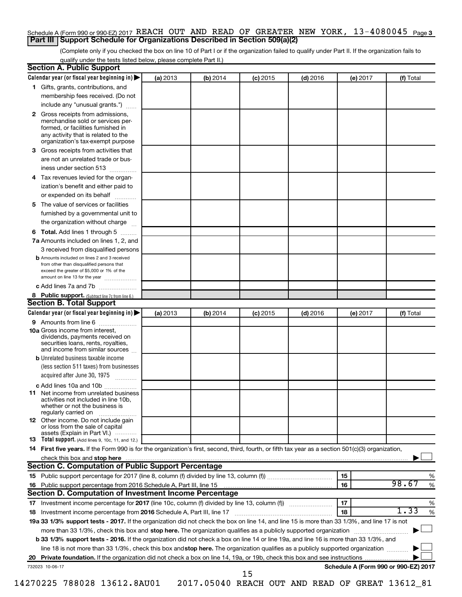### Schedule A (Form 990 or 990-EZ) 2017 REACH OUT AND READ OF GREATER NEW YORK, 13-4080045 <sub>Page 3</sub> **Part III Support Schedule for Organizations Described in Section 509(a)(2)**

(Complete only if you checked the box on line 10 of Part I or if the organization failed to qualify under Part II. If the organization fails to qualify under the tests listed below, please complete Part II.)

| Calendar year (or fiscal year beginning in)<br>(a) 2013<br>(b) 2014<br>$(d)$ 2016<br>(f) Total<br>$(c)$ 2015<br>(e) 2017<br>1 Gifts, grants, contributions, and<br>membership fees received. (Do not<br>include any "unusual grants.")<br>2 Gross receipts from admissions,<br>merchandise sold or services per-<br>formed, or facilities furnished in<br>any activity that is related to the<br>organization's tax-exempt purpose<br><b>3</b> Gross receipts from activities that<br>are not an unrelated trade or bus-<br>iness under section 513<br>4 Tax revenues levied for the organ-<br>ization's benefit and either paid to<br>or expended on its behalf<br>5 The value of services or facilities<br>furnished by a governmental unit to<br>the organization without charge<br><b>6 Total.</b> Add lines 1 through 5<br>7a Amounts included on lines 1, 2, and<br>3 received from disqualified persons<br><b>b</b> Amounts included on lines 2 and 3 received<br>from other than disqualified persons that<br>exceed the greater of \$5,000 or 1% of the<br>amount on line 13 for the year<br>c Add lines 7a and 7b<br>8 Public support. (Subtract line 7c from line 6.)<br><b>Section B. Total Support</b><br>Calendar year (or fiscal year beginning in)<br>(a) 2013<br>(b) 2014<br>$(c)$ 2015<br>$(d)$ 2016<br>(f) Total<br>(e) 2017<br><b>9</b> Amounts from line 6<br><b>10a</b> Gross income from interest,<br>dividends, payments received on<br>securities loans, rents, royalties,<br>and income from similar sources<br><b>b</b> Unrelated business taxable income<br>(less section 511 taxes) from businesses<br>acquired after June 30, 1975<br>$\overline{\phantom{a}}$<br>c Add lines 10a and 10b<br><b>11</b> Net income from unrelated business<br>activities not included in line 10b.<br>whether or not the business is<br>regularly carried on<br><b>12</b> Other income. Do not include gain<br>or loss from the sale of capital<br>assets (Explain in Part VI.)<br><b>13</b> Total support. (Add lines 9, 10c, 11, and 12.)<br>14 First five years. If the Form 990 is for the organization's first, second, third, fourth, or fifth tax year as a section 501(c)(3) organization,<br><b>Section C. Computation of Public Support Percentage</b><br>15<br>%<br>98.67<br>16<br>%<br>16 Public support percentage from 2016 Schedule A, Part III, line 15<br>Section D. Computation of Investment Income Percentage<br>17<br>%<br>1.33<br>$\%$<br>18<br>18 Investment income percentage from 2016 Schedule A, Part III, line 17<br>19a 33 1/3% support tests - 2017. If the organization did not check the box on line 14, and line 15 is more than 33 1/3%, and line 17 is not<br>more than 33 1/3%, check this box and stop here. The organization qualifies as a publicly supported organization<br>b 33 1/3% support tests - 2016. If the organization did not check a box on line 14 or line 19a, and line 16 is more than 33 1/3%, and<br>line 18 is not more than 33 1/3%, check this box and stop here. The organization qualifies as a publicly supported organization<br>Schedule A (Form 990 or 990-EZ) 2017<br>732023 10-06-17<br>15 | <b>Section A. Public Support</b> |  |  |  |
|-----------------------------------------------------------------------------------------------------------------------------------------------------------------------------------------------------------------------------------------------------------------------------------------------------------------------------------------------------------------------------------------------------------------------------------------------------------------------------------------------------------------------------------------------------------------------------------------------------------------------------------------------------------------------------------------------------------------------------------------------------------------------------------------------------------------------------------------------------------------------------------------------------------------------------------------------------------------------------------------------------------------------------------------------------------------------------------------------------------------------------------------------------------------------------------------------------------------------------------------------------------------------------------------------------------------------------------------------------------------------------------------------------------------------------------------------------------------------------------------------------------------------------------------------------------------------------------------------------------------------------------------------------------------------------------------------------------------------------------------------------------------------------------------------------------------------------------------------------------------------------------------------------------------------------------------------------------------------------------------------------------------------------------------------------------------------------------------------------------------------------------------------------------------------------------------------------------------------------------------------------------------------------------------------------------------------------------------------------------------------------------------------------------------------------------------------------------------------------------------------------------------------------------------------------------------------------------------------------------------------------------------------------------------------------------------------------------------------------------------------------------------------------------------------------------------------------------------------------------------------------------------------------------------------------------------------------------------------------------------------------------------------------------------------------------------------------------------------------------------------------------------------------------------------------|----------------------------------|--|--|--|
|                                                                                                                                                                                                                                                                                                                                                                                                                                                                                                                                                                                                                                                                                                                                                                                                                                                                                                                                                                                                                                                                                                                                                                                                                                                                                                                                                                                                                                                                                                                                                                                                                                                                                                                                                                                                                                                                                                                                                                                                                                                                                                                                                                                                                                                                                                                                                                                                                                                                                                                                                                                                                                                                                                                                                                                                                                                                                                                                                                                                                                                                                                                                                                             |                                  |  |  |  |
|                                                                                                                                                                                                                                                                                                                                                                                                                                                                                                                                                                                                                                                                                                                                                                                                                                                                                                                                                                                                                                                                                                                                                                                                                                                                                                                                                                                                                                                                                                                                                                                                                                                                                                                                                                                                                                                                                                                                                                                                                                                                                                                                                                                                                                                                                                                                                                                                                                                                                                                                                                                                                                                                                                                                                                                                                                                                                                                                                                                                                                                                                                                                                                             |                                  |  |  |  |
|                                                                                                                                                                                                                                                                                                                                                                                                                                                                                                                                                                                                                                                                                                                                                                                                                                                                                                                                                                                                                                                                                                                                                                                                                                                                                                                                                                                                                                                                                                                                                                                                                                                                                                                                                                                                                                                                                                                                                                                                                                                                                                                                                                                                                                                                                                                                                                                                                                                                                                                                                                                                                                                                                                                                                                                                                                                                                                                                                                                                                                                                                                                                                                             |                                  |  |  |  |
|                                                                                                                                                                                                                                                                                                                                                                                                                                                                                                                                                                                                                                                                                                                                                                                                                                                                                                                                                                                                                                                                                                                                                                                                                                                                                                                                                                                                                                                                                                                                                                                                                                                                                                                                                                                                                                                                                                                                                                                                                                                                                                                                                                                                                                                                                                                                                                                                                                                                                                                                                                                                                                                                                                                                                                                                                                                                                                                                                                                                                                                                                                                                                                             |                                  |  |  |  |
|                                                                                                                                                                                                                                                                                                                                                                                                                                                                                                                                                                                                                                                                                                                                                                                                                                                                                                                                                                                                                                                                                                                                                                                                                                                                                                                                                                                                                                                                                                                                                                                                                                                                                                                                                                                                                                                                                                                                                                                                                                                                                                                                                                                                                                                                                                                                                                                                                                                                                                                                                                                                                                                                                                                                                                                                                                                                                                                                                                                                                                                                                                                                                                             |                                  |  |  |  |
|                                                                                                                                                                                                                                                                                                                                                                                                                                                                                                                                                                                                                                                                                                                                                                                                                                                                                                                                                                                                                                                                                                                                                                                                                                                                                                                                                                                                                                                                                                                                                                                                                                                                                                                                                                                                                                                                                                                                                                                                                                                                                                                                                                                                                                                                                                                                                                                                                                                                                                                                                                                                                                                                                                                                                                                                                                                                                                                                                                                                                                                                                                                                                                             |                                  |  |  |  |
|                                                                                                                                                                                                                                                                                                                                                                                                                                                                                                                                                                                                                                                                                                                                                                                                                                                                                                                                                                                                                                                                                                                                                                                                                                                                                                                                                                                                                                                                                                                                                                                                                                                                                                                                                                                                                                                                                                                                                                                                                                                                                                                                                                                                                                                                                                                                                                                                                                                                                                                                                                                                                                                                                                                                                                                                                                                                                                                                                                                                                                                                                                                                                                             |                                  |  |  |  |
|                                                                                                                                                                                                                                                                                                                                                                                                                                                                                                                                                                                                                                                                                                                                                                                                                                                                                                                                                                                                                                                                                                                                                                                                                                                                                                                                                                                                                                                                                                                                                                                                                                                                                                                                                                                                                                                                                                                                                                                                                                                                                                                                                                                                                                                                                                                                                                                                                                                                                                                                                                                                                                                                                                                                                                                                                                                                                                                                                                                                                                                                                                                                                                             |                                  |  |  |  |
|                                                                                                                                                                                                                                                                                                                                                                                                                                                                                                                                                                                                                                                                                                                                                                                                                                                                                                                                                                                                                                                                                                                                                                                                                                                                                                                                                                                                                                                                                                                                                                                                                                                                                                                                                                                                                                                                                                                                                                                                                                                                                                                                                                                                                                                                                                                                                                                                                                                                                                                                                                                                                                                                                                                                                                                                                                                                                                                                                                                                                                                                                                                                                                             |                                  |  |  |  |
|                                                                                                                                                                                                                                                                                                                                                                                                                                                                                                                                                                                                                                                                                                                                                                                                                                                                                                                                                                                                                                                                                                                                                                                                                                                                                                                                                                                                                                                                                                                                                                                                                                                                                                                                                                                                                                                                                                                                                                                                                                                                                                                                                                                                                                                                                                                                                                                                                                                                                                                                                                                                                                                                                                                                                                                                                                                                                                                                                                                                                                                                                                                                                                             |                                  |  |  |  |
|                                                                                                                                                                                                                                                                                                                                                                                                                                                                                                                                                                                                                                                                                                                                                                                                                                                                                                                                                                                                                                                                                                                                                                                                                                                                                                                                                                                                                                                                                                                                                                                                                                                                                                                                                                                                                                                                                                                                                                                                                                                                                                                                                                                                                                                                                                                                                                                                                                                                                                                                                                                                                                                                                                                                                                                                                                                                                                                                                                                                                                                                                                                                                                             |                                  |  |  |  |
|                                                                                                                                                                                                                                                                                                                                                                                                                                                                                                                                                                                                                                                                                                                                                                                                                                                                                                                                                                                                                                                                                                                                                                                                                                                                                                                                                                                                                                                                                                                                                                                                                                                                                                                                                                                                                                                                                                                                                                                                                                                                                                                                                                                                                                                                                                                                                                                                                                                                                                                                                                                                                                                                                                                                                                                                                                                                                                                                                                                                                                                                                                                                                                             |                                  |  |  |  |
|                                                                                                                                                                                                                                                                                                                                                                                                                                                                                                                                                                                                                                                                                                                                                                                                                                                                                                                                                                                                                                                                                                                                                                                                                                                                                                                                                                                                                                                                                                                                                                                                                                                                                                                                                                                                                                                                                                                                                                                                                                                                                                                                                                                                                                                                                                                                                                                                                                                                                                                                                                                                                                                                                                                                                                                                                                                                                                                                                                                                                                                                                                                                                                             |                                  |  |  |  |
|                                                                                                                                                                                                                                                                                                                                                                                                                                                                                                                                                                                                                                                                                                                                                                                                                                                                                                                                                                                                                                                                                                                                                                                                                                                                                                                                                                                                                                                                                                                                                                                                                                                                                                                                                                                                                                                                                                                                                                                                                                                                                                                                                                                                                                                                                                                                                                                                                                                                                                                                                                                                                                                                                                                                                                                                                                                                                                                                                                                                                                                                                                                                                                             |                                  |  |  |  |
|                                                                                                                                                                                                                                                                                                                                                                                                                                                                                                                                                                                                                                                                                                                                                                                                                                                                                                                                                                                                                                                                                                                                                                                                                                                                                                                                                                                                                                                                                                                                                                                                                                                                                                                                                                                                                                                                                                                                                                                                                                                                                                                                                                                                                                                                                                                                                                                                                                                                                                                                                                                                                                                                                                                                                                                                                                                                                                                                                                                                                                                                                                                                                                             |                                  |  |  |  |
|                                                                                                                                                                                                                                                                                                                                                                                                                                                                                                                                                                                                                                                                                                                                                                                                                                                                                                                                                                                                                                                                                                                                                                                                                                                                                                                                                                                                                                                                                                                                                                                                                                                                                                                                                                                                                                                                                                                                                                                                                                                                                                                                                                                                                                                                                                                                                                                                                                                                                                                                                                                                                                                                                                                                                                                                                                                                                                                                                                                                                                                                                                                                                                             |                                  |  |  |  |
|                                                                                                                                                                                                                                                                                                                                                                                                                                                                                                                                                                                                                                                                                                                                                                                                                                                                                                                                                                                                                                                                                                                                                                                                                                                                                                                                                                                                                                                                                                                                                                                                                                                                                                                                                                                                                                                                                                                                                                                                                                                                                                                                                                                                                                                                                                                                                                                                                                                                                                                                                                                                                                                                                                                                                                                                                                                                                                                                                                                                                                                                                                                                                                             |                                  |  |  |  |
|                                                                                                                                                                                                                                                                                                                                                                                                                                                                                                                                                                                                                                                                                                                                                                                                                                                                                                                                                                                                                                                                                                                                                                                                                                                                                                                                                                                                                                                                                                                                                                                                                                                                                                                                                                                                                                                                                                                                                                                                                                                                                                                                                                                                                                                                                                                                                                                                                                                                                                                                                                                                                                                                                                                                                                                                                                                                                                                                                                                                                                                                                                                                                                             |                                  |  |  |  |
|                                                                                                                                                                                                                                                                                                                                                                                                                                                                                                                                                                                                                                                                                                                                                                                                                                                                                                                                                                                                                                                                                                                                                                                                                                                                                                                                                                                                                                                                                                                                                                                                                                                                                                                                                                                                                                                                                                                                                                                                                                                                                                                                                                                                                                                                                                                                                                                                                                                                                                                                                                                                                                                                                                                                                                                                                                                                                                                                                                                                                                                                                                                                                                             |                                  |  |  |  |
|                                                                                                                                                                                                                                                                                                                                                                                                                                                                                                                                                                                                                                                                                                                                                                                                                                                                                                                                                                                                                                                                                                                                                                                                                                                                                                                                                                                                                                                                                                                                                                                                                                                                                                                                                                                                                                                                                                                                                                                                                                                                                                                                                                                                                                                                                                                                                                                                                                                                                                                                                                                                                                                                                                                                                                                                                                                                                                                                                                                                                                                                                                                                                                             |                                  |  |  |  |
|                                                                                                                                                                                                                                                                                                                                                                                                                                                                                                                                                                                                                                                                                                                                                                                                                                                                                                                                                                                                                                                                                                                                                                                                                                                                                                                                                                                                                                                                                                                                                                                                                                                                                                                                                                                                                                                                                                                                                                                                                                                                                                                                                                                                                                                                                                                                                                                                                                                                                                                                                                                                                                                                                                                                                                                                                                                                                                                                                                                                                                                                                                                                                                             |                                  |  |  |  |
|                                                                                                                                                                                                                                                                                                                                                                                                                                                                                                                                                                                                                                                                                                                                                                                                                                                                                                                                                                                                                                                                                                                                                                                                                                                                                                                                                                                                                                                                                                                                                                                                                                                                                                                                                                                                                                                                                                                                                                                                                                                                                                                                                                                                                                                                                                                                                                                                                                                                                                                                                                                                                                                                                                                                                                                                                                                                                                                                                                                                                                                                                                                                                                             |                                  |  |  |  |
|                                                                                                                                                                                                                                                                                                                                                                                                                                                                                                                                                                                                                                                                                                                                                                                                                                                                                                                                                                                                                                                                                                                                                                                                                                                                                                                                                                                                                                                                                                                                                                                                                                                                                                                                                                                                                                                                                                                                                                                                                                                                                                                                                                                                                                                                                                                                                                                                                                                                                                                                                                                                                                                                                                                                                                                                                                                                                                                                                                                                                                                                                                                                                                             |                                  |  |  |  |
|                                                                                                                                                                                                                                                                                                                                                                                                                                                                                                                                                                                                                                                                                                                                                                                                                                                                                                                                                                                                                                                                                                                                                                                                                                                                                                                                                                                                                                                                                                                                                                                                                                                                                                                                                                                                                                                                                                                                                                                                                                                                                                                                                                                                                                                                                                                                                                                                                                                                                                                                                                                                                                                                                                                                                                                                                                                                                                                                                                                                                                                                                                                                                                             |                                  |  |  |  |
|                                                                                                                                                                                                                                                                                                                                                                                                                                                                                                                                                                                                                                                                                                                                                                                                                                                                                                                                                                                                                                                                                                                                                                                                                                                                                                                                                                                                                                                                                                                                                                                                                                                                                                                                                                                                                                                                                                                                                                                                                                                                                                                                                                                                                                                                                                                                                                                                                                                                                                                                                                                                                                                                                                                                                                                                                                                                                                                                                                                                                                                                                                                                                                             |                                  |  |  |  |
|                                                                                                                                                                                                                                                                                                                                                                                                                                                                                                                                                                                                                                                                                                                                                                                                                                                                                                                                                                                                                                                                                                                                                                                                                                                                                                                                                                                                                                                                                                                                                                                                                                                                                                                                                                                                                                                                                                                                                                                                                                                                                                                                                                                                                                                                                                                                                                                                                                                                                                                                                                                                                                                                                                                                                                                                                                                                                                                                                                                                                                                                                                                                                                             |                                  |  |  |  |
|                                                                                                                                                                                                                                                                                                                                                                                                                                                                                                                                                                                                                                                                                                                                                                                                                                                                                                                                                                                                                                                                                                                                                                                                                                                                                                                                                                                                                                                                                                                                                                                                                                                                                                                                                                                                                                                                                                                                                                                                                                                                                                                                                                                                                                                                                                                                                                                                                                                                                                                                                                                                                                                                                                                                                                                                                                                                                                                                                                                                                                                                                                                                                                             |                                  |  |  |  |
|                                                                                                                                                                                                                                                                                                                                                                                                                                                                                                                                                                                                                                                                                                                                                                                                                                                                                                                                                                                                                                                                                                                                                                                                                                                                                                                                                                                                                                                                                                                                                                                                                                                                                                                                                                                                                                                                                                                                                                                                                                                                                                                                                                                                                                                                                                                                                                                                                                                                                                                                                                                                                                                                                                                                                                                                                                                                                                                                                                                                                                                                                                                                                                             |                                  |  |  |  |
|                                                                                                                                                                                                                                                                                                                                                                                                                                                                                                                                                                                                                                                                                                                                                                                                                                                                                                                                                                                                                                                                                                                                                                                                                                                                                                                                                                                                                                                                                                                                                                                                                                                                                                                                                                                                                                                                                                                                                                                                                                                                                                                                                                                                                                                                                                                                                                                                                                                                                                                                                                                                                                                                                                                                                                                                                                                                                                                                                                                                                                                                                                                                                                             |                                  |  |  |  |
|                                                                                                                                                                                                                                                                                                                                                                                                                                                                                                                                                                                                                                                                                                                                                                                                                                                                                                                                                                                                                                                                                                                                                                                                                                                                                                                                                                                                                                                                                                                                                                                                                                                                                                                                                                                                                                                                                                                                                                                                                                                                                                                                                                                                                                                                                                                                                                                                                                                                                                                                                                                                                                                                                                                                                                                                                                                                                                                                                                                                                                                                                                                                                                             |                                  |  |  |  |
|                                                                                                                                                                                                                                                                                                                                                                                                                                                                                                                                                                                                                                                                                                                                                                                                                                                                                                                                                                                                                                                                                                                                                                                                                                                                                                                                                                                                                                                                                                                                                                                                                                                                                                                                                                                                                                                                                                                                                                                                                                                                                                                                                                                                                                                                                                                                                                                                                                                                                                                                                                                                                                                                                                                                                                                                                                                                                                                                                                                                                                                                                                                                                                             |                                  |  |  |  |
|                                                                                                                                                                                                                                                                                                                                                                                                                                                                                                                                                                                                                                                                                                                                                                                                                                                                                                                                                                                                                                                                                                                                                                                                                                                                                                                                                                                                                                                                                                                                                                                                                                                                                                                                                                                                                                                                                                                                                                                                                                                                                                                                                                                                                                                                                                                                                                                                                                                                                                                                                                                                                                                                                                                                                                                                                                                                                                                                                                                                                                                                                                                                                                             |                                  |  |  |  |
|                                                                                                                                                                                                                                                                                                                                                                                                                                                                                                                                                                                                                                                                                                                                                                                                                                                                                                                                                                                                                                                                                                                                                                                                                                                                                                                                                                                                                                                                                                                                                                                                                                                                                                                                                                                                                                                                                                                                                                                                                                                                                                                                                                                                                                                                                                                                                                                                                                                                                                                                                                                                                                                                                                                                                                                                                                                                                                                                                                                                                                                                                                                                                                             |                                  |  |  |  |
|                                                                                                                                                                                                                                                                                                                                                                                                                                                                                                                                                                                                                                                                                                                                                                                                                                                                                                                                                                                                                                                                                                                                                                                                                                                                                                                                                                                                                                                                                                                                                                                                                                                                                                                                                                                                                                                                                                                                                                                                                                                                                                                                                                                                                                                                                                                                                                                                                                                                                                                                                                                                                                                                                                                                                                                                                                                                                                                                                                                                                                                                                                                                                                             |                                  |  |  |  |
|                                                                                                                                                                                                                                                                                                                                                                                                                                                                                                                                                                                                                                                                                                                                                                                                                                                                                                                                                                                                                                                                                                                                                                                                                                                                                                                                                                                                                                                                                                                                                                                                                                                                                                                                                                                                                                                                                                                                                                                                                                                                                                                                                                                                                                                                                                                                                                                                                                                                                                                                                                                                                                                                                                                                                                                                                                                                                                                                                                                                                                                                                                                                                                             |                                  |  |  |  |
|                                                                                                                                                                                                                                                                                                                                                                                                                                                                                                                                                                                                                                                                                                                                                                                                                                                                                                                                                                                                                                                                                                                                                                                                                                                                                                                                                                                                                                                                                                                                                                                                                                                                                                                                                                                                                                                                                                                                                                                                                                                                                                                                                                                                                                                                                                                                                                                                                                                                                                                                                                                                                                                                                                                                                                                                                                                                                                                                                                                                                                                                                                                                                                             |                                  |  |  |  |
|                                                                                                                                                                                                                                                                                                                                                                                                                                                                                                                                                                                                                                                                                                                                                                                                                                                                                                                                                                                                                                                                                                                                                                                                                                                                                                                                                                                                                                                                                                                                                                                                                                                                                                                                                                                                                                                                                                                                                                                                                                                                                                                                                                                                                                                                                                                                                                                                                                                                                                                                                                                                                                                                                                                                                                                                                                                                                                                                                                                                                                                                                                                                                                             |                                  |  |  |  |
|                                                                                                                                                                                                                                                                                                                                                                                                                                                                                                                                                                                                                                                                                                                                                                                                                                                                                                                                                                                                                                                                                                                                                                                                                                                                                                                                                                                                                                                                                                                                                                                                                                                                                                                                                                                                                                                                                                                                                                                                                                                                                                                                                                                                                                                                                                                                                                                                                                                                                                                                                                                                                                                                                                                                                                                                                                                                                                                                                                                                                                                                                                                                                                             |                                  |  |  |  |
|                                                                                                                                                                                                                                                                                                                                                                                                                                                                                                                                                                                                                                                                                                                                                                                                                                                                                                                                                                                                                                                                                                                                                                                                                                                                                                                                                                                                                                                                                                                                                                                                                                                                                                                                                                                                                                                                                                                                                                                                                                                                                                                                                                                                                                                                                                                                                                                                                                                                                                                                                                                                                                                                                                                                                                                                                                                                                                                                                                                                                                                                                                                                                                             |                                  |  |  |  |
|                                                                                                                                                                                                                                                                                                                                                                                                                                                                                                                                                                                                                                                                                                                                                                                                                                                                                                                                                                                                                                                                                                                                                                                                                                                                                                                                                                                                                                                                                                                                                                                                                                                                                                                                                                                                                                                                                                                                                                                                                                                                                                                                                                                                                                                                                                                                                                                                                                                                                                                                                                                                                                                                                                                                                                                                                                                                                                                                                                                                                                                                                                                                                                             |                                  |  |  |  |
|                                                                                                                                                                                                                                                                                                                                                                                                                                                                                                                                                                                                                                                                                                                                                                                                                                                                                                                                                                                                                                                                                                                                                                                                                                                                                                                                                                                                                                                                                                                                                                                                                                                                                                                                                                                                                                                                                                                                                                                                                                                                                                                                                                                                                                                                                                                                                                                                                                                                                                                                                                                                                                                                                                                                                                                                                                                                                                                                                                                                                                                                                                                                                                             |                                  |  |  |  |
|                                                                                                                                                                                                                                                                                                                                                                                                                                                                                                                                                                                                                                                                                                                                                                                                                                                                                                                                                                                                                                                                                                                                                                                                                                                                                                                                                                                                                                                                                                                                                                                                                                                                                                                                                                                                                                                                                                                                                                                                                                                                                                                                                                                                                                                                                                                                                                                                                                                                                                                                                                                                                                                                                                                                                                                                                                                                                                                                                                                                                                                                                                                                                                             |                                  |  |  |  |
|                                                                                                                                                                                                                                                                                                                                                                                                                                                                                                                                                                                                                                                                                                                                                                                                                                                                                                                                                                                                                                                                                                                                                                                                                                                                                                                                                                                                                                                                                                                                                                                                                                                                                                                                                                                                                                                                                                                                                                                                                                                                                                                                                                                                                                                                                                                                                                                                                                                                                                                                                                                                                                                                                                                                                                                                                                                                                                                                                                                                                                                                                                                                                                             |                                  |  |  |  |
|                                                                                                                                                                                                                                                                                                                                                                                                                                                                                                                                                                                                                                                                                                                                                                                                                                                                                                                                                                                                                                                                                                                                                                                                                                                                                                                                                                                                                                                                                                                                                                                                                                                                                                                                                                                                                                                                                                                                                                                                                                                                                                                                                                                                                                                                                                                                                                                                                                                                                                                                                                                                                                                                                                                                                                                                                                                                                                                                                                                                                                                                                                                                                                             |                                  |  |  |  |
|                                                                                                                                                                                                                                                                                                                                                                                                                                                                                                                                                                                                                                                                                                                                                                                                                                                                                                                                                                                                                                                                                                                                                                                                                                                                                                                                                                                                                                                                                                                                                                                                                                                                                                                                                                                                                                                                                                                                                                                                                                                                                                                                                                                                                                                                                                                                                                                                                                                                                                                                                                                                                                                                                                                                                                                                                                                                                                                                                                                                                                                                                                                                                                             |                                  |  |  |  |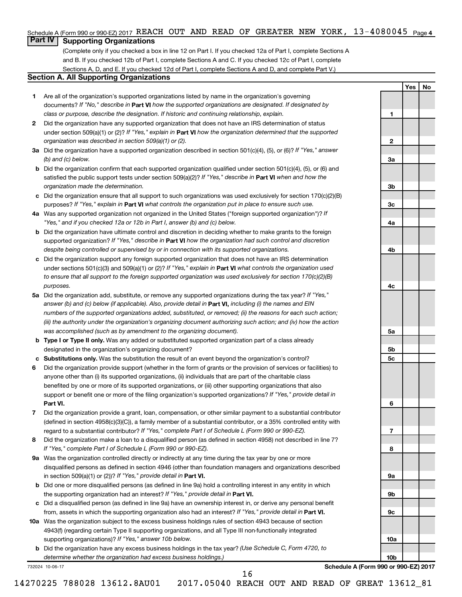### Schedule A (Form 990 or 990-EZ) 2017 REACH OUT AND READ OF GREATER NEW YORK, 13-4080045 <sub>Page 4</sub>

# **Part IV Supporting Organizations**

(Complete only if you checked a box in line 12 on Part I. If you checked 12a of Part I, complete Sections A and B. If you checked 12b of Part I, complete Sections A and C. If you checked 12c of Part I, complete Sections A, D, and E. If you checked 12d of Part I, complete Sections A and D, and complete Part V.)

### **Section A. All Supporting Organizations**

- **1** Are all of the organization's supported organizations listed by name in the organization's governing documents? If "No," describe in Part VI how the supported organizations are designated. If designated by *class or purpose, describe the designation. If historic and continuing relationship, explain.*
- **2** Did the organization have any supported organization that does not have an IRS determination of status under section 509(a)(1) or (2)? If "Yes," explain in Part **VI** how the organization determined that the supported *organization was described in section 509(a)(1) or (2).*
- **3a** Did the organization have a supported organization described in section 501(c)(4), (5), or (6)? If "Yes," answer *(b) and (c) below.*
- **b** Did the organization confirm that each supported organization qualified under section 501(c)(4), (5), or (6) and satisfied the public support tests under section 509(a)(2)? If "Yes," describe in Part VI when and how the *organization made the determination.*
- **c** Did the organization ensure that all support to such organizations was used exclusively for section 170(c)(2)(B) purposes? If "Yes," explain in Part VI what controls the organization put in place to ensure such use.
- **4 a** *If* Was any supported organization not organized in the United States ("foreign supported organization")? *"Yes," and if you checked 12a or 12b in Part I, answer (b) and (c) below.*
- **b** Did the organization have ultimate control and discretion in deciding whether to make grants to the foreign supported organization? If "Yes," describe in Part VI how the organization had such control and discretion *despite being controlled or supervised by or in connection with its supported organizations.*
- **c** Did the organization support any foreign supported organization that does not have an IRS determination under sections 501(c)(3) and 509(a)(1) or (2)? If "Yes," explain in Part VI what controls the organization used *to ensure that all support to the foreign supported organization was used exclusively for section 170(c)(2)(B) purposes.*
- **5a** Did the organization add, substitute, or remove any supported organizations during the tax year? If "Yes," answer (b) and (c) below (if applicable). Also, provide detail in **Part VI,** including (i) the names and EIN *numbers of the supported organizations added, substituted, or removed; (ii) the reasons for each such action; (iii) the authority under the organization's organizing document authorizing such action; and (iv) how the action was accomplished (such as by amendment to the organizing document).*
- **b** Type I or Type II only. Was any added or substituted supported organization part of a class already designated in the organization's organizing document?
- **c Substitutions only.**  Was the substitution the result of an event beyond the organization's control?
- **6** Did the organization provide support (whether in the form of grants or the provision of services or facilities) to **Part VI.** support or benefit one or more of the filing organization's supported organizations? If "Yes," provide detail in anyone other than (i) its supported organizations, (ii) individuals that are part of the charitable class benefited by one or more of its supported organizations, or (iii) other supporting organizations that also
- **7** Did the organization provide a grant, loan, compensation, or other similar payment to a substantial contributor regard to a substantial contributor? If "Yes," complete Part I of Schedule L (Form 990 or 990-EZ). (defined in section 4958(c)(3)(C)), a family member of a substantial contributor, or a 35% controlled entity with
- **8** Did the organization make a loan to a disqualified person (as defined in section 4958) not described in line 7? *If "Yes," complete Part I of Schedule L (Form 990 or 990-EZ).*
- **9 a** Was the organization controlled directly or indirectly at any time during the tax year by one or more in section 509(a)(1) or (2))? If "Yes," provide detail in **Part VI.** disqualified persons as defined in section 4946 (other than foundation managers and organizations described
- **b** Did one or more disqualified persons (as defined in line 9a) hold a controlling interest in any entity in which the supporting organization had an interest? If "Yes," provide detail in Part VI.
- **c** Did a disqualified person (as defined in line 9a) have an ownership interest in, or derive any personal benefit from, assets in which the supporting organization also had an interest? If "Yes," provide detail in Part VI.
- **10 a** Was the organization subject to the excess business holdings rules of section 4943 because of section supporting organizations)? If "Yes," answer 10b below. 4943(f) (regarding certain Type II supporting organizations, and all Type III non-functionally integrated
	- **b** Did the organization have any excess business holdings in the tax year? (Use Schedule C, Form 4720, to *determine whether the organization had excess business holdings.)*

732024 10-06-17

**Schedule A (Form 990 or 990-EZ) 2017**

**Yes No**

**1**

**2**

**3a**

**3b**

**3c**

**4a**

**4b**

**4c**

**5a**

**5b 5c**

**6**

**7**

**8**

**9a**

**9b**

**9c**

**10a**

**10b**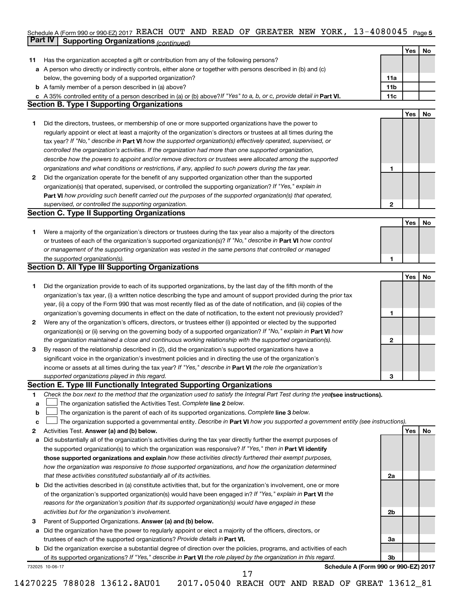### Schedule A (Form 990 or 990-EZ) 2017 KEACH OUT AND KEAD OF GKEATEK NEW YOKK , I 3-4U8UU45 Page 5 **Part IV Supporting Organizations** *(continued)* REACH OUT AND READ OF GREATER NEW YORK, 13-4080045

|              |                                                                                                                                                           |                | Yes | No        |
|--------------|-----------------------------------------------------------------------------------------------------------------------------------------------------------|----------------|-----|-----------|
| 11           | Has the organization accepted a gift or contribution from any of the following persons?                                                                   |                |     |           |
|              | a A person who directly or indirectly controls, either alone or together with persons described in (b) and (c)                                            |                |     |           |
|              | below, the governing body of a supported organization?                                                                                                    | 11a            |     |           |
|              | <b>b</b> A family member of a person described in (a) above?                                                                                              | 11b            |     |           |
|              | c A 35% controlled entity of a person described in (a) or (b) above? If "Yes" to a, b, or c, provide detail in Part VI.                                   | 11c            |     |           |
|              | Section B. Type I Supporting Organizations                                                                                                                |                |     |           |
|              |                                                                                                                                                           |                | Yes | No        |
| 1.           | Did the directors, trustees, or membership of one or more supported organizations have the power to                                                       |                |     |           |
|              | regularly appoint or elect at least a majority of the organization's directors or trustees at all times during the                                        |                |     |           |
|              | tax year? If "No," describe in Part VI how the supported organization(s) effectively operated, supervised, or                                             |                |     |           |
|              | controlled the organization's activities. If the organization had more than one supported organization,                                                   |                |     |           |
|              | describe how the powers to appoint and/or remove directors or trustees were allocated among the supported                                                 |                |     |           |
|              | organizations and what conditions or restrictions, if any, applied to such powers during the tax year.                                                    | 1              |     |           |
| $\mathbf{2}$ | Did the organization operate for the benefit of any supported organization other than the supported                                                       |                |     |           |
|              | organization(s) that operated, supervised, or controlled the supporting organization? If "Yes," explain in                                                |                |     |           |
|              | Part VI how providing such benefit carried out the purposes of the supported organization(s) that operated,                                               |                |     |           |
|              | supervised, or controlled the supporting organization.                                                                                                    | 2              |     |           |
|              | <b>Section C. Type II Supporting Organizations</b>                                                                                                        |                |     |           |
|              |                                                                                                                                                           |                | Yes | <b>No</b> |
| 1.           | Were a majority of the organization's directors or trustees during the tax year also a majority of the directors                                          |                |     |           |
|              | or trustees of each of the organization's supported organization(s)? If "No," describe in <b>Part VI</b> how control                                      |                |     |           |
|              | or management of the supporting organization was vested in the same persons that controlled or managed                                                    |                |     |           |
|              | the supported organization(s).                                                                                                                            | 1              |     |           |
|              | Section D. All Type III Supporting Organizations                                                                                                          |                |     |           |
|              |                                                                                                                                                           |                | Yes | No        |
| 1.           | Did the organization provide to each of its supported organizations, by the last day of the fifth month of the                                            |                |     |           |
|              | organization's tax year, (i) a written notice describing the type and amount of support provided during the prior tax                                     |                |     |           |
|              | year, (ii) a copy of the Form 990 that was most recently filed as of the date of notification, and (iii) copies of the                                    |                |     |           |
|              | organization's governing documents in effect on the date of notification, to the extent not previously provided?                                          | 1              |     |           |
| $\mathbf{2}$ | Were any of the organization's officers, directors, or trustees either (i) appointed or elected by the supported                                          |                |     |           |
|              | organization(s) or (ii) serving on the governing body of a supported organization? If "No," explain in <b>Part VI</b> how                                 |                |     |           |
|              | the organization maintained a close and continuous working relationship with the supported organization(s).                                               | 2              |     |           |
| 3            | By reason of the relationship described in (2), did the organization's supported organizations have a                                                     |                |     |           |
|              | significant voice in the organization's investment policies and in directing the use of the organization's                                                |                |     |           |
|              | income or assets at all times during the tax year? If "Yes," describe in Part VI the role the organization's                                              |                |     |           |
|              | supported organizations played in this regard.                                                                                                            | З              |     |           |
|              | Section E. Type III Functionally Integrated Supporting Organizations                                                                                      |                |     |           |
| 1            | Check the box next to the method that the organization used to satisfy the Integral Part Test during the yealsee instructions).                           |                |     |           |
| a            | The organization satisfied the Activities Test. Complete line 2 below.                                                                                    |                |     |           |
| b            | The organization is the parent of each of its supported organizations. Complete line 3 below.                                                             |                |     |           |
| c            | The organization supported a governmental entity. Describe in Part VI how you supported a government entity (see instructions).                           |                |     |           |
| 2            | Activities Test. Answer (a) and (b) below.                                                                                                                |                | Yes | No        |
| a            | Did substantially all of the organization's activities during the tax year directly further the exempt purposes of                                        |                |     |           |
|              | the supported organization(s) to which the organization was responsive? If "Yes," then in Part VI identify                                                |                |     |           |
|              | those supported organizations and explain how these activities directly furthered their exempt purposes,                                                  |                |     |           |
|              | how the organization was responsive to those supported organizations, and how the organization determined                                                 |                |     |           |
|              | that these activities constituted substantially all of its activities.                                                                                    | 2a             |     |           |
|              | <b>b</b> Did the activities described in (a) constitute activities that, but for the organization's involvement, one or more                              |                |     |           |
|              | of the organization's supported organization(s) would have been engaged in? If "Yes," explain in Part VI the                                              |                |     |           |
|              | reasons for the organization's position that its supported organization(s) would have engaged in these                                                    |                |     |           |
|              | activities but for the organization's involvement.                                                                                                        | 2b             |     |           |
| з            | Parent of Supported Organizations. Answer (a) and (b) below.                                                                                              |                |     |           |
|              | a Did the organization have the power to regularly appoint or elect a majority of the officers, directors, or                                             |                |     |           |
|              | trustees of each of the supported organizations? Provide details in Part VI.                                                                              | 3a             |     |           |
|              | <b>b</b> Did the organization exercise a substantial degree of direction over the policies, programs, and activities of each                              | 3 <sub>b</sub> |     |           |
|              | of its supported organizations? If "Yes," describe in Part VI the role played by the organization in this regard.<br>Schedule A (Form 990 or 990-EZ) 2017 |                |     |           |
|              | 732025 10-06-17<br>17                                                                                                                                     |                |     |           |
|              |                                                                                                                                                           |                |     |           |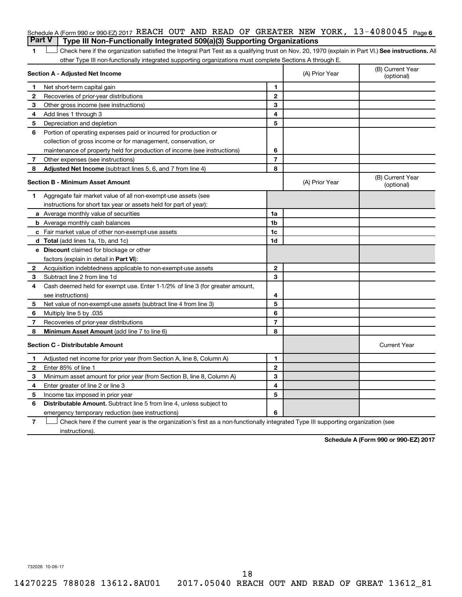## Schedule A (Form 990 or 990-EZ) 2017 REACH OUT AND READ OF GREATER NEW YORK, 13-4080045 <sub>Page 6</sub> **Part V Type III Non-Functionally Integrated 509(a)(3) Supporting Organizations**

1 **Letter See instructions.** All Check here if the organization satisfied the Integral Part Test as a qualifying trust on Nov. 20, 1970 (explain in Part VI.) See instructions. All other Type III non-functionally integrated supporting organizations must complete Sections A through E.

|              | Section A - Adjusted Net Income                                              |                | (A) Prior Year | (B) Current Year<br>(optional) |
|--------------|------------------------------------------------------------------------------|----------------|----------------|--------------------------------|
| 1            | Net short-term capital gain                                                  | 1              |                |                                |
| 2            | Recoveries of prior-year distributions                                       | $\mathbf{2}$   |                |                                |
| З            | Other gross income (see instructions)                                        | 3              |                |                                |
| 4            | Add lines 1 through 3                                                        | 4              |                |                                |
| 5            | Depreciation and depletion                                                   | 5              |                |                                |
| 6            | Portion of operating expenses paid or incurred for production or             |                |                |                                |
|              | collection of gross income or for management, conservation, or               |                |                |                                |
|              | maintenance of property held for production of income (see instructions)     | 6              |                |                                |
| 7            | Other expenses (see instructions)                                            | $\overline{7}$ |                |                                |
| 8            | Adjusted Net Income (subtract lines 5, 6, and 7 from line 4)                 | 8              |                |                                |
|              | <b>Section B - Minimum Asset Amount</b>                                      |                | (A) Prior Year | (B) Current Year<br>(optional) |
| 1.           | Aggregate fair market value of all non-exempt-use assets (see                |                |                |                                |
|              | instructions for short tax year or assets held for part of year):            |                |                |                                |
|              | a Average monthly value of securities                                        | 1a             |                |                                |
|              | <b>b</b> Average monthly cash balances                                       | 1 <sub>b</sub> |                |                                |
|              | <b>c</b> Fair market value of other non-exempt-use assets                    | 1c             |                |                                |
|              | d Total (add lines 1a, 1b, and 1c)                                           | 1d             |                |                                |
|              | e Discount claimed for blockage or other                                     |                |                |                                |
|              | factors (explain in detail in <b>Part VI</b> ):                              |                |                |                                |
| $\mathbf{2}$ | Acquisition indebtedness applicable to non-exempt-use assets                 | $\mathbf{2}$   |                |                                |
| 3            | Subtract line 2 from line 1d                                                 | 3              |                |                                |
| 4            | Cash deemed held for exempt use. Enter 1-1/2% of line 3 (for greater amount, |                |                |                                |
|              | see instructions)                                                            | 4              |                |                                |
| 5            | Net value of non-exempt-use assets (subtract line 4 from line 3)             | 5              |                |                                |
| 6            | Multiply line 5 by .035                                                      | 6              |                |                                |
| 7            | Recoveries of prior-year distributions                                       | $\overline{7}$ |                |                                |
| 8            | <b>Minimum Asset Amount (add line 7 to line 6)</b>                           | 8              |                |                                |
|              | <b>Section C - Distributable Amount</b>                                      |                |                | <b>Current Year</b>            |
| 1            | Adjusted net income for prior year (from Section A, line 8, Column A)        | 1              |                |                                |
| 2            | Enter 85% of line 1                                                          | $\overline{2}$ |                |                                |
| 3            | Minimum asset amount for prior year (from Section B, line 8, Column A)       | 3              |                |                                |
| 4            | Enter greater of line 2 or line 3                                            | 4              |                |                                |
| 5            | Income tax imposed in prior year                                             | 5              |                |                                |
| 6            | <b>Distributable Amount.</b> Subtract line 5 from line 4, unless subject to  |                |                |                                |
|              | emergency temporary reduction (see instructions)                             | 6              |                |                                |
|              |                                                                              |                |                |                                |

**7** Check here if the current year is the organization's first as a non-functionally integrated Type III supporting organization (see † instructions).

**Schedule A (Form 990 or 990-EZ) 2017**

732026 10-06-17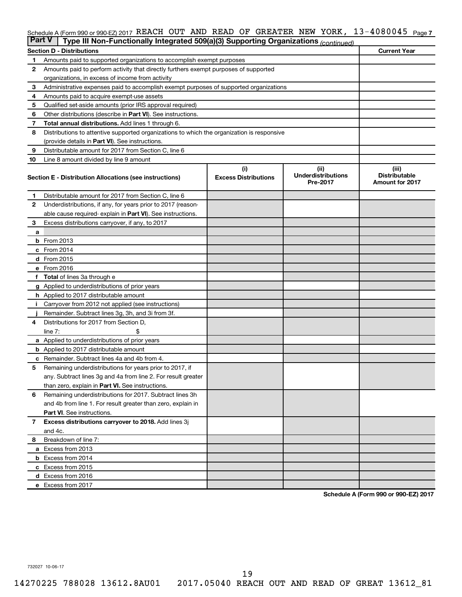### Schedule A (Form 990 or 990-EZ) 2017 REACH OUT AND READ OF GREATER NEW YORK, 13-4080045 <sub>Page 7</sub>

| <b>Part V</b> | Type III Non-Functionally Integrated 509(a)(3) Supporting Organizations (continued)        |                             |                                       |                                                |  |  |  |  |  |  |
|---------------|--------------------------------------------------------------------------------------------|-----------------------------|---------------------------------------|------------------------------------------------|--|--|--|--|--|--|
|               | <b>Section D - Distributions</b>                                                           |                             |                                       | <b>Current Year</b>                            |  |  |  |  |  |  |
| 1             | Amounts paid to supported organizations to accomplish exempt purposes                      |                             |                                       |                                                |  |  |  |  |  |  |
| 2             | Amounts paid to perform activity that directly furthers exempt purposes of supported       |                             |                                       |                                                |  |  |  |  |  |  |
|               | organizations, in excess of income from activity                                           |                             |                                       |                                                |  |  |  |  |  |  |
| 3             | Administrative expenses paid to accomplish exempt purposes of supported organizations      |                             |                                       |                                                |  |  |  |  |  |  |
| 4             | Amounts paid to acquire exempt-use assets                                                  |                             |                                       |                                                |  |  |  |  |  |  |
| 5             | Qualified set-aside amounts (prior IRS approval required)                                  |                             |                                       |                                                |  |  |  |  |  |  |
| 6             | Other distributions (describe in Part VI). See instructions.                               |                             |                                       |                                                |  |  |  |  |  |  |
| 7             | Total annual distributions. Add lines 1 through 6.                                         |                             |                                       |                                                |  |  |  |  |  |  |
| 8             | Distributions to attentive supported organizations to which the organization is responsive |                             |                                       |                                                |  |  |  |  |  |  |
|               | (provide details in Part VI). See instructions.                                            |                             |                                       |                                                |  |  |  |  |  |  |
| 9             | Distributable amount for 2017 from Section C, line 6                                       |                             |                                       |                                                |  |  |  |  |  |  |
| 10            | Line 8 amount divided by line 9 amount                                                     |                             |                                       |                                                |  |  |  |  |  |  |
|               |                                                                                            | (i)                         | (ii)                                  | (iii)                                          |  |  |  |  |  |  |
|               | Section E - Distribution Allocations (see instructions)                                    | <b>Excess Distributions</b> | <b>Underdistributions</b><br>Pre-2017 | <b>Distributable</b><br><b>Amount for 2017</b> |  |  |  |  |  |  |
| 1.            | Distributable amount for 2017 from Section C, line 6                                       |                             |                                       |                                                |  |  |  |  |  |  |
| $\mathbf{2}$  | Underdistributions, if any, for years prior to 2017 (reason-                               |                             |                                       |                                                |  |  |  |  |  |  |
|               | able cause required- explain in Part VI). See instructions.                                |                             |                                       |                                                |  |  |  |  |  |  |
| 3             | Excess distributions carryover, if any, to 2017                                            |                             |                                       |                                                |  |  |  |  |  |  |
| a             |                                                                                            |                             |                                       |                                                |  |  |  |  |  |  |
|               | <b>b</b> From 2013                                                                         |                             |                                       |                                                |  |  |  |  |  |  |
|               | c From 2014                                                                                |                             |                                       |                                                |  |  |  |  |  |  |
|               | d From 2015                                                                                |                             |                                       |                                                |  |  |  |  |  |  |
|               | e From 2016                                                                                |                             |                                       |                                                |  |  |  |  |  |  |
|               | f Total of lines 3a through e                                                              |                             |                                       |                                                |  |  |  |  |  |  |
|               | <b>g</b> Applied to underdistributions of prior years                                      |                             |                                       |                                                |  |  |  |  |  |  |
|               | <b>h</b> Applied to 2017 distributable amount                                              |                             |                                       |                                                |  |  |  |  |  |  |
|               | Carryover from 2012 not applied (see instructions)                                         |                             |                                       |                                                |  |  |  |  |  |  |
|               | Remainder. Subtract lines 3g, 3h, and 3i from 3f.                                          |                             |                                       |                                                |  |  |  |  |  |  |
| 4             | Distributions for 2017 from Section D,                                                     |                             |                                       |                                                |  |  |  |  |  |  |
|               | $line 7$ :                                                                                 |                             |                                       |                                                |  |  |  |  |  |  |
|               | a Applied to underdistributions of prior years                                             |                             |                                       |                                                |  |  |  |  |  |  |
|               | <b>b</b> Applied to 2017 distributable amount                                              |                             |                                       |                                                |  |  |  |  |  |  |
| с             | Remainder. Subtract lines 4a and 4b from 4.                                                |                             |                                       |                                                |  |  |  |  |  |  |
| 5             | Remaining underdistributions for years prior to 2017, if                                   |                             |                                       |                                                |  |  |  |  |  |  |
|               | any. Subtract lines 3g and 4a from line 2. For result greater                              |                             |                                       |                                                |  |  |  |  |  |  |
|               | than zero, explain in Part VI. See instructions.                                           |                             |                                       |                                                |  |  |  |  |  |  |
| 6             | Remaining underdistributions for 2017. Subtract lines 3h                                   |                             |                                       |                                                |  |  |  |  |  |  |
|               | and 4b from line 1. For result greater than zero, explain in                               |                             |                                       |                                                |  |  |  |  |  |  |
|               | <b>Part VI.</b> See instructions.                                                          |                             |                                       |                                                |  |  |  |  |  |  |
| $\mathbf{7}$  | Excess distributions carryover to 2018. Add lines 3j                                       |                             |                                       |                                                |  |  |  |  |  |  |
|               | and 4c.                                                                                    |                             |                                       |                                                |  |  |  |  |  |  |
| 8             | Breakdown of line 7:                                                                       |                             |                                       |                                                |  |  |  |  |  |  |
|               | a Excess from 2013                                                                         |                             |                                       |                                                |  |  |  |  |  |  |
|               | <b>b</b> Excess from 2014                                                                  |                             |                                       |                                                |  |  |  |  |  |  |
|               | c Excess from 2015                                                                         |                             |                                       |                                                |  |  |  |  |  |  |
|               | d Excess from 2016                                                                         |                             |                                       |                                                |  |  |  |  |  |  |
|               | e Excess from 2017                                                                         |                             |                                       |                                                |  |  |  |  |  |  |

**Schedule A (Form 990 or 990-EZ) 2017**

732027 10-06-17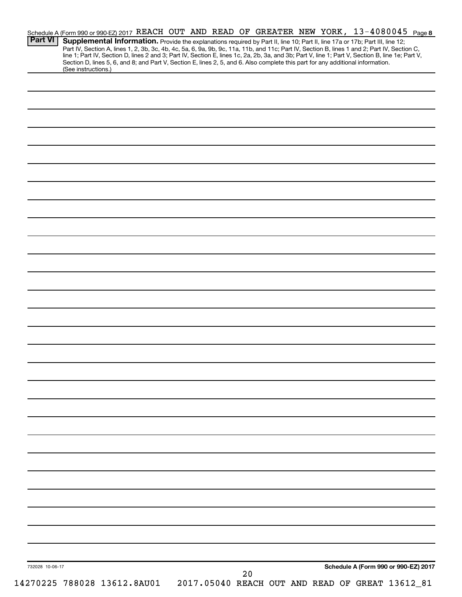| <b>Part VI</b>  | Schedule A (Form 990 or 990-EZ) 2017 REACH OUT AND READ OF GREATER NEW YORK, 13-4080045 Page 8<br>Supplemental Information. Provide the explanations required by Part II, line 10; Part II, line 17a or 17b; Part III, line 12;<br>Part IV, Section A, lines 1, 2, 3b, 3c, 4b, 4c, 5a, 6, 9a, 9b, 9c, 11a, 11b, and 11c; Part IV, Section B, lines 1 and 2; Part IV, Section C, |  |  |    |  |                                      |  |
|-----------------|---------------------------------------------------------------------------------------------------------------------------------------------------------------------------------------------------------------------------------------------------------------------------------------------------------------------------------------------------------------------------------|--|--|----|--|--------------------------------------|--|
|                 | line 1; Part IV, Section D, lines 2 and 3; Part IV, Section E, lines 1c, 2a, 2b, 3a, and 3b; Part V, line 1; Part V, Section B, line 1e; Part V,<br>Section D, lines 5, 6, and 8; and Part V, Section E, lines 2, 5, and 6. Also complete this part for any additional information.<br>(See instructions.)                                                                      |  |  |    |  |                                      |  |
|                 |                                                                                                                                                                                                                                                                                                                                                                                 |  |  |    |  |                                      |  |
|                 |                                                                                                                                                                                                                                                                                                                                                                                 |  |  |    |  |                                      |  |
|                 |                                                                                                                                                                                                                                                                                                                                                                                 |  |  |    |  |                                      |  |
|                 |                                                                                                                                                                                                                                                                                                                                                                                 |  |  |    |  |                                      |  |
|                 |                                                                                                                                                                                                                                                                                                                                                                                 |  |  |    |  |                                      |  |
|                 |                                                                                                                                                                                                                                                                                                                                                                                 |  |  |    |  |                                      |  |
|                 |                                                                                                                                                                                                                                                                                                                                                                                 |  |  |    |  |                                      |  |
|                 |                                                                                                                                                                                                                                                                                                                                                                                 |  |  |    |  |                                      |  |
|                 |                                                                                                                                                                                                                                                                                                                                                                                 |  |  |    |  |                                      |  |
|                 |                                                                                                                                                                                                                                                                                                                                                                                 |  |  |    |  |                                      |  |
|                 |                                                                                                                                                                                                                                                                                                                                                                                 |  |  |    |  |                                      |  |
|                 |                                                                                                                                                                                                                                                                                                                                                                                 |  |  |    |  |                                      |  |
|                 |                                                                                                                                                                                                                                                                                                                                                                                 |  |  |    |  |                                      |  |
|                 |                                                                                                                                                                                                                                                                                                                                                                                 |  |  |    |  |                                      |  |
|                 |                                                                                                                                                                                                                                                                                                                                                                                 |  |  |    |  |                                      |  |
|                 |                                                                                                                                                                                                                                                                                                                                                                                 |  |  |    |  |                                      |  |
|                 |                                                                                                                                                                                                                                                                                                                                                                                 |  |  |    |  |                                      |  |
|                 |                                                                                                                                                                                                                                                                                                                                                                                 |  |  |    |  |                                      |  |
|                 |                                                                                                                                                                                                                                                                                                                                                                                 |  |  |    |  |                                      |  |
|                 |                                                                                                                                                                                                                                                                                                                                                                                 |  |  |    |  |                                      |  |
|                 |                                                                                                                                                                                                                                                                                                                                                                                 |  |  |    |  |                                      |  |
|                 |                                                                                                                                                                                                                                                                                                                                                                                 |  |  |    |  |                                      |  |
|                 |                                                                                                                                                                                                                                                                                                                                                                                 |  |  |    |  |                                      |  |
|                 |                                                                                                                                                                                                                                                                                                                                                                                 |  |  |    |  |                                      |  |
|                 |                                                                                                                                                                                                                                                                                                                                                                                 |  |  |    |  |                                      |  |
|                 |                                                                                                                                                                                                                                                                                                                                                                                 |  |  |    |  |                                      |  |
|                 |                                                                                                                                                                                                                                                                                                                                                                                 |  |  |    |  |                                      |  |
|                 |                                                                                                                                                                                                                                                                                                                                                                                 |  |  |    |  |                                      |  |
|                 |                                                                                                                                                                                                                                                                                                                                                                                 |  |  |    |  |                                      |  |
| 732028 10-06-17 |                                                                                                                                                                                                                                                                                                                                                                                 |  |  | 20 |  | Schedule A (Form 990 or 990-EZ) 2017 |  |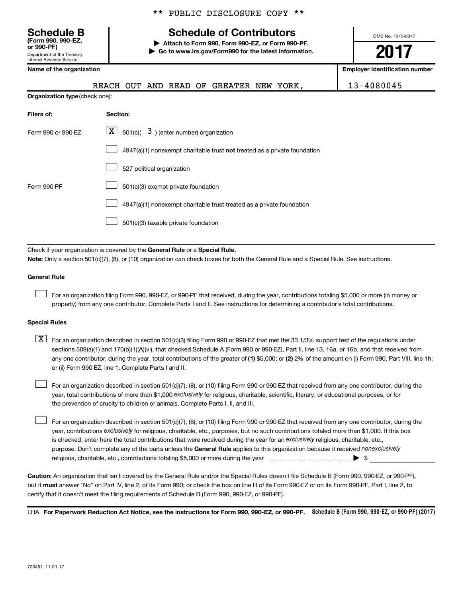Department of the Treasury Internal Revenue Service **(Form 990, 990-EZ,**

# **Schedule B Schedule of Contributors**

**or 990-PF) | Attach to Form 990, Form 990-EZ, or Form 990-PF. | Go to www.irs.gov/Form990 for the latest information.** OMB No. 1545-0047

# **2017**

**Name of the organization Employer identification number**

|                                       | REACH OUT AND READ OF GREATER NEW YORK,                                   | $13 - 4080045$ |
|---------------------------------------|---------------------------------------------------------------------------|----------------|
| <b>Organization type (check one):</b> |                                                                           |                |
| Filers of:                            | Section:                                                                  |                |
| Form 990 or 990-EZ                    | $\lfloor x \rfloor$ 501(c)( 3) (enter number) organization                |                |
|                                       | 4947(a)(1) nonexempt charitable trust not treated as a private foundation |                |
|                                       | 527 political organization                                                |                |
| Form 990-PF                           | 501(c)(3) exempt private foundation                                       |                |
|                                       | 4947(a)(1) nonexempt charitable trust treated as a private foundation     |                |
|                                       | 501(c)(3) taxable private foundation                                      |                |
|                                       |                                                                           |                |

Check if your organization is covered by the General Rule or a Special Rule. **Note:**  Only a section 501(c)(7), (8), or (10) organization can check boxes for both the General Rule and a Special Rule. See instructions.

### **General Rule**

 $\Box$ 

For an organization filing Form 990, 990-EZ, or 990-PF that received, during the year, contributions totaling \$5,000 or more (in money or property) from any one contributor. Complete Parts I and II. See instructions for determining a contributor's total contributions.

### **Special Rules**

any one contributor, during the year, total contributions of the greater of (1) \$5,000; or (2) 2% of the amount on (i) Form 990, Part VIII, line 1h;  $\boxed{\text{X}}$  For an organization described in section 501(c)(3) filing Form 990 or 990-EZ that met the 33 1/3% support test of the regulations under sections 509(a)(1) and 170(b)(1)(A)(vi), that checked Schedule A (Form 990 or 990-EZ), Part II, line 13, 16a, or 16b, and that received from or (ii) Form 990-EZ, line 1. Complete Parts I and II.

year, total contributions of more than \$1,000 *exclusively* for religious, charitable, scientific, literary, or educational purposes, or for For an organization described in section 501(c)(7), (8), or (10) filing Form 990 or 990-EZ that received from any one contributor, during the the prevention of cruelty to children or animals. Complete Parts I, II, and III.  $\Box$ 

purpose. Don't complete any of the parts unless the General Rule applies to this organization because it received nonexclusively year, contributions exclusively for religious, charitable, etc., purposes, but no such contributions totaled more than \$1,000. If this box is checked, enter here the total contributions that were received during the year for an exclusively religious, charitable, etc., For an organization described in section 501(c)(7), (8), or (10) filing Form 990 or 990-EZ that received from any one contributor, during the religious, charitable, etc., contributions totaling \$5,000 or more during the year  $\ldots$  $\ldots$  $\ldots$  $\ldots$  $\ldots$  $\ldots$  $\Box$ 

**Caution:**  An organization that isn't covered by the General Rule and/or the Special Rules doesn't file Schedule B (Form 990, 990-EZ, or 990-PF),  **must** but it answer "No" on Part IV, line 2, of its Form 990; or check the box on line H of its Form 990-EZ or on its Form 990-PF, Part I, line 2, to certify that it doesn't meet the filing requirements of Schedule B (Form 990, 990-EZ, or 990-PF).

LHA For Paperwork Reduction Act Notice, see the instructions for Form 990, 990-EZ, or 990-PF. Schedule B (Form 990, 990-EZ, or 990-PF) (2017)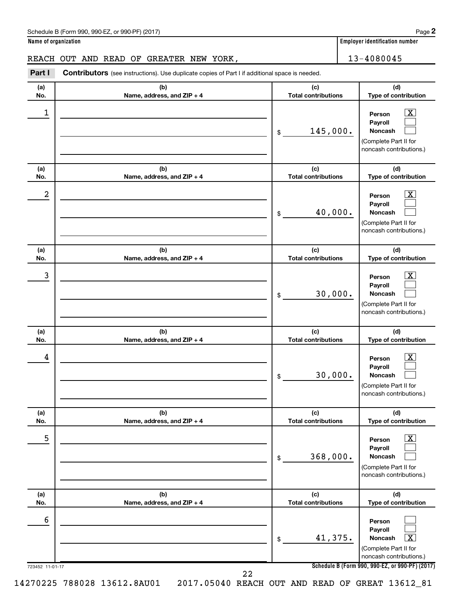### Schedule B (Form 990, 990-EZ, or 990-PF) (2017)

**Name of organization Employer identification number**

## REACH OUT AND READ OF GREATER NEW YORK, THE REACH 13-4080045

723452 11-01-17 **Schedule B (Form 990, 990-EZ, or 990-PF) (2017) (a) No. (b) Name, address, and ZIP + 4 (c) Total contributions (d) Type of contribution Person Payroll Noncash (a) No. (b) Name, address, and ZIP + 4 (c) Total contributions (d) Type of contribution Person Payroll Noncash (a) No. (b) Name, address, and ZIP + 4 (c) Total contributions (d) Type of contribution Person Payroll Noncash (a) No. (b) Name, address, and ZIP + 4 (c) Total contributions (d) Type of contribution Person Payroll Noncash (a) No. (b) Name, address, and ZIP + 4 (c) Total contributions (d) Type of contribution Person Payroll Noncash (a) No. (b) Name, address, and ZIP + 4 (c) Total contributions (d) Type of contribution Person Payroll Noncash Part I** Contributors (see instructions). Use duplicate copies of Part I if additional space is needed. \$ (Complete Part II for noncash contributions.) \$ (Complete Part II for noncash contributions.) \$ (Complete Part II for noncash contributions.) \$ (Complete Part II for noncash contributions.) \$ (Complete Part II for noncash contributions.) \$ (Complete Part II for noncash contributions.)  $\lfloor x \rfloor$  $\Box$  $\Box$  $\overline{\mathbf{X}}$  $\Box$  $\Box$  $\boxed{\textbf{X}}$  $\Box$  $\Box$  $\boxed{\textbf{X}}$  $\Box$  $\Box$  $\boxed{\text{X}}$  $\Box$  $\Box$  $\Box$  $\Box$  $\boxed{\textbf{X}}$  $\begin{array}{|c|c|c|c|c|}\hline \ \text{1} & \text{Person} & \text{X} \ \hline \end{array}$ 145,000.  $2$  Person  $\overline{\text{X}}$ 40,000.  $\begin{array}{|c|c|c|c|c|c|}\hline \text{3} & \text{Person} & \text{X} \ \hline \end{array}$ 30,000.  $\begin{array}{|c|c|c|c|c|}\hline \text{4} & \text{Person} & \text{\textbf{X}}\ \hline \end{array}$ 30,000. 5 X 368,000. 6 41,375. X 14270225 788028 13612.8AU01 2017.05040 REACH OUT AND READ OF GREAT 13612\_81 22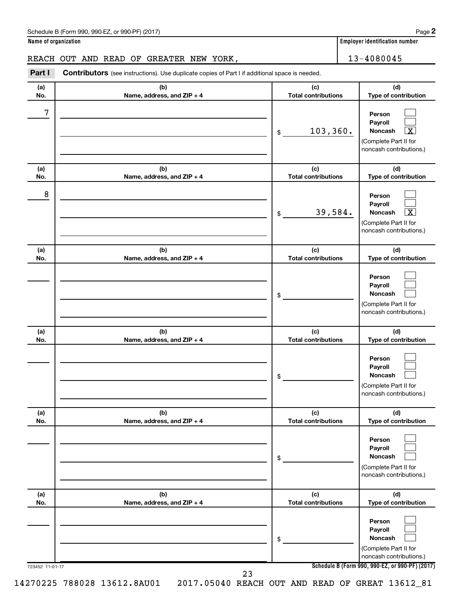### Schedule B (Form 990, 990-EZ, or 990-PF) (2017)

**Name of organization Employer identification number**

# REACH OUT AND READ OF GREATER NEW YORK, THE REACH 13-4080045

723452 11-01-17 **Schedule B (Form 990, 990-EZ, or 990-PF) (2017) (a) No. (b) Name, address, and ZIP + 4 (c) Total contributions (d) Type of contribution Person Payroll Noncash (a) No. (b) Name, address, and ZIP + 4 (c) Total contributions (d) Type of contribution Person Payroll Noncash (a) No. (b) Name, address, and ZIP + 4 (c) Total contributions (d) Type of contribution Person Payroll Noncash (a) No. (b) Name, address, and ZIP + 4 (c) Total contributions (d) Type of contribution Person Payroll Noncash (a) No. (b) Name, address, and ZIP + 4 (c) Total contributions (d) Type of contribution Person Payroll Noncash (a) No. (b) Name, address, and ZIP + 4 (c) Total contributions (d) Type of contribution Person Payroll Noncash Part I** Contributors (see instructions). Use duplicate copies of Part I if additional space is needed. \$ (Complete Part II for noncash contributions.) \$ (Complete Part II for noncash contributions.) \$ (Complete Part II for noncash contributions.) \$ (Complete Part II for noncash contributions.) \$ (Complete Part II for noncash contributions.) \$ (Complete Part II for noncash contributions.)  $\Box$  $\Box$ †  $\Box$  $\Box$ †  $\Box$  $\Box$  $\Box$  $\Box$  $\Box$  $\Box$  $\Box$  $\Box$  $\Box$  $\Box$  $\Box$  $\Box$ 7  $103,360.$ 8 39,584. X 14270225 788028 13612.8AU01 2017.05040 REACH OUT AND READ OF GREAT 13612\_81 23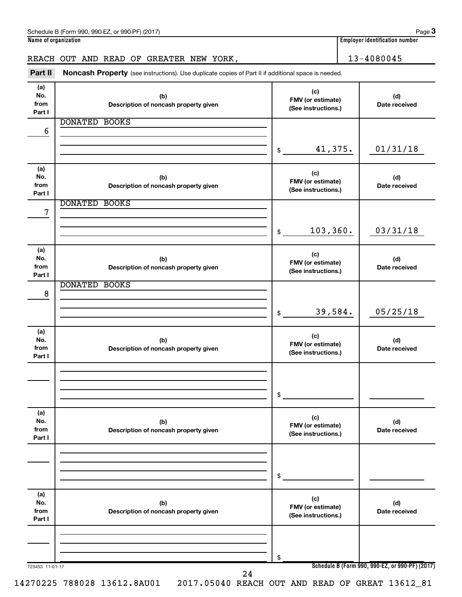| Schedule L<br>990-FZ<br>2017) ،<br>or 990-PF)<br>990<br>B (Form<br>. . | Page                                   |
|------------------------------------------------------------------------|----------------------------------------|
| Name of organization                                                   | <br>identification number .<br>Emplove |

# REACH OUT AND READ OF GREATER NEW YORK, 13-4080045

Part II Noncash Property (see instructions). Use duplicate copies of Part II if additional space is needed.

| (a)<br>No.<br>from<br>Part I | (b)<br>Description of noncash property given | (c)<br>FMV (or estimate)<br>(See instructions.) | (d)<br>Date received                            |
|------------------------------|----------------------------------------------|-------------------------------------------------|-------------------------------------------------|
|                              | <b>DONATED BOOKS</b>                         |                                                 |                                                 |
| 6                            |                                              |                                                 |                                                 |
|                              |                                              |                                                 |                                                 |
|                              |                                              | 41,375.<br>\$                                   | 01/31/18                                        |
| (a)                          |                                              | (c)                                             |                                                 |
| No.                          | (b)                                          | FMV (or estimate)                               | (d)                                             |
| from<br>Part I               | Description of noncash property given        | (See instructions.)                             | Date received                                   |
|                              | <b>DONATED BOOKS</b>                         |                                                 |                                                 |
| 7                            |                                              |                                                 |                                                 |
|                              |                                              |                                                 |                                                 |
|                              |                                              | 103, 360.<br>\$                                 | 03/31/18                                        |
| (a)                          |                                              | (c)                                             |                                                 |
| No.                          | (b)                                          | FMV (or estimate)                               | (d)                                             |
| from<br>Part I               | Description of noncash property given        | (See instructions.)                             | Date received                                   |
|                              | <b>DONATED BOOKS</b>                         |                                                 |                                                 |
| 8                            |                                              |                                                 |                                                 |
|                              |                                              |                                                 |                                                 |
|                              |                                              | 39,584.<br>\$                                   | 05/25/18                                        |
|                              |                                              |                                                 |                                                 |
| (a)<br>No.                   |                                              | (c)                                             |                                                 |
| from                         | (b)<br>Description of noncash property given | FMV (or estimate)                               | (d)<br>Date received                            |
| Part I                       |                                              | (See instructions.)                             |                                                 |
|                              |                                              |                                                 |                                                 |
|                              |                                              |                                                 |                                                 |
|                              |                                              | \$                                              |                                                 |
|                              |                                              |                                                 |                                                 |
| (a)                          |                                              | (c)                                             |                                                 |
| No.<br>from                  | (b)<br>Description of noncash property given | FMV (or estimate)                               | (d)<br>Date received                            |
| Part I                       |                                              | (See instructions.)                             |                                                 |
|                              |                                              |                                                 |                                                 |
|                              |                                              |                                                 |                                                 |
|                              |                                              | \$                                              |                                                 |
| (a)                          |                                              |                                                 |                                                 |
| No.                          | (b)                                          | (c)                                             | (d)                                             |
| from                         | Description of noncash property given        | FMV (or estimate)<br>(See instructions.)        | Date received                                   |
| Part I                       |                                              |                                                 |                                                 |
|                              |                                              |                                                 |                                                 |
|                              |                                              |                                                 |                                                 |
|                              |                                              | \$                                              | Schedule B (Form 990, 990-EZ, or 990-PF) (2017) |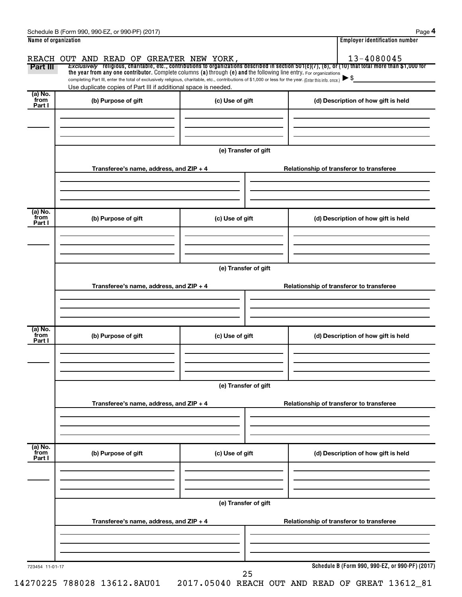| Part III                    | REACH OUT AND READ OF GREATER NEW YORK,                                                                                                                                                                                                                                                                                                            |                      | <b>Employer identification number</b><br>13-4080045<br>Exclusively religious, charitable, etc., contributions to organizations described in section $501(c)(7)$ , (8), or (10) that total more than \$1,000 for |
|-----------------------------|----------------------------------------------------------------------------------------------------------------------------------------------------------------------------------------------------------------------------------------------------------------------------------------------------------------------------------------------------|----------------------|-----------------------------------------------------------------------------------------------------------------------------------------------------------------------------------------------------------------|
|                             | the year from any one contributor. Complete columns (a) through (e) and the following line entry. For organizations<br>completing Part III, enter the total of exclusively religious, charitable, etc., contributions of \$1,000 or less for the year. (Enter this info. once.)<br>Use duplicate copies of Part III if additional space is needed. |                      |                                                                                                                                                                                                                 |
| (a) No.<br>from<br>Part I   | (b) Purpose of gift                                                                                                                                                                                                                                                                                                                                | (c) Use of gift      | (d) Description of how gift is held                                                                                                                                                                             |
|                             |                                                                                                                                                                                                                                                                                                                                                    | (e) Transfer of gift |                                                                                                                                                                                                                 |
|                             | Transferee's name, address, and ZIP + 4                                                                                                                                                                                                                                                                                                            |                      | Relationship of transferor to transferee                                                                                                                                                                        |
| $(a)$ No.<br>from<br>Part I | (b) Purpose of gift                                                                                                                                                                                                                                                                                                                                | (c) Use of gift      | (d) Description of how gift is held                                                                                                                                                                             |
|                             | Transferee's name, address, and ZIP + 4                                                                                                                                                                                                                                                                                                            | (e) Transfer of gift | Relationship of transferor to transferee                                                                                                                                                                        |
|                             |                                                                                                                                                                                                                                                                                                                                                    |                      |                                                                                                                                                                                                                 |
| (a) No.<br>from<br>Part I   | (b) Purpose of gift                                                                                                                                                                                                                                                                                                                                | (c) Use of gift      | (d) Description of how gift is held                                                                                                                                                                             |
|                             |                                                                                                                                                                                                                                                                                                                                                    | (e) Transfer of gift |                                                                                                                                                                                                                 |
|                             | Transferee's name, address, and $ZIP + 4$                                                                                                                                                                                                                                                                                                          |                      | Relationship of transferor to transferee                                                                                                                                                                        |
|                             |                                                                                                                                                                                                                                                                                                                                                    |                      |                                                                                                                                                                                                                 |
|                             |                                                                                                                                                                                                                                                                                                                                                    |                      |                                                                                                                                                                                                                 |
| Part I                      | (b) Purpose of gift                                                                                                                                                                                                                                                                                                                                | (c) Use of gift      | (d) Description of how gift is held                                                                                                                                                                             |
|                             |                                                                                                                                                                                                                                                                                                                                                    | (e) Transfer of gift |                                                                                                                                                                                                                 |
| $(a)$ No.<br>from           | Transferee's name, address, and ZIP + 4                                                                                                                                                                                                                                                                                                            |                      | Relationship of transferor to transferee                                                                                                                                                                        |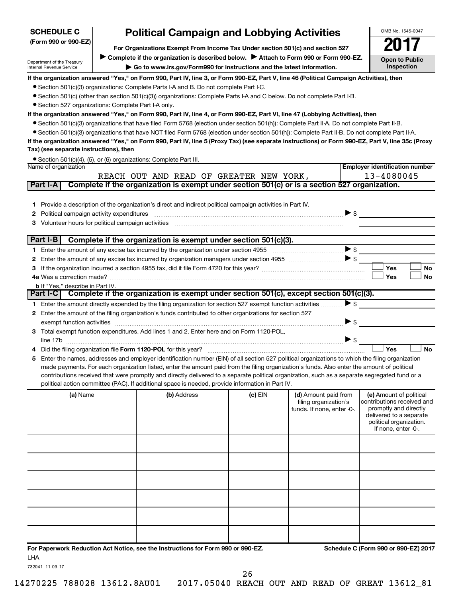| <b>SCHEDULE C</b>                                           | <b>Political Campaign and Lobbying Activities</b>                                                                                                                                                                                                  |           |                                               |                          | OMB No. 1545-0047                                     |
|-------------------------------------------------------------|----------------------------------------------------------------------------------------------------------------------------------------------------------------------------------------------------------------------------------------------------|-----------|-----------------------------------------------|--------------------------|-------------------------------------------------------|
| (Form 990 or 990-EZ)                                        |                                                                                                                                                                                                                                                    |           |                                               |                          |                                                       |
|                                                             | For Organizations Exempt From Income Tax Under section 501(c) and section 527<br>Complete if the organization is described below. Attach to Form 990 or Form 990-EZ.                                                                               |           |                                               |                          |                                                       |
| Department of the Treasury<br>Internal Revenue Service      | Go to www.irs.gov/Form990 for instructions and the latest information.                                                                                                                                                                             |           |                                               |                          | <b>Open to Public</b><br><b>Inspection</b>            |
|                                                             | If the organization answered "Yes," on Form 990, Part IV, line 3, or Form 990-EZ, Part V, line 46 (Political Campaign Activities), then                                                                                                            |           |                                               |                          |                                                       |
|                                                             | • Section 501(c)(3) organizations: Complete Parts I-A and B. Do not complete Part I-C.                                                                                                                                                             |           |                                               |                          |                                                       |
|                                                             | ● Section 501(c) (other than section 501(c)(3)) organizations: Complete Parts I-A and C below. Do not complete Part I-B.                                                                                                                           |           |                                               |                          |                                                       |
| • Section 527 organizations: Complete Part I-A only.        | If the organization answered "Yes," on Form 990, Part IV, line 4, or Form 990-EZ, Part VI, line 47 (Lobbying Activities), then                                                                                                                     |           |                                               |                          |                                                       |
|                                                             | ● Section 501(c)(3) organizations that have filed Form 5768 (election under section 501(h)): Complete Part II-A. Do not complete Part II-B.                                                                                                        |           |                                               |                          |                                                       |
|                                                             | • Section 501(c)(3) organizations that have NOT filed Form 5768 (election under section 501(h)): Complete Part II-B. Do not complete Part II-A.                                                                                                    |           |                                               |                          |                                                       |
|                                                             | If the organization answered "Yes," on Form 990, Part IV, line 5 (Proxy Tax) (see separate instructions) or Form 990-EZ, Part V, line 35c (Proxy                                                                                                   |           |                                               |                          |                                                       |
| Tax) (see separate instructions), then                      |                                                                                                                                                                                                                                                    |           |                                               |                          |                                                       |
|                                                             | • Section 501(c)(4), (5), or (6) organizations: Complete Part III.                                                                                                                                                                                 |           |                                               |                          |                                                       |
| Name of organization                                        |                                                                                                                                                                                                                                                    |           |                                               |                          | <b>Employer identification number</b>                 |
|                                                             | REACH OUT AND READ OF GREATER NEW YORK,<br>Complete if the organization is exempt under section 501(c) or is a section 527 organization.                                                                                                           |           |                                               |                          | 13-4080045                                            |
| Part I-A                                                    |                                                                                                                                                                                                                                                    |           |                                               |                          |                                                       |
|                                                             |                                                                                                                                                                                                                                                    |           |                                               |                          |                                                       |
|                                                             | 1 Provide a description of the organization's direct and indirect political campaign activities in Part IV.                                                                                                                                        |           |                                               | $\triangleright$ \$      |                                                       |
| 2<br>Volunteer hours for political campaign activities<br>3 |                                                                                                                                                                                                                                                    |           |                                               |                          |                                                       |
|                                                             |                                                                                                                                                                                                                                                    |           |                                               |                          |                                                       |
| Part I-B                                                    | Complete if the organization is exempt under section 501(c)(3).                                                                                                                                                                                    |           |                                               |                          |                                                       |
|                                                             |                                                                                                                                                                                                                                                    |           |                                               | $\blacktriangleright$ \$ |                                                       |
| 2                                                           |                                                                                                                                                                                                                                                    |           |                                               |                          |                                                       |
| з                                                           |                                                                                                                                                                                                                                                    |           |                                               |                          | Yes<br>No                                             |
|                                                             |                                                                                                                                                                                                                                                    |           |                                               |                          | Yes<br>No                                             |
| <b>b</b> If "Yes," describe in Part IV.                     | Part I-C   Complete if the organization is exempt under section 501(c), except section 501(c)(3).                                                                                                                                                  |           |                                               |                          |                                                       |
|                                                             |                                                                                                                                                                                                                                                    |           |                                               | $\triangleright$ s       |                                                       |
| 2                                                           | 1 Enter the amount directly expended by the filing organization for section 527 exempt function activities<br>Enter the amount of the filing organization's funds contributed to other organizations for section 527                               |           |                                               |                          |                                                       |
|                                                             | exempt function activities [11,11,11,11,11,11] and the contract of the contract of the contract of the contract of the contract of the contract of the contract of the contract of the contract of the contract of the contrac                     |           |                                               | $\blacktriangleright$ \$ |                                                       |
| З                                                           | Total exempt function expenditures. Add lines 1 and 2. Enter here and on Form 1120-POL,                                                                                                                                                            |           |                                               |                          |                                                       |
|                                                             |                                                                                                                                                                                                                                                    |           |                                               | $\triangleright$ \$      |                                                       |
| 4                                                           |                                                                                                                                                                                                                                                    |           |                                               |                          | Yes<br><b>No</b>                                      |
| 5                                                           | Enter the names, addresses and employer identification number (EIN) of all section 527 political organizations to which the filing organization                                                                                                    |           |                                               |                          |                                                       |
|                                                             | made payments. For each organization listed, enter the amount paid from the filing organization's funds. Also enter the amount of political                                                                                                        |           |                                               |                          |                                                       |
|                                                             | contributions received that were promptly and directly delivered to a separate political organization, such as a separate segregated fund or a<br>political action committee (PAC). If additional space is needed, provide information in Part IV. |           |                                               |                          |                                                       |
|                                                             |                                                                                                                                                                                                                                                    |           |                                               |                          |                                                       |
| (a) Name                                                    | (b) Address                                                                                                                                                                                                                                        | $(c)$ EIN | (d) Amount paid from<br>filing organization's |                          | (e) Amount of political<br>contributions received and |
|                                                             |                                                                                                                                                                                                                                                    |           | funds. If none, enter -0-.                    |                          | promptly and directly                                 |
|                                                             |                                                                                                                                                                                                                                                    |           |                                               |                          | delivered to a separate<br>political organization.    |
|                                                             |                                                                                                                                                                                                                                                    |           |                                               |                          | If none, enter -0-.                                   |
|                                                             |                                                                                                                                                                                                                                                    |           |                                               |                          |                                                       |
|                                                             |                                                                                                                                                                                                                                                    |           |                                               |                          |                                                       |
|                                                             |                                                                                                                                                                                                                                                    |           |                                               |                          |                                                       |
|                                                             |                                                                                                                                                                                                                                                    |           |                                               |                          |                                                       |
|                                                             |                                                                                                                                                                                                                                                    |           |                                               |                          |                                                       |
|                                                             |                                                                                                                                                                                                                                                    |           |                                               |                          |                                                       |
|                                                             |                                                                                                                                                                                                                                                    |           |                                               |                          |                                                       |
|                                                             |                                                                                                                                                                                                                                                    |           |                                               |                          |                                                       |
|                                                             |                                                                                                                                                                                                                                                    |           |                                               |                          |                                                       |
|                                                             |                                                                                                                                                                                                                                                    |           |                                               |                          |                                                       |

**For Paperwork Reduction Act Notice, see the Instructions for Form 990 or 990-EZ. Schedule C (Form 990 or 990-EZ) 2017** LHA

732041 11-09-17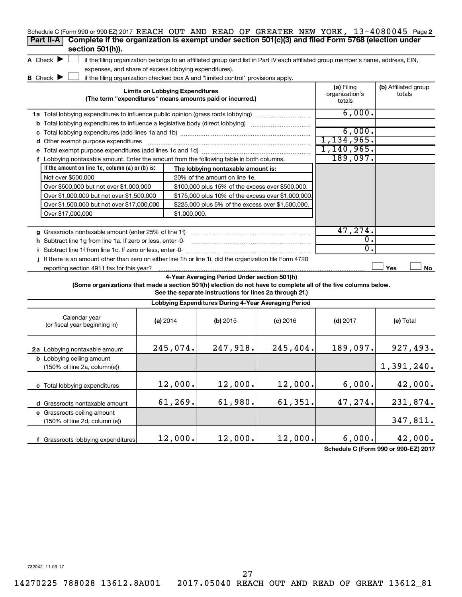| Schedule C (Form 990 or 990-EZ) 2017 REACH OUT AND READ OF GREATER NEW YORK, 13-4080045 Page 2<br>Complete if the organization is exempt under section 501(c)(3) and filed Form 5768 (election under<br>Part II-A<br>section 501(h)). |                                                                                                                                                                                                                           |                                                      |            |                  |            |  |  |  |  |  |
|---------------------------------------------------------------------------------------------------------------------------------------------------------------------------------------------------------------------------------------|---------------------------------------------------------------------------------------------------------------------------------------------------------------------------------------------------------------------------|------------------------------------------------------|------------|------------------|------------|--|--|--|--|--|
| A Check $\blacktriangleright$<br>if the filing organization belongs to an affiliated group (and list in Part IV each affiliated group member's name, address, EIN,                                                                    |                                                                                                                                                                                                                           |                                                      |            |                  |            |  |  |  |  |  |
|                                                                                                                                                                                                                                       | expenses, and share of excess lobbying expenditures).                                                                                                                                                                     |                                                      |            |                  |            |  |  |  |  |  |
| <b>B</b> Check $\blacktriangleright$                                                                                                                                                                                                  | if the filing organization checked box A and "limited control" provisions apply.                                                                                                                                          |                                                      |            |                  |            |  |  |  |  |  |
| <b>Limits on Lobbying Expenditures</b><br>(The term "expenditures" means amounts paid or incurred.)                                                                                                                                   | (a) Filing<br>organization's<br>totals                                                                                                                                                                                    | (b) Affiliated group<br>totals                       |            |                  |            |  |  |  |  |  |
| <b>1a</b> Total lobbying expenditures to influence public opinion (grass roots lobbying)                                                                                                                                              |                                                                                                                                                                                                                           |                                                      |            | 6,000.           |            |  |  |  |  |  |
| <b>b</b> Total lobbying expenditures to influence a legislative body (direct lobbying)                                                                                                                                                |                                                                                                                                                                                                                           |                                                      |            |                  |            |  |  |  |  |  |
|                                                                                                                                                                                                                                       |                                                                                                                                                                                                                           |                                                      |            | 6,000.           |            |  |  |  |  |  |
| <b>d</b> Other exempt purpose expenditures                                                                                                                                                                                            |                                                                                                                                                                                                                           |                                                      |            | 1, 134, 965.     |            |  |  |  |  |  |
|                                                                                                                                                                                                                                       |                                                                                                                                                                                                                           |                                                      |            | 1,140,965.       |            |  |  |  |  |  |
| f Lobbying nontaxable amount. Enter the amount from the following table in both columns.                                                                                                                                              |                                                                                                                                                                                                                           |                                                      |            | 189,097.         |            |  |  |  |  |  |
| If the amount on line 1e, column $(a)$ or $(b)$ is:                                                                                                                                                                                   |                                                                                                                                                                                                                           | The lobbying nontaxable amount is:                   |            |                  |            |  |  |  |  |  |
| Not over \$500,000                                                                                                                                                                                                                    |                                                                                                                                                                                                                           | 20% of the amount on line 1e.                        |            |                  |            |  |  |  |  |  |
| Over \$500,000 but not over \$1,000,000                                                                                                                                                                                               |                                                                                                                                                                                                                           | \$100,000 plus 15% of the excess over \$500,000.     |            |                  |            |  |  |  |  |  |
| Over \$1,000,000 but not over \$1,500,000                                                                                                                                                                                             |                                                                                                                                                                                                                           | \$175,000 plus 10% of the excess over \$1,000,000    |            |                  |            |  |  |  |  |  |
| Over \$1,500,000 but not over \$17,000,000                                                                                                                                                                                            |                                                                                                                                                                                                                           | \$225,000 plus 5% of the excess over \$1,500,000.    |            |                  |            |  |  |  |  |  |
| Over \$17,000,000                                                                                                                                                                                                                     | \$1,000,000.                                                                                                                                                                                                              |                                                      |            |                  |            |  |  |  |  |  |
|                                                                                                                                                                                                                                       |                                                                                                                                                                                                                           |                                                      |            |                  |            |  |  |  |  |  |
| g Grassroots nontaxable amount (enter 25% of line 1f)                                                                                                                                                                                 |                                                                                                                                                                                                                           |                                                      |            | 47,274.          |            |  |  |  |  |  |
| <b>h</b> Subtract line 1g from line 1a. If zero or less, enter -0-                                                                                                                                                                    |                                                                                                                                                                                                                           |                                                      |            | $\overline{0}$ . |            |  |  |  |  |  |
| i Subtract line 1f from line 1c. If zero or less, enter -0-                                                                                                                                                                           |                                                                                                                                                                                                                           |                                                      |            | 0.               |            |  |  |  |  |  |
| j If there is an amount other than zero on either line 1h or line 1i, did the organization file Form 4720                                                                                                                             |                                                                                                                                                                                                                           |                                                      |            |                  |            |  |  |  |  |  |
| reporting section 4911 tax for this year?                                                                                                                                                                                             |                                                                                                                                                                                                                           |                                                      |            |                  | Yes<br>No  |  |  |  |  |  |
|                                                                                                                                                                                                                                       | 4-Year Averaging Period Under section 501(h)<br>(Some organizations that made a section 501(h) election do not have to complete all of the five columns below.<br>See the separate instructions for lines 2a through 2f.) |                                                      |            |                  |            |  |  |  |  |  |
|                                                                                                                                                                                                                                       |                                                                                                                                                                                                                           | Lobbying Expenditures During 4-Year Averaging Period |            |                  |            |  |  |  |  |  |
| Calendar year<br>(or fiscal year beginning in)                                                                                                                                                                                        | (a) 2014                                                                                                                                                                                                                  | $(b)$ 2015                                           | $(c)$ 2016 | $(d)$ 2017       | (e) Total  |  |  |  |  |  |
| 2a Lobbying nontaxable amount                                                                                                                                                                                                         | 245,074.                                                                                                                                                                                                                  | 247,918.                                             | 245,404.   | 189,097.         | 927,493.   |  |  |  |  |  |
| <b>b</b> Lobbying ceiling amount<br>$(150\% \text{ of line } 2a, \text{column}(e))$                                                                                                                                                   |                                                                                                                                                                                                                           |                                                      |            |                  | 1,391,240. |  |  |  |  |  |
| c Total lobbying expenditures                                                                                                                                                                                                         | 12,000.                                                                                                                                                                                                                   | 12,000.                                              | 12,000.    | 6,000.           | 42,000.    |  |  |  |  |  |

 $12,000.$   $12,000.$   $12,000.$   $6,000.$   $42,000.$ 

 $61,269.$   $61,980.$   $61,351.$   $47,274.$   $231,874.$ 

**Schedule C (Form 990 or 990-EZ) 2017**

347,811.

732042 11-09-17

**d** Grassroots nontaxable amount **e** Grassroots ceiling amount

(150% of line 2d, column (e))

**f** Grassroots lobbying expenditures

27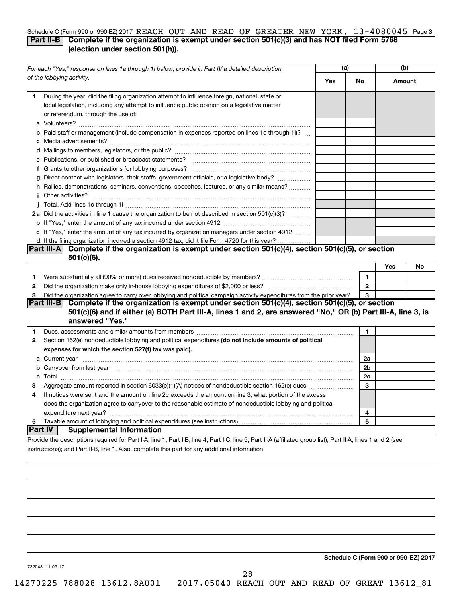### Schedule C (Form 990 or 990-EZ) 2017 REACH OUT AND READ OF GREATER NEW YORK, 13-4080045 Page 3 **Part II-B Complete if the organization is exempt under section 501(c)(3) and has NOT filed Form 5768 (election under section 501(h)).**

| For each "Yes," response on lines 1a through 1i below, provide in Part IV a detailed description |                                                                                                                                                                                                                                             | (a) |                | (b)           |    |
|--------------------------------------------------------------------------------------------------|---------------------------------------------------------------------------------------------------------------------------------------------------------------------------------------------------------------------------------------------|-----|----------------|---------------|----|
|                                                                                                  | of the lobbying activity.                                                                                                                                                                                                                   | Yes | No             | <b>Amount</b> |    |
| 1                                                                                                | During the year, did the filing organization attempt to influence foreign, national, state or<br>local legislation, including any attempt to influence public opinion on a legislative matter<br>or referendum, through the use of:         |     |                |               |    |
|                                                                                                  | <b>b</b> Paid staff or management (include compensation in expenses reported on lines 1c through 1i)?                                                                                                                                       |     |                |               |    |
|                                                                                                  |                                                                                                                                                                                                                                             |     |                |               |    |
|                                                                                                  |                                                                                                                                                                                                                                             |     |                |               |    |
|                                                                                                  |                                                                                                                                                                                                                                             |     |                |               |    |
|                                                                                                  | g Direct contact with legislators, their staffs, government officials, or a legislative body?                                                                                                                                               |     |                |               |    |
|                                                                                                  | h Rallies, demonstrations, seminars, conventions, speeches, lectures, or any similar means?                                                                                                                                                 |     |                |               |    |
|                                                                                                  | <i>i</i> Other activities?                                                                                                                                                                                                                  |     |                |               |    |
|                                                                                                  |                                                                                                                                                                                                                                             |     |                |               |    |
|                                                                                                  | 2a Did the activities in line 1 cause the organization to be not described in section 501(c)(3)?                                                                                                                                            |     |                |               |    |
|                                                                                                  |                                                                                                                                                                                                                                             |     |                |               |    |
|                                                                                                  | c If "Yes," enter the amount of any tax incurred by organization managers under section 4912                                                                                                                                                |     |                |               |    |
|                                                                                                  | d If the filing organization incurred a section 4912 tax, did it file Form 4720 for this year?                                                                                                                                              |     |                |               |    |
|                                                                                                  | Part III-A Complete if the organization is exempt under section $501(c)(4)$ , section $501(c)(5)$ , or section                                                                                                                              |     |                |               |    |
|                                                                                                  | $501(c)(6)$ .                                                                                                                                                                                                                               |     |                |               |    |
|                                                                                                  |                                                                                                                                                                                                                                             |     |                | Yes           | No |
| 1                                                                                                |                                                                                                                                                                                                                                             |     | $\mathbf{1}$   |               |    |
| $\mathbf{2}$                                                                                     |                                                                                                                                                                                                                                             |     | $\overline{2}$ |               |    |
| 3                                                                                                | Did the organization agree to carry over lobbying and political campaign activity expenditures from the prior year?                                                                                                                         |     | 3              |               |    |
|                                                                                                  | Part III-B Complete if the organization is exempt under section 501(c)(4), section 501(c)(5), or section<br>501(c)(6) and if either (a) BOTH Part III-A, lines 1 and 2, are answered "No," OR (b) Part III-A, line 3, is<br>answered "Yes." |     |                |               |    |
| 1                                                                                                |                                                                                                                                                                                                                                             |     | 1              |               |    |
| 2                                                                                                | Section 162(e) nondeductible lobbying and political expenditures (do not include amounts of political                                                                                                                                       |     |                |               |    |
|                                                                                                  | expenses for which the section 527(f) tax was paid).                                                                                                                                                                                        |     |                |               |    |
|                                                                                                  |                                                                                                                                                                                                                                             |     | 2a             |               |    |
|                                                                                                  | b Carryover from last year manufactured and continuum contract to contact the contract of the contract of the contract of the contract of the contract of the contract of the contract of the contract of the contract of the               |     | 2 <sub>b</sub> |               |    |
|                                                                                                  |                                                                                                                                                                                                                                             |     | 2c             |               |    |
| 3                                                                                                |                                                                                                                                                                                                                                             |     | 3              |               |    |
| 4                                                                                                | If notices were sent and the amount on line 2c exceeds the amount on line 3, what portion of the excess                                                                                                                                     |     |                |               |    |
|                                                                                                  | does the organization agree to carryover to the reasonable estimate of nondeductible lobbying and political                                                                                                                                 |     |                |               |    |
|                                                                                                  |                                                                                                                                                                                                                                             |     | 4              |               |    |
| 5 <sub>1</sub>                                                                                   |                                                                                                                                                                                                                                             |     | 5              |               |    |
|                                                                                                  | Part IV  <br><b>Supplemental Information</b>                                                                                                                                                                                                |     |                |               |    |
|                                                                                                  | Provide the descriptions required for Part I-A, line 1; Part I-B, line 4; Part I-C, line 5; Part II-A (affiliated group list); Part II-A, lines 1 and 2 (see                                                                                |     |                |               |    |

instructions); and Part II-B, line 1. Also, complete this part for any additional information.

**Schedule C (Form 990 or 990-EZ) 2017**

732043 11-09-17

28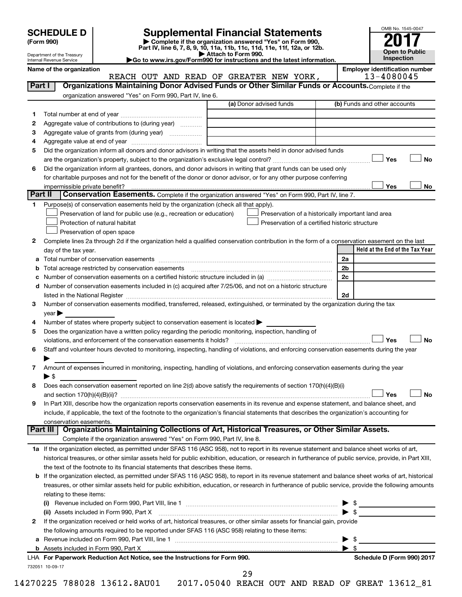| (Form 990) |  |
|------------|--|
|------------|--|

# **SCHEDULE D Supplemental Financial Statements 2017**

**(Form 990) | Complete if the organization answered "Yes" on Form 990, Part IV, line 6, 7, 8, 9, 10, 11a, 11b, 11c, 11d, 11e, 11f, 12a, or 12b.**<br>■ Attach to Form 990.



Department of the Treasury Internal Revenue Service

**| Attach to Form 990. |Go to www.irs.gov/Form990 for instructions and the latest information.**

732051 10-09-17 **Held at the End of the Tax Year Name of the organization Employer identification number** (a) Donor advised funds **1 2 3 4 5 6 Yes No Yes No 1 2** Complete lines 2a through 2d if the organization held a qualified conservation contribution in the form of a conservation easement on the last **3 4 5** Does the organization have a written policy regarding the periodic monitoring, inspection, handling of **6 7 8 9 a** Total number of conservation easements ~~~~~~~~~~~~~~~~~~~~~~~~~~~~~~~~ **b** Total acreage restricted by conservation easements ~~~~~~~~~~~~~~~~~~~~~~~~~~ **c** Number of conservation easements on a certified historic structure included in (a)  $\ldots$  $\ldots$  $\ldots$  $\ldots$  $\ldots$  $\ldots$ **d 2a 2b 2c 2d Yes No Yes No 1 a** If the organization elected, as permitted under SFAS 116 (ASC 958), not to report in its revenue statement and balance sheet works of art, **2** If the organization received or held works of art, historical treasures, or other similar assets for financial gain, provide **b** If the organization elected, as permitted under SFAS 116 (ASC 958), to report in its revenue statement and balance sheet works of art, historical **(i)** Revenue included on Form 990, Part VIII, line 1 ~~~~~~~~~~~~~~~~~~~~~~~~~~~~ | \$ **(ii)** Assets included in Form 990, Part X ~~~~~~~~~~~~~~~~~~~~~~~~~~~~~~~~~ | \$ **a** Revenue included on Form 990, Part VIII, line 1 ~~~~~~~~~~~~~~~~~~~~~~~~~~~~~~ | \$ **b For Paperwork Reduction Act Notice, see the Instructions for Form 990. Schedule D (Form 990) 2017** LHA **Part I** | Organizations Maintaining Donor Advised Funds or Other Similar Funds or Accounts. Complete if the organization answered "Yes" on Form 990, Part IV, line 6. (b) Funds and other accounts Total number at end of year ~~~~~~~~~~~~~~~ Aggregate value of contributions to (during year)  $\quad \quad \ldots \ldots \ldots$ Aggregate value of grants from (during year) will contain the Aggregate value of grants from (during year) Aggregate value at end of year ~~~~~~~~~~~~~ Did the organization inform all donors and donor advisors in writing that the assets held in donor advised funds are the organization's property, subject to the organization's exclusive legal control?~~~~~~~~~~~~~~~~~~ Did the organization inform all grantees, donors, and donor advisors in writing that grant funds can be used only for charitable purposes and not for the benefit of the donor or donor advisor, or for any other purpose conferring impermissible private benefit? **Part II** Conservation Easements. Complete if the organization answered "Yes" on Form 990, Part IV, line 7. Purpose(s) of conservation easements held by the organization (check all that apply). **Preservation of land for public use (e.g., recreation or education) Example 1** Protection of natural habitat Preservation of open space Preservation of a historically important land area Preservation of a certified historic structure day of the tax year. Number of conservation easements included in (c) acquired after 7/25/06, and not on a historic structure listed in the National Register ~~~~~~~~~~~~~~~~~~~~~~~~~~~~~~~~~~~~~~ Number of conservation easements modified, transferred, released, extinguished, or terminated by the organization during the tax  $year$ Number of states where property subject to conservation easement is located  $\blacktriangleright$ violations, and enforcement of the conservation easements it holds? ~~~~~~~~~~~~~~~~~~~~~~~~~ Staff and volunteer hours devoted to monitoring, inspecting, handling of violations, and enforcing conservation easements during the year  $\blacktriangleright$ Amount of expenses incurred in monitoring, inspecting, handling of violations, and enforcing conservation easements during the year  $\triangleright$  \$ Does each conservation easement reported on line 2(d) above satisfy the requirements of section 170(h)(4)(B)(i) and section 170(h)(4)(B)(ii)? ~~~~~~~~~~~~~~~~~~~~~~~~~~~~~~~~~~~~~~~~~~~~~~ In Part XIII, describe how the organization reports conservation easements in its revenue and expense statement, and balance sheet, and include, if applicable, the text of the footnote to the organization's financial statements that describes the organization's accounting for conservation easements. Complete if the organization answered "Yes" on Form 990, Part IV, line 8. historical treasures, or other similar assets held for public exhibition, education, or research in furtherance of public service, provide, in Part XIII, the text of the footnote to its financial statements that describes these items. treasures, or other similar assets held for public exhibition, education, or research in furtherance of public service, provide the following amounts relating to these items: the following amounts required to be reported under SFAS 116 (ASC 958) relating to these items: Assets included in Form 990, Part X | \$ **Part III Organizations Maintaining Collections of Art, Historical Treasures, or Other Similar Assets.** Yes † †  $\Box$  $|$  Yes  $|$  Yes REACH OUT AND READ OF GREATER NEW YORK, | 13-4080045

29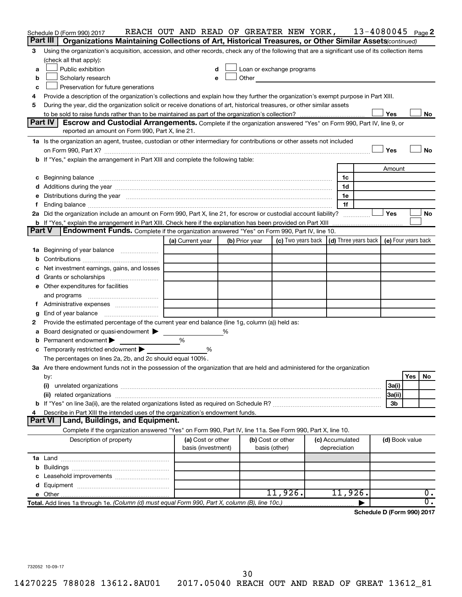|               | Schedule D (Form 990) 2017                                                                                                                                                                                                          | REACH OUT AND READ OF GREATER NEW YORK, |   |                |                                                                                                                                                                                                                                |                                                                             | $13 - 4080045$ Page 2      |     |    |
|---------------|-------------------------------------------------------------------------------------------------------------------------------------------------------------------------------------------------------------------------------------|-----------------------------------------|---|----------------|--------------------------------------------------------------------------------------------------------------------------------------------------------------------------------------------------------------------------------|-----------------------------------------------------------------------------|----------------------------|-----|----|
|               | Part III<br>Organizations Maintaining Collections of Art, Historical Treasures, or Other Similar Assets(continued)                                                                                                                  |                                         |   |                |                                                                                                                                                                                                                                |                                                                             |                            |     |    |
| З             | Using the organization's acquisition, accession, and other records, check any of the following that are a significant use of its collection items                                                                                   |                                         |   |                |                                                                                                                                                                                                                                |                                                                             |                            |     |    |
|               | (check all that apply):                                                                                                                                                                                                             |                                         |   |                |                                                                                                                                                                                                                                |                                                                             |                            |     |    |
| a             | Public exhibition                                                                                                                                                                                                                   | d                                       |   |                | Loan or exchange programs                                                                                                                                                                                                      |                                                                             |                            |     |    |
| b             | Scholarly research                                                                                                                                                                                                                  | е                                       |   |                | Other and the control of the control of the control of the control of the control of the control of the control of the control of the control of the control of the control of the control of the control of the control of th |                                                                             |                            |     |    |
| c             | Preservation for future generations                                                                                                                                                                                                 |                                         |   |                |                                                                                                                                                                                                                                |                                                                             |                            |     |    |
| 4             | Provide a description of the organization's collections and explain how they further the organization's exempt purpose in Part XIII.                                                                                                |                                         |   |                |                                                                                                                                                                                                                                |                                                                             |                            |     |    |
| 5             | During the year, did the organization solicit or receive donations of art, historical treasures, or other similar assets                                                                                                            |                                         |   |                |                                                                                                                                                                                                                                |                                                                             |                            |     |    |
|               |                                                                                                                                                                                                                                     |                                         |   |                |                                                                                                                                                                                                                                |                                                                             | Yes                        |     | No |
|               | Part IV<br><b>Escrow and Custodial Arrangements.</b> Complete if the organization answered "Yes" on Form 990, Part IV, line 9, or                                                                                                   |                                         |   |                |                                                                                                                                                                                                                                |                                                                             |                            |     |    |
|               | reported an amount on Form 990, Part X, line 21.                                                                                                                                                                                    |                                         |   |                |                                                                                                                                                                                                                                |                                                                             |                            |     |    |
|               | 1a Is the organization an agent, trustee, custodian or other intermediary for contributions or other assets not included                                                                                                            |                                         |   |                |                                                                                                                                                                                                                                |                                                                             |                            |     |    |
|               |                                                                                                                                                                                                                                     |                                         |   |                |                                                                                                                                                                                                                                |                                                                             | Yes                        |     | No |
|               | b If "Yes," explain the arrangement in Part XIII and complete the following table:                                                                                                                                                  |                                         |   |                |                                                                                                                                                                                                                                |                                                                             |                            |     |    |
|               |                                                                                                                                                                                                                                     |                                         |   |                |                                                                                                                                                                                                                                |                                                                             | Amount                     |     |    |
| c             | Beginning balance <b>communications</b> and continuum contracts and continuum contracts and continuum contracts and continuum contracts and continuum continuum continuum contracts and continuum contracts and continuum contracts |                                         |   |                |                                                                                                                                                                                                                                | 1c                                                                          |                            |     |    |
|               |                                                                                                                                                                                                                                     |                                         |   |                |                                                                                                                                                                                                                                | 1d                                                                          |                            |     |    |
| е             | Distributions during the year manufactured and an account of the year manufactured and the year manufactured and the year manufactured and the year manufactured and the year manufactured and the year manufactured and the y      |                                         |   |                |                                                                                                                                                                                                                                | 1e                                                                          |                            |     |    |
| f.            |                                                                                                                                                                                                                                     |                                         |   |                |                                                                                                                                                                                                                                | 1f                                                                          |                            |     |    |
|               | 2a Did the organization include an amount on Form 990, Part X, line 21, for escrow or custodial account liability?                                                                                                                  |                                         |   |                |                                                                                                                                                                                                                                |                                                                             | Yes                        |     | No |
|               | <b>b</b> If "Yes," explain the arrangement in Part XIII. Check here if the explanation has been provided on Part XIII                                                                                                               |                                         |   |                |                                                                                                                                                                                                                                |                                                                             |                            |     |    |
| <b>Part V</b> | <b>Endowment Funds.</b> Complete if the organization answered "Yes" on Form 990, Part IV, line 10.                                                                                                                                  |                                         |   |                |                                                                                                                                                                                                                                |                                                                             |                            |     |    |
|               |                                                                                                                                                                                                                                     | (a) Current year                        |   | (b) Prior year |                                                                                                                                                                                                                                | (c) Two years back $\vert$ (d) Three years back $\vert$ (e) Four years back |                            |     |    |
| 1a            | Beginning of year balance <i>manumman</i>                                                                                                                                                                                           |                                         |   |                |                                                                                                                                                                                                                                |                                                                             |                            |     |    |
|               |                                                                                                                                                                                                                                     |                                         |   |                |                                                                                                                                                                                                                                |                                                                             |                            |     |    |
|               | Net investment earnings, gains, and losses                                                                                                                                                                                          |                                         |   |                |                                                                                                                                                                                                                                |                                                                             |                            |     |    |
| d             |                                                                                                                                                                                                                                     |                                         |   |                |                                                                                                                                                                                                                                |                                                                             |                            |     |    |
|               | e Other expenditures for facilities                                                                                                                                                                                                 |                                         |   |                |                                                                                                                                                                                                                                |                                                                             |                            |     |    |
|               | and programs                                                                                                                                                                                                                        |                                         |   |                |                                                                                                                                                                                                                                |                                                                             |                            |     |    |
| Ť.            |                                                                                                                                                                                                                                     |                                         |   |                |                                                                                                                                                                                                                                |                                                                             |                            |     |    |
| g             | End of year balance                                                                                                                                                                                                                 |                                         |   |                |                                                                                                                                                                                                                                |                                                                             |                            |     |    |
| 2             | Provide the estimated percentage of the current year end balance (line 1g, column (a)) held as:                                                                                                                                     |                                         |   |                |                                                                                                                                                                                                                                |                                                                             |                            |     |    |
| а             | Board designated or quasi-endowment                                                                                                                                                                                                 |                                         | ℅ |                |                                                                                                                                                                                                                                |                                                                             |                            |     |    |
| b             | Permanent endowment                                                                                                                                                                                                                 | %                                       |   |                |                                                                                                                                                                                                                                |                                                                             |                            |     |    |
|               | c Temporarily restricted endowment                                                                                                                                                                                                  | %                                       |   |                |                                                                                                                                                                                                                                |                                                                             |                            |     |    |
|               | The percentages on lines 2a, 2b, and 2c should equal 100%.                                                                                                                                                                          |                                         |   |                |                                                                                                                                                                                                                                |                                                                             |                            |     |    |
|               | 3a Are there endowment funds not in the possession of the organization that are held and administered for the organization                                                                                                          |                                         |   |                |                                                                                                                                                                                                                                |                                                                             |                            |     |    |
|               | by:                                                                                                                                                                                                                                 |                                         |   |                |                                                                                                                                                                                                                                |                                                                             |                            | Yes | No |
|               | (i)                                                                                                                                                                                                                                 |                                         |   |                |                                                                                                                                                                                                                                |                                                                             | 3a(i)                      |     |    |
|               |                                                                                                                                                                                                                                     |                                         |   |                |                                                                                                                                                                                                                                |                                                                             | 3a(ii)                     |     |    |
|               |                                                                                                                                                                                                                                     |                                         |   |                |                                                                                                                                                                                                                                |                                                                             | 3 <sub>b</sub>             |     |    |
| 4             | Describe in Part XIII the intended uses of the organization's endowment funds.                                                                                                                                                      |                                         |   |                |                                                                                                                                                                                                                                |                                                                             |                            |     |    |
|               | Land, Buildings, and Equipment.<br>Part VI                                                                                                                                                                                          |                                         |   |                |                                                                                                                                                                                                                                |                                                                             |                            |     |    |
|               | Complete if the organization answered "Yes" on Form 990, Part IV, line 11a. See Form 990, Part X, line 10.                                                                                                                          |                                         |   |                |                                                                                                                                                                                                                                |                                                                             |                            |     |    |
|               | Description of property                                                                                                                                                                                                             | (a) Cost or other                       |   |                | (b) Cost or other                                                                                                                                                                                                              | (c) Accumulated                                                             | (d) Book value             |     |    |
|               |                                                                                                                                                                                                                                     | basis (investment)                      |   |                | basis (other)                                                                                                                                                                                                                  | depreciation                                                                |                            |     |    |
|               |                                                                                                                                                                                                                                     |                                         |   |                |                                                                                                                                                                                                                                |                                                                             |                            |     |    |
|               |                                                                                                                                                                                                                                     |                                         |   |                |                                                                                                                                                                                                                                |                                                                             |                            |     |    |
|               |                                                                                                                                                                                                                                     |                                         |   |                |                                                                                                                                                                                                                                |                                                                             |                            |     |    |
|               |                                                                                                                                                                                                                                     |                                         |   |                |                                                                                                                                                                                                                                |                                                                             |                            |     |    |
|               |                                                                                                                                                                                                                                     |                                         |   |                | $11,926$ .                                                                                                                                                                                                                     | 11,926.                                                                     |                            |     | 0. |
|               | Total. Add lines 1a through 1e. (Column (d) must equal Form 990, Part X, column (B), line 10c.)                                                                                                                                     |                                         |   |                |                                                                                                                                                                                                                                |                                                                             |                            |     | Ο. |
|               |                                                                                                                                                                                                                                     |                                         |   |                |                                                                                                                                                                                                                                |                                                                             | Schedule D (Form 990) 2017 |     |    |

732052 10-09-17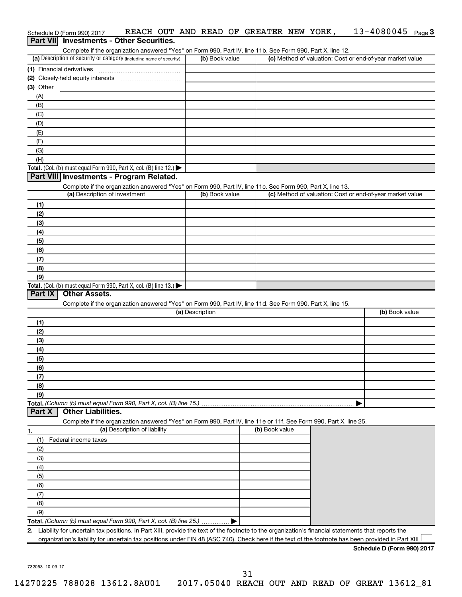|                  | REACH OUT AND READ OF GREATER NEW YORK,<br>Schedule D (Form 990) 2017<br><b>Investments - Other Securities.</b>                                                                    |                 |                | $13 - 4080045$ Page 3                                     |  |
|------------------|------------------------------------------------------------------------------------------------------------------------------------------------------------------------------------|-----------------|----------------|-----------------------------------------------------------|--|
| <b>Part VIII</b> |                                                                                                                                                                                    |                 |                |                                                           |  |
|                  | Complete if the organization answered "Yes" on Form 990, Part IV, line 11b. See Form 990, Part X, line 12.<br>(a) Description of security or category (including name of security) | (b) Book value  |                | (c) Method of valuation: Cost or end-of-year market value |  |
|                  | (1) Financial derivatives                                                                                                                                                          |                 |                |                                                           |  |
|                  |                                                                                                                                                                                    |                 |                |                                                           |  |
| $(3)$ Other      |                                                                                                                                                                                    |                 |                |                                                           |  |
| (A)              |                                                                                                                                                                                    |                 |                |                                                           |  |
| (B)              |                                                                                                                                                                                    |                 |                |                                                           |  |
| (C)              |                                                                                                                                                                                    |                 |                |                                                           |  |
| (D)              |                                                                                                                                                                                    |                 |                |                                                           |  |
| (E)              |                                                                                                                                                                                    |                 |                |                                                           |  |
| (F)              |                                                                                                                                                                                    |                 |                |                                                           |  |
| (G)              |                                                                                                                                                                                    |                 |                |                                                           |  |
| (H)              |                                                                                                                                                                                    |                 |                |                                                           |  |
|                  | Total. (Col. (b) must equal Form 990, Part X, col. (B) line 12.)                                                                                                                   |                 |                |                                                           |  |
|                  | Part VIII Investments - Program Related.                                                                                                                                           |                 |                |                                                           |  |
|                  | Complete if the organization answered "Yes" on Form 990, Part IV, line 11c. See Form 990, Part X, line 13.<br>(a) Description of investment                                        | (b) Book value  |                | (c) Method of valuation: Cost or end-of-year market value |  |
| (1)              |                                                                                                                                                                                    |                 |                |                                                           |  |
| (2)              |                                                                                                                                                                                    |                 |                |                                                           |  |
| (3)              |                                                                                                                                                                                    |                 |                |                                                           |  |
| (4)              |                                                                                                                                                                                    |                 |                |                                                           |  |
| (5)              |                                                                                                                                                                                    |                 |                |                                                           |  |
| (6)              |                                                                                                                                                                                    |                 |                |                                                           |  |
| (7)              |                                                                                                                                                                                    |                 |                |                                                           |  |
| (8)              |                                                                                                                                                                                    |                 |                |                                                           |  |
| (9)              |                                                                                                                                                                                    |                 |                |                                                           |  |
|                  | Total. (Col. (b) must equal Form 990, Part X, col. (B) line 13.)                                                                                                                   |                 |                |                                                           |  |
| Part IX          | <b>Other Assets.</b>                                                                                                                                                               |                 |                |                                                           |  |
|                  | Complete if the organization answered "Yes" on Form 990, Part IV, line 11d. See Form 990, Part X, line 15.                                                                         | (a) Description |                | (b) Book value                                            |  |
|                  |                                                                                                                                                                                    |                 |                |                                                           |  |
| (1)<br>(2)       |                                                                                                                                                                                    |                 |                |                                                           |  |
| (3)              |                                                                                                                                                                                    |                 |                |                                                           |  |
| (4)              |                                                                                                                                                                                    |                 |                |                                                           |  |
| (5)              |                                                                                                                                                                                    |                 |                |                                                           |  |
| (6)              |                                                                                                                                                                                    |                 |                |                                                           |  |
| (7)              |                                                                                                                                                                                    |                 |                |                                                           |  |
| (8)              |                                                                                                                                                                                    |                 |                |                                                           |  |
| (9)              |                                                                                                                                                                                    |                 |                |                                                           |  |
|                  | Total. (Column (b) must equal Form 990, Part X, col. (B) line 15.)                                                                                                                 |                 |                |                                                           |  |
| Part X           | <b>Other Liabilities.</b>                                                                                                                                                          |                 |                |                                                           |  |
|                  | Complete if the organization answered "Yes" on Form 990, Part IV, line 11e or 11f. See Form 990, Part X, line 25.                                                                  |                 | (b) Book value |                                                           |  |
| <u>1.</u>        | (a) Description of liability                                                                                                                                                       |                 |                |                                                           |  |
| (1)              | Federal income taxes                                                                                                                                                               |                 |                |                                                           |  |
| (2)<br>(3)       |                                                                                                                                                                                    |                 |                |                                                           |  |
| (4)              |                                                                                                                                                                                    |                 |                |                                                           |  |
| (5)              |                                                                                                                                                                                    |                 |                |                                                           |  |
| (6)              |                                                                                                                                                                                    |                 |                |                                                           |  |
| (7)              |                                                                                                                                                                                    |                 |                |                                                           |  |
| (8)              |                                                                                                                                                                                    |                 |                |                                                           |  |
| (9)              |                                                                                                                                                                                    |                 |                |                                                           |  |
|                  | Total. (Column (b) must equal Form 990, Part X, col. (B) line 25.)                                                                                                                 |                 |                |                                                           |  |
|                  | 2. Liability for uncertain tax positions. In Part XIII, provide the text of the footnote to the organization's financial statements that reports the                               |                 |                |                                                           |  |
|                  | organization's liability for uncertain tax positions under FIN 48 (ASC 740). Check here if the text of the footnote has been provided in Part XIII                                 |                 |                |                                                           |  |
|                  |                                                                                                                                                                                    |                 |                | Schedule D (Form 990) 2017                                |  |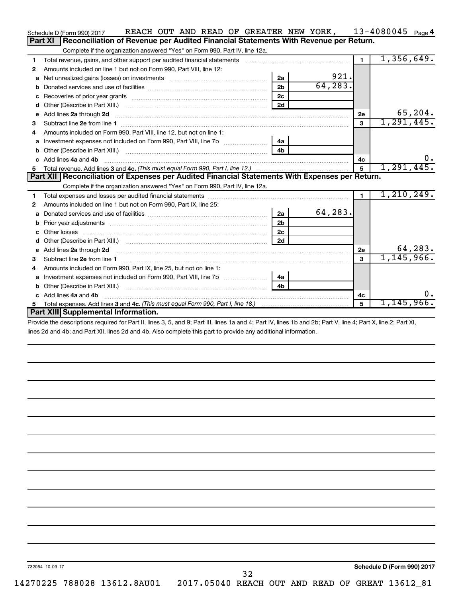| Part XI<br>Reconciliation of Revenue per Audited Financial Statements With Revenue per Return.<br>Complete if the organization answered "Yes" on Form 990, Part IV, line 12a.<br>1,356,649.<br>$\blacksquare$<br>Total revenue, gains, and other support per audited financial statements<br>1<br>Amounts included on line 1 but not on Form 990, Part VIII, line 12:<br>2<br>921.<br>2a<br>a<br>64, 283.<br>2 <sub>b</sub><br>2c<br>c<br>2d<br>d<br>Add lines 2a through 2d<br>2е<br>e<br>1, 291, 445.<br>3<br>3<br>Amounts included on Form 990, Part VIII, line 12, but not on line 1:<br>4<br>Investment expenses not included on Form 990, Part VIII, line 7b [1001111111111111111111111111111111<br>4a<br>a<br>4 <sub>b</sub><br>Add lines 4a and 4b<br>c<br>4c<br>1, 291, 445.<br>5<br>Part XII   Reconciliation of Expenses per Audited Financial Statements With Expenses per Return.<br>Complete if the organization answered "Yes" on Form 990, Part IV, line 12a.<br>1, 210, 249.<br>1.<br>1<br>Amounts included on line 1 but not on Form 990, Part IX, line 25:<br>2<br>64,283.<br>2a<br>a<br>2 <sub>b</sub><br>b<br>2 <sub>c</sub><br>2d<br>d<br>Add lines 2a through 2d <b>continuum contract and all contract and all contract and all contract and all contract and all contract and all contract and all contract and all contract and all contract and all contract and all </b><br>2e<br>e<br>1, 145, 966.<br>3<br>з<br>Amounts included on Form 990, Part IX, line 25, but not on line 1:<br>4 | REACH OUT AND READ OF GREATER NEW YORK,<br>Schedule D (Form 990) 2017 |    |  | 13-4080045<br>Page 4 |
|----------------------------------------------------------------------------------------------------------------------------------------------------------------------------------------------------------------------------------------------------------------------------------------------------------------------------------------------------------------------------------------------------------------------------------------------------------------------------------------------------------------------------------------------------------------------------------------------------------------------------------------------------------------------------------------------------------------------------------------------------------------------------------------------------------------------------------------------------------------------------------------------------------------------------------------------------------------------------------------------------------------------------------------------------------------------------------------------------------------------------------------------------------------------------------------------------------------------------------------------------------------------------------------------------------------------------------------------------------------------------------------------------------------------------------------------------------------------------------------------------------------------|-----------------------------------------------------------------------|----|--|----------------------|
|                                                                                                                                                                                                                                                                                                                                                                                                                                                                                                                                                                                                                                                                                                                                                                                                                                                                                                                                                                                                                                                                                                                                                                                                                                                                                                                                                                                                                                                                                                                      |                                                                       |    |  |                      |
|                                                                                                                                                                                                                                                                                                                                                                                                                                                                                                                                                                                                                                                                                                                                                                                                                                                                                                                                                                                                                                                                                                                                                                                                                                                                                                                                                                                                                                                                                                                      |                                                                       |    |  |                      |
|                                                                                                                                                                                                                                                                                                                                                                                                                                                                                                                                                                                                                                                                                                                                                                                                                                                                                                                                                                                                                                                                                                                                                                                                                                                                                                                                                                                                                                                                                                                      |                                                                       |    |  |                      |
|                                                                                                                                                                                                                                                                                                                                                                                                                                                                                                                                                                                                                                                                                                                                                                                                                                                                                                                                                                                                                                                                                                                                                                                                                                                                                                                                                                                                                                                                                                                      |                                                                       |    |  |                      |
|                                                                                                                                                                                                                                                                                                                                                                                                                                                                                                                                                                                                                                                                                                                                                                                                                                                                                                                                                                                                                                                                                                                                                                                                                                                                                                                                                                                                                                                                                                                      |                                                                       |    |  |                      |
|                                                                                                                                                                                                                                                                                                                                                                                                                                                                                                                                                                                                                                                                                                                                                                                                                                                                                                                                                                                                                                                                                                                                                                                                                                                                                                                                                                                                                                                                                                                      |                                                                       |    |  |                      |
|                                                                                                                                                                                                                                                                                                                                                                                                                                                                                                                                                                                                                                                                                                                                                                                                                                                                                                                                                                                                                                                                                                                                                                                                                                                                                                                                                                                                                                                                                                                      |                                                                       |    |  |                      |
|                                                                                                                                                                                                                                                                                                                                                                                                                                                                                                                                                                                                                                                                                                                                                                                                                                                                                                                                                                                                                                                                                                                                                                                                                                                                                                                                                                                                                                                                                                                      |                                                                       |    |  |                      |
|                                                                                                                                                                                                                                                                                                                                                                                                                                                                                                                                                                                                                                                                                                                                                                                                                                                                                                                                                                                                                                                                                                                                                                                                                                                                                                                                                                                                                                                                                                                      |                                                                       |    |  | 65,204.              |
|                                                                                                                                                                                                                                                                                                                                                                                                                                                                                                                                                                                                                                                                                                                                                                                                                                                                                                                                                                                                                                                                                                                                                                                                                                                                                                                                                                                                                                                                                                                      |                                                                       |    |  |                      |
|                                                                                                                                                                                                                                                                                                                                                                                                                                                                                                                                                                                                                                                                                                                                                                                                                                                                                                                                                                                                                                                                                                                                                                                                                                                                                                                                                                                                                                                                                                                      |                                                                       |    |  |                      |
|                                                                                                                                                                                                                                                                                                                                                                                                                                                                                                                                                                                                                                                                                                                                                                                                                                                                                                                                                                                                                                                                                                                                                                                                                                                                                                                                                                                                                                                                                                                      |                                                                       |    |  |                      |
|                                                                                                                                                                                                                                                                                                                                                                                                                                                                                                                                                                                                                                                                                                                                                                                                                                                                                                                                                                                                                                                                                                                                                                                                                                                                                                                                                                                                                                                                                                                      |                                                                       |    |  |                      |
|                                                                                                                                                                                                                                                                                                                                                                                                                                                                                                                                                                                                                                                                                                                                                                                                                                                                                                                                                                                                                                                                                                                                                                                                                                                                                                                                                                                                                                                                                                                      |                                                                       |    |  | $0$ .                |
|                                                                                                                                                                                                                                                                                                                                                                                                                                                                                                                                                                                                                                                                                                                                                                                                                                                                                                                                                                                                                                                                                                                                                                                                                                                                                                                                                                                                                                                                                                                      |                                                                       |    |  |                      |
|                                                                                                                                                                                                                                                                                                                                                                                                                                                                                                                                                                                                                                                                                                                                                                                                                                                                                                                                                                                                                                                                                                                                                                                                                                                                                                                                                                                                                                                                                                                      |                                                                       |    |  |                      |
|                                                                                                                                                                                                                                                                                                                                                                                                                                                                                                                                                                                                                                                                                                                                                                                                                                                                                                                                                                                                                                                                                                                                                                                                                                                                                                                                                                                                                                                                                                                      |                                                                       |    |  |                      |
|                                                                                                                                                                                                                                                                                                                                                                                                                                                                                                                                                                                                                                                                                                                                                                                                                                                                                                                                                                                                                                                                                                                                                                                                                                                                                                                                                                                                                                                                                                                      |                                                                       |    |  |                      |
|                                                                                                                                                                                                                                                                                                                                                                                                                                                                                                                                                                                                                                                                                                                                                                                                                                                                                                                                                                                                                                                                                                                                                                                                                                                                                                                                                                                                                                                                                                                      |                                                                       |    |  |                      |
|                                                                                                                                                                                                                                                                                                                                                                                                                                                                                                                                                                                                                                                                                                                                                                                                                                                                                                                                                                                                                                                                                                                                                                                                                                                                                                                                                                                                                                                                                                                      |                                                                       |    |  |                      |
|                                                                                                                                                                                                                                                                                                                                                                                                                                                                                                                                                                                                                                                                                                                                                                                                                                                                                                                                                                                                                                                                                                                                                                                                                                                                                                                                                                                                                                                                                                                      |                                                                       |    |  |                      |
|                                                                                                                                                                                                                                                                                                                                                                                                                                                                                                                                                                                                                                                                                                                                                                                                                                                                                                                                                                                                                                                                                                                                                                                                                                                                                                                                                                                                                                                                                                                      |                                                                       |    |  |                      |
|                                                                                                                                                                                                                                                                                                                                                                                                                                                                                                                                                                                                                                                                                                                                                                                                                                                                                                                                                                                                                                                                                                                                                                                                                                                                                                                                                                                                                                                                                                                      |                                                                       |    |  |                      |
|                                                                                                                                                                                                                                                                                                                                                                                                                                                                                                                                                                                                                                                                                                                                                                                                                                                                                                                                                                                                                                                                                                                                                                                                                                                                                                                                                                                                                                                                                                                      |                                                                       |    |  | 64,283.              |
|                                                                                                                                                                                                                                                                                                                                                                                                                                                                                                                                                                                                                                                                                                                                                                                                                                                                                                                                                                                                                                                                                                                                                                                                                                                                                                                                                                                                                                                                                                                      |                                                                       |    |  |                      |
|                                                                                                                                                                                                                                                                                                                                                                                                                                                                                                                                                                                                                                                                                                                                                                                                                                                                                                                                                                                                                                                                                                                                                                                                                                                                                                                                                                                                                                                                                                                      |                                                                       |    |  |                      |
| a                                                                                                                                                                                                                                                                                                                                                                                                                                                                                                                                                                                                                                                                                                                                                                                                                                                                                                                                                                                                                                                                                                                                                                                                                                                                                                                                                                                                                                                                                                                    |                                                                       | 4a |  |                      |
| 4 <sub>h</sub><br>b                                                                                                                                                                                                                                                                                                                                                                                                                                                                                                                                                                                                                                                                                                                                                                                                                                                                                                                                                                                                                                                                                                                                                                                                                                                                                                                                                                                                                                                                                                  |                                                                       |    |  |                      |
| c Add lines 4a and 4b<br>4c                                                                                                                                                                                                                                                                                                                                                                                                                                                                                                                                                                                                                                                                                                                                                                                                                                                                                                                                                                                                                                                                                                                                                                                                                                                                                                                                                                                                                                                                                          |                                                                       |    |  | 0.                   |
| 5<br>5                                                                                                                                                                                                                                                                                                                                                                                                                                                                                                                                                                                                                                                                                                                                                                                                                                                                                                                                                                                                                                                                                                                                                                                                                                                                                                                                                                                                                                                                                                               |                                                                       |    |  | 1, 145, 966.         |
| Part XIII Supplemental Information.                                                                                                                                                                                                                                                                                                                                                                                                                                                                                                                                                                                                                                                                                                                                                                                                                                                                                                                                                                                                                                                                                                                                                                                                                                                                                                                                                                                                                                                                                  |                                                                       |    |  |                      |

Provide the descriptions required for Part II, lines 3, 5, and 9; Part III, lines 1a and 4; Part IV, lines 1b and 2b; Part V, line 4; Part X, line 2; Part XI, lines 2d and 4b; and Part XII, lines 2d and 4b. Also complete this part to provide any additional information.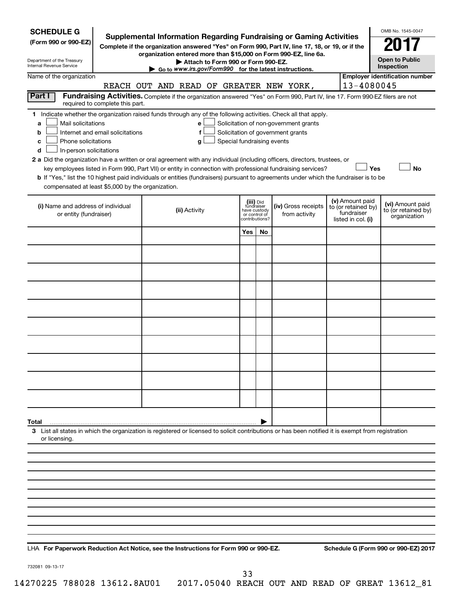| <b>SCHEDULE G</b><br>(Form 990 or 990-EZ)<br>Department of the Treasury<br>Internal Revenue Service                                                                                                                                                                                                                                                                                                                                | <b>Supplemental Information Regarding Fundraising or Gaming Activities</b><br>Complete if the organization answered "Yes" on Form 990, Part IV, line 17, 18, or 19, or if the<br>organization entered more than \$15,000 on Form 990-EZ, line 6a.<br>Attach to Form 990 or Form 990-EZ.<br>Go to www.irs.gov/Form990 for the latest instructions. |                                                                            |    |                                                                            |                                                                            | OMB No. 1545-0047<br><b>Open to Public</b><br>Inspection |
|------------------------------------------------------------------------------------------------------------------------------------------------------------------------------------------------------------------------------------------------------------------------------------------------------------------------------------------------------------------------------------------------------------------------------------|---------------------------------------------------------------------------------------------------------------------------------------------------------------------------------------------------------------------------------------------------------------------------------------------------------------------------------------------------|----------------------------------------------------------------------------|----|----------------------------------------------------------------------------|----------------------------------------------------------------------------|----------------------------------------------------------|
| Name of the organization                                                                                                                                                                                                                                                                                                                                                                                                           | REACH OUT AND READ OF GREATER NEW YORK,                                                                                                                                                                                                                                                                                                           |                                                                            |    |                                                                            | 13-4080045                                                                 | <b>Employer identification number</b>                    |
| Part I<br>required to complete this part.                                                                                                                                                                                                                                                                                                                                                                                          | Fundraising Activities. Complete if the organization answered "Yes" on Form 990, Part IV, line 17. Form 990-EZ filers are not                                                                                                                                                                                                                     |                                                                            |    |                                                                            |                                                                            |                                                          |
| 1 Indicate whether the organization raised funds through any of the following activities. Check all that apply.<br>Mail solicitations<br>a<br>Internet and email solicitations<br>b<br>Phone solicitations<br>с<br>In-person solicitations<br>d<br>2 a Did the organization have a written or oral agreement with any individual (including officers, directors, trustees, or<br>compensated at least \$5,000 by the organization. | е<br>f<br>Special fundraising events<br>g<br>key employees listed in Form 990, Part VII) or entity in connection with professional fundraising services?<br>b If "Yes," list the 10 highest paid individuals or entities (fundraisers) pursuant to agreements under which the fundraiser is to be                                                 |                                                                            |    | Solicitation of non-government grants<br>Solicitation of government grants |                                                                            | <b>No</b><br>Yes                                         |
| (i) Name and address of individual<br>or entity (fundraiser)                                                                                                                                                                                                                                                                                                                                                                       | (ii) Activity                                                                                                                                                                                                                                                                                                                                     | (iii) Did<br>fundraiser<br>have custody<br>or control of<br>contributions? |    | (iv) Gross receipts<br>from activity                                       | (v) Amount paid<br>to (or retained by)<br>fundraiser<br>listed in col. (i) | (vi) Amount paid<br>to (or retained by)<br>organization  |
|                                                                                                                                                                                                                                                                                                                                                                                                                                    |                                                                                                                                                                                                                                                                                                                                                   | Yes                                                                        | No |                                                                            |                                                                            |                                                          |
|                                                                                                                                                                                                                                                                                                                                                                                                                                    |                                                                                                                                                                                                                                                                                                                                                   |                                                                            |    |                                                                            |                                                                            |                                                          |
|                                                                                                                                                                                                                                                                                                                                                                                                                                    |                                                                                                                                                                                                                                                                                                                                                   |                                                                            |    |                                                                            |                                                                            |                                                          |
|                                                                                                                                                                                                                                                                                                                                                                                                                                    |                                                                                                                                                                                                                                                                                                                                                   |                                                                            |    |                                                                            |                                                                            |                                                          |
|                                                                                                                                                                                                                                                                                                                                                                                                                                    |                                                                                                                                                                                                                                                                                                                                                   |                                                                            |    |                                                                            |                                                                            |                                                          |
|                                                                                                                                                                                                                                                                                                                                                                                                                                    |                                                                                                                                                                                                                                                                                                                                                   |                                                                            |    |                                                                            |                                                                            |                                                          |
|                                                                                                                                                                                                                                                                                                                                                                                                                                    |                                                                                                                                                                                                                                                                                                                                                   |                                                                            |    |                                                                            |                                                                            |                                                          |
|                                                                                                                                                                                                                                                                                                                                                                                                                                    |                                                                                                                                                                                                                                                                                                                                                   |                                                                            |    |                                                                            |                                                                            |                                                          |
|                                                                                                                                                                                                                                                                                                                                                                                                                                    |                                                                                                                                                                                                                                                                                                                                                   |                                                                            |    |                                                                            |                                                                            |                                                          |
|                                                                                                                                                                                                                                                                                                                                                                                                                                    |                                                                                                                                                                                                                                                                                                                                                   |                                                                            |    |                                                                            |                                                                            |                                                          |
|                                                                                                                                                                                                                                                                                                                                                                                                                                    |                                                                                                                                                                                                                                                                                                                                                   |                                                                            |    |                                                                            |                                                                            |                                                          |
| Total<br>3 List all states in which the organization is registered or licensed to solicit contributions or has been notified it is exempt from registration                                                                                                                                                                                                                                                                        |                                                                                                                                                                                                                                                                                                                                                   |                                                                            |    |                                                                            |                                                                            |                                                          |
| or licensing.                                                                                                                                                                                                                                                                                                                                                                                                                      |                                                                                                                                                                                                                                                                                                                                                   |                                                                            |    |                                                                            |                                                                            |                                                          |
|                                                                                                                                                                                                                                                                                                                                                                                                                                    |                                                                                                                                                                                                                                                                                                                                                   |                                                                            |    |                                                                            |                                                                            |                                                          |
|                                                                                                                                                                                                                                                                                                                                                                                                                                    |                                                                                                                                                                                                                                                                                                                                                   |                                                                            |    |                                                                            |                                                                            |                                                          |
|                                                                                                                                                                                                                                                                                                                                                                                                                                    |                                                                                                                                                                                                                                                                                                                                                   |                                                                            |    |                                                                            |                                                                            |                                                          |
|                                                                                                                                                                                                                                                                                                                                                                                                                                    |                                                                                                                                                                                                                                                                                                                                                   |                                                                            |    |                                                                            |                                                                            |                                                          |
|                                                                                                                                                                                                                                                                                                                                                                                                                                    |                                                                                                                                                                                                                                                                                                                                                   |                                                                            |    |                                                                            |                                                                            |                                                          |
|                                                                                                                                                                                                                                                                                                                                                                                                                                    |                                                                                                                                                                                                                                                                                                                                                   |                                                                            |    |                                                                            |                                                                            |                                                          |
|                                                                                                                                                                                                                                                                                                                                                                                                                                    |                                                                                                                                                                                                                                                                                                                                                   |                                                                            |    |                                                                            |                                                                            |                                                          |

732081 09-13-17

33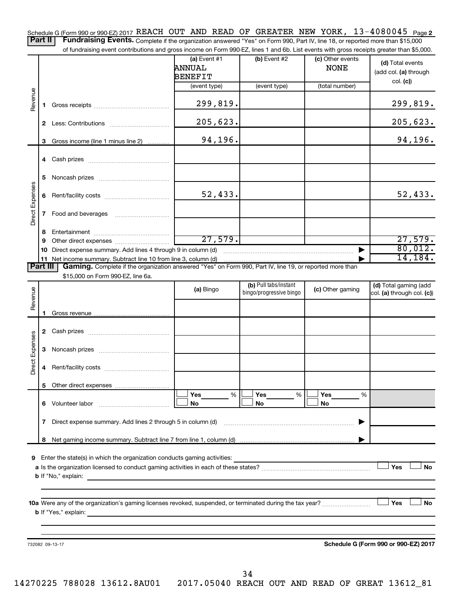13-4080045 Page 2 Schedule G (Form 990 or 990-EZ) 2017 REACH OUT AND READ OF GREATER NEW YORK,  $13-4080045$  Page

Part II | Fundraising Events. Complete if the organization answered "Yes" on Form 990, Part IV, line 18, or reported more than \$15,000 of fundraising event contributions and gross income on Form 990-EZ, lines 1 and 6b. List events with gross receipts greater than \$5,000.

|                 |              |                                                                                                          | (a) Event #1<br>ANNUAL<br><b>BENEFIT</b> | (b) Event #2                                     | (c) Other events<br><b>NONE</b> | (d) Total events<br>(add col. (a) through           |
|-----------------|--------------|----------------------------------------------------------------------------------------------------------|------------------------------------------|--------------------------------------------------|---------------------------------|-----------------------------------------------------|
|                 |              |                                                                                                          | (event type)                             | (event type)                                     | (total number)                  | col. (c)                                            |
| Revenue         | 1.           |                                                                                                          | 299,819.                                 |                                                  |                                 | 299,819.                                            |
|                 |              |                                                                                                          | 205,623.                                 |                                                  |                                 | 205,623.                                            |
|                 |              | 3 Gross income (line 1 minus line 2)                                                                     | 94,196.                                  |                                                  |                                 | 94,196.                                             |
|                 |              |                                                                                                          |                                          |                                                  |                                 |                                                     |
|                 | 5            |                                                                                                          |                                          |                                                  |                                 |                                                     |
|                 |              |                                                                                                          | 52,433.                                  |                                                  |                                 | 52,433.                                             |
| Direct Expenses | $\mathbf{7}$ |                                                                                                          |                                          |                                                  |                                 |                                                     |
|                 | 8            |                                                                                                          |                                          |                                                  |                                 |                                                     |
|                 | 9            |                                                                                                          | 27,579.                                  |                                                  |                                 | 27,579.                                             |
|                 | 10           | Direct expense summary. Add lines 4 through 9 in column (d)                                              |                                          |                                                  |                                 | 80,012.                                             |
|                 |              | 11 Net income summary. Subtract line 10 from line 3, column (d)                                          |                                          |                                                  |                                 | 14, 184.                                            |
| <b>Part III</b> |              | Gaming. Complete if the organization answered "Yes" on Form 990, Part IV, line 19, or reported more than |                                          |                                                  |                                 |                                                     |
|                 |              | \$15,000 on Form 990-EZ, line 6a.                                                                        |                                          |                                                  |                                 |                                                     |
| Revenue         |              |                                                                                                          | (a) Bingo                                | (b) Pull tabs/instant<br>bingo/progressive bingo | (c) Other gaming                | (d) Total gaming (add<br>col. (a) through col. (c)) |
|                 | 1.           |                                                                                                          |                                          |                                                  |                                 |                                                     |
|                 |              |                                                                                                          |                                          |                                                  |                                 |                                                     |
| Direct Expenses | 3            |                                                                                                          |                                          |                                                  |                                 |                                                     |
|                 | 4            |                                                                                                          |                                          |                                                  |                                 |                                                     |
|                 |              |                                                                                                          |                                          |                                                  |                                 |                                                     |
|                 |              | 6 Volunteer labor                                                                                        | Yes<br>%<br>No                           | Yes<br>%<br>No                                   | Yes<br>%<br>No                  |                                                     |
|                 | 7            | Direct expense summary. Add lines 2 through 5 in column (d)                                              |                                          |                                                  |                                 |                                                     |
|                 | 8            |                                                                                                          |                                          |                                                  |                                 |                                                     |
|                 |              |                                                                                                          |                                          |                                                  |                                 |                                                     |
| 9               |              | Enter the state(s) in which the organization conducts gaming activities:                                 |                                          |                                                  |                                 | Yes<br><b>No</b>                                    |
|                 |              | <b>b</b> If "No," explain:                                                                               |                                          |                                                  |                                 |                                                     |
|                 |              |                                                                                                          |                                          |                                                  |                                 |                                                     |
|                 |              | <b>b</b> If "Yes," explain:                                                                              |                                          |                                                  |                                 | Yes<br><b>No</b>                                    |
|                 |              |                                                                                                          |                                          |                                                  |                                 |                                                     |
|                 |              | 732082 09-13-17                                                                                          |                                          |                                                  |                                 | Schedule G (Form 990 or 990-EZ) 2017                |
|                 |              |                                                                                                          |                                          |                                                  |                                 |                                                     |
|                 |              |                                                                                                          |                                          |                                                  |                                 |                                                     |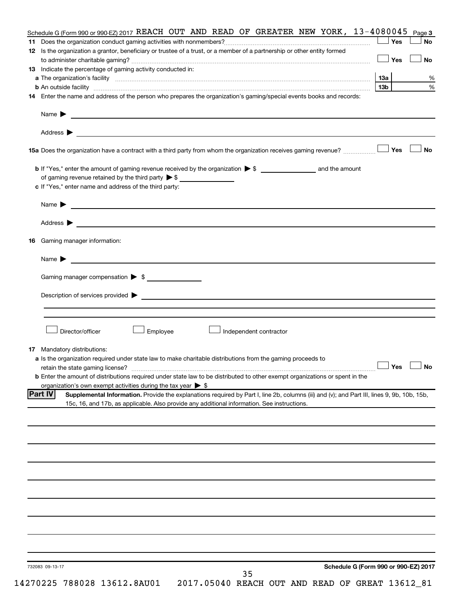| Schedule G (Form 990 or 990-EZ) 2017 REACH OUT AND READ OF GREATER NEW YORK, $13-4080045$                                                                                                                                           | Page 3 |
|-------------------------------------------------------------------------------------------------------------------------------------------------------------------------------------------------------------------------------------|--------|
|                                                                                                                                                                                                                                     | Yes    |
| 12 Is the organization a grantor, beneficiary or trustee of a trust, or a member of a partnership or other entity formed                                                                                                            |        |
|                                                                                                                                                                                                                                     | Yes    |
| 13 Indicate the percentage of gaming activity conducted in:                                                                                                                                                                         |        |
|                                                                                                                                                                                                                                     | 1За    |
| <b>b</b> An outside facility with an account of the control of the control of the control of the control of the control of the control of the control of the control of the control of the control of the control of the control of | 13b    |
| 14 Enter the name and address of the person who prepares the organization's gaming/special events books and records:                                                                                                                |        |
| Name > 2008 - 2008 - 2008 - 2008 - 2008 - 2008 - 2008 - 2008 - 2008 - 2008 - 2008 - 2008 - 2008 - 2008 - 2008 - 2008 - 2008 - 2008 - 2008 - 2008 - 2008 - 2008 - 2008 - 2008 - 2008 - 2008 - 2008 - 2008 - 2008 - 2008 - 2008       |        |
|                                                                                                                                                                                                                                     |        |
| 15a Does the organization have a contract with a third party from whom the organization receives gaming revenue?                                                                                                                    | Yes    |
|                                                                                                                                                                                                                                     |        |
|                                                                                                                                                                                                                                     |        |
| of gaming revenue retained by the third party $\triangleright$ \$                                                                                                                                                                   |        |
| c If "Yes," enter name and address of the third party:                                                                                                                                                                              |        |
|                                                                                                                                                                                                                                     |        |
| Address $\triangleright$                                                                                                                                                                                                            |        |
| Gaming manager information:<br>16                                                                                                                                                                                                   |        |
| <u> 1989 - Johann Barbara, martin a bhaile ann an t-</u><br>Name $\blacktriangleright$                                                                                                                                              |        |
| Gaming manager compensation > \$                                                                                                                                                                                                    |        |
|                                                                                                                                                                                                                                     |        |
| Director/officer<br>Employee<br>Independent contractor                                                                                                                                                                              |        |
| Mandatory distributions:<br>17                                                                                                                                                                                                      |        |
| a Is the organization required under state law to make charitable distributions from the gaming proceeds to                                                                                                                         |        |
|                                                                                                                                                                                                                                     |        |
| $\overline{\phantom{a}}$ Yes<br>retain the state gaming license?                                                                                                                                                                    | ∟— No  |
| <b>b</b> Enter the amount of distributions required under state law to be distributed to other exempt organizations or spent in the                                                                                                 |        |
| organization's own exempt activities during the tax year $\triangleright$ \$                                                                                                                                                        |        |
| <b>Part IV</b><br>Supplemental Information. Provide the explanations required by Part I, line 2b, columns (iii) and (v); and Part III, lines 9, 9b, 10b, 15b,                                                                       |        |
| 15c, 16, and 17b, as applicable. Also provide any additional information. See instructions.                                                                                                                                         |        |
|                                                                                                                                                                                                                                     |        |
|                                                                                                                                                                                                                                     |        |
|                                                                                                                                                                                                                                     |        |
|                                                                                                                                                                                                                                     |        |
|                                                                                                                                                                                                                                     |        |
|                                                                                                                                                                                                                                     |        |
|                                                                                                                                                                                                                                     |        |
|                                                                                                                                                                                                                                     |        |
|                                                                                                                                                                                                                                     |        |
|                                                                                                                                                                                                                                     |        |
|                                                                                                                                                                                                                                     |        |
|                                                                                                                                                                                                                                     |        |
| Schedule G (Form 990 or 990-EZ) 2017<br>732083 09-13-17                                                                                                                                                                             |        |
| 35                                                                                                                                                                                                                                  |        |
|                                                                                                                                                                                                                                     |        |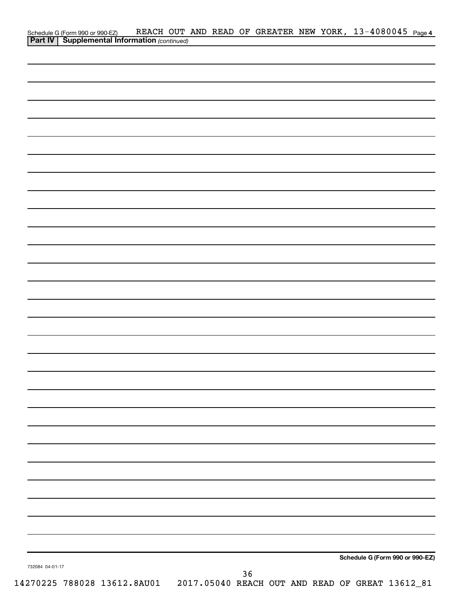|                 | Schedule G (Form 990 or 990-EZ) REACH OUT<br><b>Part IV   Supplemental Information</b> (continued) |  |  |    |  |  | REACH OUT AND READ OF GREATER NEW YORK, 13-4080045 Page 4                   |
|-----------------|----------------------------------------------------------------------------------------------------|--|--|----|--|--|-----------------------------------------------------------------------------|
|                 |                                                                                                    |  |  |    |  |  |                                                                             |
|                 |                                                                                                    |  |  |    |  |  |                                                                             |
|                 |                                                                                                    |  |  |    |  |  |                                                                             |
|                 |                                                                                                    |  |  |    |  |  |                                                                             |
|                 |                                                                                                    |  |  |    |  |  |                                                                             |
|                 |                                                                                                    |  |  |    |  |  |                                                                             |
|                 |                                                                                                    |  |  |    |  |  |                                                                             |
|                 |                                                                                                    |  |  |    |  |  |                                                                             |
|                 |                                                                                                    |  |  |    |  |  |                                                                             |
|                 |                                                                                                    |  |  |    |  |  |                                                                             |
|                 |                                                                                                    |  |  |    |  |  |                                                                             |
|                 |                                                                                                    |  |  |    |  |  |                                                                             |
|                 |                                                                                                    |  |  |    |  |  |                                                                             |
|                 |                                                                                                    |  |  |    |  |  |                                                                             |
|                 |                                                                                                    |  |  |    |  |  |                                                                             |
|                 |                                                                                                    |  |  |    |  |  |                                                                             |
|                 |                                                                                                    |  |  |    |  |  |                                                                             |
|                 |                                                                                                    |  |  |    |  |  |                                                                             |
|                 |                                                                                                    |  |  |    |  |  |                                                                             |
|                 |                                                                                                    |  |  |    |  |  |                                                                             |
|                 |                                                                                                    |  |  |    |  |  |                                                                             |
|                 |                                                                                                    |  |  |    |  |  |                                                                             |
|                 |                                                                                                    |  |  |    |  |  |                                                                             |
|                 |                                                                                                    |  |  |    |  |  |                                                                             |
|                 |                                                                                                    |  |  |    |  |  |                                                                             |
|                 |                                                                                                    |  |  |    |  |  |                                                                             |
|                 |                                                                                                    |  |  |    |  |  |                                                                             |
|                 |                                                                                                    |  |  |    |  |  |                                                                             |
|                 |                                                                                                    |  |  |    |  |  |                                                                             |
|                 |                                                                                                    |  |  |    |  |  |                                                                             |
|                 |                                                                                                    |  |  |    |  |  |                                                                             |
|                 |                                                                                                    |  |  |    |  |  |                                                                             |
|                 |                                                                                                    |  |  |    |  |  |                                                                             |
|                 |                                                                                                    |  |  |    |  |  |                                                                             |
|                 |                                                                                                    |  |  |    |  |  | Schedule G (Form 990 or 990-EZ)                                             |
| 732084 04-01-17 |                                                                                                    |  |  | 36 |  |  |                                                                             |
|                 |                                                                                                    |  |  |    |  |  | 14270225 788028 13612.8AU01 2017.05040 REACH OUT AND READ OF GREAT 13612_81 |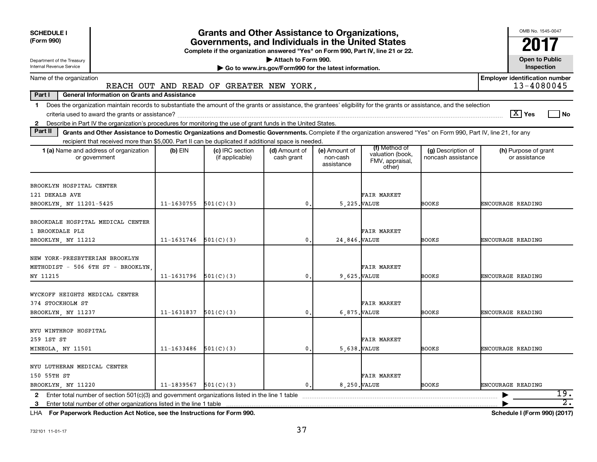| <b>SCHEDULE I</b><br>(Form 990)<br>Department of the Treasury<br>Internal Revenue Service                                                                                                                                                                                 |                | <b>Grants and Other Assistance to Organizations,</b><br>Governments, and Individuals in the United States<br>Complete if the organization answered "Yes" on Form 990, Part IV, line 21 or 22. | Attach to Form 990.<br>Go to www.irs.gov/Form990 for the latest information. |                                         |                                                                |                                          | OMB No. 1545-0047<br><b>Open to Public</b><br>Inspection |
|---------------------------------------------------------------------------------------------------------------------------------------------------------------------------------------------------------------------------------------------------------------------------|----------------|-----------------------------------------------------------------------------------------------------------------------------------------------------------------------------------------------|------------------------------------------------------------------------------|-----------------------------------------|----------------------------------------------------------------|------------------------------------------|----------------------------------------------------------|
| Name of the organization                                                                                                                                                                                                                                                  |                |                                                                                                                                                                                               |                                                                              |                                         |                                                                |                                          | <b>Employer identification number</b>                    |
|                                                                                                                                                                                                                                                                           |                | REACH OUT AND READ OF GREATER NEW YORK,                                                                                                                                                       |                                                                              |                                         |                                                                |                                          | 13-4080045                                               |
| Part I<br><b>General Information on Grants and Assistance</b>                                                                                                                                                                                                             |                |                                                                                                                                                                                               |                                                                              |                                         |                                                                |                                          |                                                          |
| Does the organization maintain records to substantiate the amount of the grants or assistance, the grantees' eligibility for the grants or assistance, and the selection<br>$\mathbf 1$                                                                                   |                |                                                                                                                                                                                               |                                                                              |                                         |                                                                |                                          | $\boxed{\text{X}}$ Yes<br>l No                           |
| 2 Describe in Part IV the organization's procedures for monitoring the use of grant funds in the United States.<br>Part II                                                                                                                                                |                |                                                                                                                                                                                               |                                                                              |                                         |                                                                |                                          |                                                          |
| Grants and Other Assistance to Domestic Organizations and Domestic Governments. Complete if the organization answered "Yes" on Form 990, Part IV, line 21, for any<br>recipient that received more than \$5,000. Part II can be duplicated if additional space is needed. |                |                                                                                                                                                                                               |                                                                              |                                         |                                                                |                                          |                                                          |
| 1 (a) Name and address of organization<br>or government                                                                                                                                                                                                                   | (b) EIN        | (c) IRC section<br>(if applicable)                                                                                                                                                            | (d) Amount of<br>cash grant                                                  | (e) Amount of<br>non-cash<br>assistance | (f) Method of<br>valuation (book,<br>FMV, appraisal,<br>other) | (g) Description of<br>noncash assistance | (h) Purpose of grant<br>or assistance                    |
| BROOKLYN HOSPITAL CENTER<br>121 DEKALB AVE<br>BROOKLYN, NY 11201-5425                                                                                                                                                                                                     | $11 - 1630755$ | 501(C)(3)                                                                                                                                                                                     | 0.                                                                           | 5.225. VALUE                            | FAIR MARKET                                                    | BOOKS                                    | <b>ENCOURAGE READING</b>                                 |
| BROOKDALE HOSPITAL MEDICAL CENTER<br>1 BROOKDALE PLZ<br>BROOKLYN, NY 11212                                                                                                                                                                                                | 11-1631746     | 501(C)(3)                                                                                                                                                                                     | 0.                                                                           | 24,846. VALUE                           | <b>FAIR MARKET</b>                                             | <b>BOOKS</b>                             | <b>ENCOURAGE READING</b>                                 |
| NEW YORK-PRESBYTERIAN BROOKLYN<br>METHODIST - 506 6TH ST - BROOKLYN<br>NY 11215                                                                                                                                                                                           | 11-1631796     | 501(C)(3)                                                                                                                                                                                     | $\mathbf{0}$                                                                 | 9.625. VALUE                            | FAIR MARKET                                                    | BOOKS                                    | ENCOURAGE READING                                        |
| WYCKOFF HEIGHTS MEDICAL CENTER<br>374 STOCKHOLM ST<br>BROOKLYN NY 11237                                                                                                                                                                                                   | 11-1631837     | 501(C)(3)                                                                                                                                                                                     | $\mathbf 0$ .                                                                | 6.875. VALUE                            | <b>FAIR MARKET</b>                                             | <b>BOOKS</b>                             | ENCOURAGE READING                                        |
| NYU WINTHROP HOSPITAL<br>259 1ST ST<br>MINEOLA, NY 11501                                                                                                                                                                                                                  | 11-1633486     | 501(C)(3)                                                                                                                                                                                     | $\mathbf 0$ .                                                                | 5,638. VALUE                            | FAIR MARKET                                                    | <b>BOOKS</b>                             | ENCOURAGE READING                                        |
| NYU LUTHERAN MEDICAL CENTER<br>150 55TH ST<br>BROOKLYN, NY 11220                                                                                                                                                                                                          | 11-1839567     | 501(C)(3)                                                                                                                                                                                     | $\mathbf{0}$ .                                                               | 8.250. VALUE                            | <b>FAIR MARKET</b>                                             | <b>BOOKS</b>                             | <b>ENCOURAGE READING</b>                                 |
| Enter total number of section 501(c)(3) and government organizations listed in the line 1 table<br>$\mathbf{2}$<br>3<br>$\sim$ $\sim$ $\sim$ $\sim$ $\sim$                                                                                                                |                |                                                                                                                                                                                               |                                                                              |                                         |                                                                |                                          | 19.<br>$\overline{2}$ .                                  |

**For Paperwork Reduction Act Notice, see the Instructions for Form 990. Schedule I (Form 990) (2017)** LHA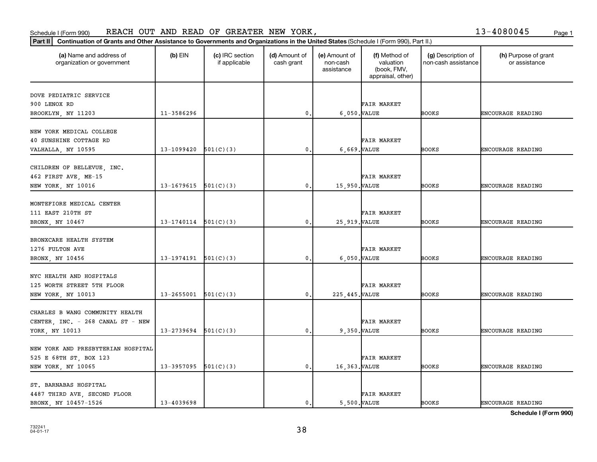### Schedule I (Form 990) KEACH OUT AND KEAD OF GKEATEK NEW YOKK, Page 1 REACH OUT AND READ OF GREATER NEW YORK, THE SERVICE SERVICE SERVICE SERVICE SERVICE SERVICE SERVICE SERVICE S

|  | 13-4080045 | Page 1 |
|--|------------|--------|
|  |            |        |

| (a) Name and address of<br>organization or government | $(b)$ EIN                  | (c) IRC section<br>if applicable | (d) Amount of<br>cash grant | (e) Amount of<br>non-cash<br>assistance | (f) Method of<br>valuation<br>(book, FMV,<br>appraisal, other) | (g) Description of<br>non-cash assistance | (h) Purpose of grant<br>or assistance |
|-------------------------------------------------------|----------------------------|----------------------------------|-----------------------------|-----------------------------------------|----------------------------------------------------------------|-------------------------------------------|---------------------------------------|
|                                                       |                            |                                  |                             |                                         |                                                                |                                           |                                       |
| DOVE PEDIATRIC SERVICE                                |                            |                                  |                             |                                         |                                                                |                                           |                                       |
| 900 LENOX RD                                          |                            |                                  |                             |                                         | FAIR MARKET                                                    |                                           |                                       |
| BROOKLYN, NY 11203                                    | 11-3586296                 |                                  | $\mathbf{0}$                |                                         | 6,050. VALUE                                                   | <b>BOOKS</b>                              | ENCOURAGE READING                     |
| NEW YORK MEDICAL COLLEGE                              |                            |                                  |                             |                                         |                                                                |                                           |                                       |
| 40 SUNSHINE COTTAGE RD                                |                            |                                  |                             |                                         | FAIR MARKET                                                    |                                           |                                       |
| VALHALLA, NY 10595                                    | 13-1099420                 | 501(C)(3)                        | 0.                          |                                         | 6,669. VALUE                                                   | <b>BOOKS</b>                              | ENCOURAGE READING                     |
|                                                       |                            |                                  |                             |                                         |                                                                |                                           |                                       |
| CHILDREN OF BELLEVUE, INC.                            |                            |                                  |                             |                                         |                                                                |                                           |                                       |
| 462 FIRST AVE, ME-15                                  |                            |                                  |                             |                                         | FAIR MARKET                                                    |                                           |                                       |
| NEW YORK, NY 10016                                    | 13-1679615                 | 501(C)(3)                        | $\mathbf{0}$ .              | 15,950. VALUE                           |                                                                | <b>BOOKS</b>                              | <b>ENCOURAGE READING</b>              |
|                                                       |                            |                                  |                             |                                         |                                                                |                                           |                                       |
| MONTEFIORE MEDICAL CENTER                             |                            |                                  |                             |                                         |                                                                |                                           |                                       |
| 111 EAST 210TH ST                                     |                            |                                  |                             |                                         | FAIR MARKET                                                    |                                           |                                       |
| BRONX, NY 10467                                       | $13-1740114$ $501(C)(3)$   |                                  | $\mathbf{0}$                | 25, 919. VALUE                          |                                                                | <b>BOOKS</b>                              | ENCOURAGE READING                     |
|                                                       |                            |                                  |                             |                                         |                                                                |                                           |                                       |
| BRONXCARE HEALTH SYSTEM                               |                            |                                  |                             |                                         |                                                                |                                           |                                       |
| 1276 FULTON AVE                                       |                            |                                  |                             |                                         | FAIR MARKET                                                    |                                           |                                       |
| BRONX, NY 10456                                       | $13-1974191$ $501(C)(3)$   |                                  | 0.                          |                                         | 6,050. VALUE                                                   | <b>BOOKS</b>                              | ENCOURAGE READING                     |
|                                                       |                            |                                  |                             |                                         |                                                                |                                           |                                       |
| NYC HEALTH AND HOSPITALS                              |                            |                                  |                             |                                         |                                                                |                                           |                                       |
| 125 WORTH STREET 5TH FLOOR                            |                            |                                  |                             |                                         | <b>FAIR MARKET</b>                                             |                                           |                                       |
| NEW YORK, NY 10013                                    | 13-2655001                 | 501(C)(3)                        | 0.                          | 225, 445. VALUE                         |                                                                | <b>BOOKS</b>                              | <b>ENCOURAGE READING</b>              |
|                                                       |                            |                                  |                             |                                         |                                                                |                                           |                                       |
| CHARLES B WANG COMMUNITY HEALTH                       |                            |                                  |                             |                                         |                                                                |                                           |                                       |
| CENTER, INC. - 268 CANAL ST - NEW                     |                            |                                  |                             |                                         | <b>FAIR MARKET</b>                                             |                                           |                                       |
| YORK, NY 10013                                        | $13 - 2739694$ $501(C)(3)$ |                                  | $\mathbf{0}$ .              |                                         | 9,350. VALUE                                                   | <b>BOOKS</b>                              | <b>ENCOURAGE READING</b>              |
|                                                       |                            |                                  |                             |                                         |                                                                |                                           |                                       |
| NEW YORK AND PRESBYTERIAN HOSPITAL                    |                            |                                  |                             |                                         |                                                                |                                           |                                       |
| 525 E 68TH ST, BOX 123                                |                            |                                  |                             |                                         | <b>FAIR MARKET</b>                                             |                                           |                                       |
| NEW YORK, NY 10065                                    | $13-3957095$ $501(C)(3)$   |                                  | 0.                          | 16,363. VALUE                           |                                                                | <b>BOOKS</b>                              | ENCOURAGE READING                     |
|                                                       |                            |                                  |                             |                                         |                                                                |                                           |                                       |
| ST. BARNABAS HOSPITAL                                 |                            |                                  |                             |                                         | <b>FAIR MARKET</b>                                             |                                           |                                       |
| 4487 THIRD AVE, SECOND FLOOR<br>BRONX, NY 10457-1526  | $13 - 4039698$             |                                  | $\mathbf{0}$ .              |                                         | 5,500. VALUE                                                   | <b>BOOKS</b>                              | <b>ENCOURAGE READING</b>              |
|                                                       |                            |                                  |                             |                                         |                                                                |                                           |                                       |

**Schedule I (Form 990)**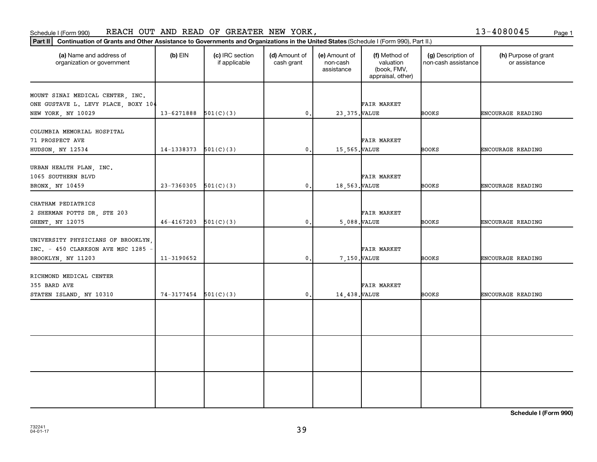### Schedule I (Form 990) KEACH OUT AND KEAD OF GKEATEK NEW YOKK, Page 1 REACH OUT AND READ OF GREATER NEW YORK,

| 13-4080045 | Page: |
|------------|-------|
|            |       |

| Continuation of Grants and Other Assistance to Governments and Organizations in the United States (Schedule I (Form 990), Part II.)<br>$ $ Part II $ $ |            |                                  |                             |                                         |                                                                |                                           |                                       |
|--------------------------------------------------------------------------------------------------------------------------------------------------------|------------|----------------------------------|-----------------------------|-----------------------------------------|----------------------------------------------------------------|-------------------------------------------|---------------------------------------|
| (a) Name and address of<br>organization or government                                                                                                  | $(b)$ EIN  | (c) IRC section<br>if applicable | (d) Amount of<br>cash grant | (e) Amount of<br>non-cash<br>assistance | (f) Method of<br>valuation<br>(book, FMV,<br>appraisal, other) | (g) Description of<br>non-cash assistance | (h) Purpose of grant<br>or assistance |
| MOUNT SINAI MEDICAL CENTER, INC.<br>ONE GUSTAVE L. LEVY PLACE, BOXY 104<br>NEW YORK, NY 10029                                                          | 13-6271888 | 501(C)(3)                        | $\mathbf{0}$ .              | 23, 375. VALUE                          | FAIR MARKET                                                    | <b>BOOKS</b>                              | ENCOURAGE READING                     |
| COLUMBIA MEMORIAL HOSPITAL<br>71 PROSPECT AVE<br>HUDSON, NY 12534                                                                                      | 14-1338373 | 501(C)(3)                        | 0.                          | 15,565. VALUE                           | <b>FAIR MARKET</b>                                             | <b>BOOKS</b>                              | <b>ENCOURAGE READING</b>              |
| URBAN HEALTH PLAN, INC.<br>1065 SOUTHERN BLVD<br>BRONX, NY 10459                                                                                       | 23-7360305 | 501(C)(3)                        | $\mathbf{0}$ .              | 18,563. VALUE                           | <b>FAIR MARKET</b>                                             | <b>BOOKS</b>                              | ENCOURAGE READING                     |
| CHATHAM PEDIATRICS<br>2 SHERMAN POTTS DR, STE 203<br>GHENT, NY 12075                                                                                   | 46-4167203 | 501(C)(3)                        | $\mathbf{0}$ .              | 5,088. VALUE                            | FAIR MARKET                                                    | <b>BOOKS</b>                              | ENCOURAGE READING                     |
| UNIVERSITY PHYSICIANS OF BROOKLYN,<br>INC. - 450 CLARKSON AVE MSC 1285 -<br>BROOKLYN, NY 11203                                                         | 11-3190652 |                                  | $\mathbf{0}$ .              | 7,150. VALUE                            | FAIR MARKET                                                    | <b>BOOKS</b>                              | <b>ENCOURAGE READING</b>              |
| RICHMOND MEDICAL CENTER<br>355 BARD AVE<br>STATEN ISLAND, NY 10310                                                                                     | 74-3177454 | 501(C)(3)                        | 0.                          | 14,438. VALUE                           | FAIR MARKET                                                    | <b>BOOKS</b>                              | ENCOURAGE READING                     |
|                                                                                                                                                        |            |                                  |                             |                                         |                                                                |                                           |                                       |
|                                                                                                                                                        |            |                                  |                             |                                         |                                                                |                                           |                                       |
|                                                                                                                                                        |            |                                  |                             |                                         |                                                                |                                           |                                       |

**Schedule I (Form 990)**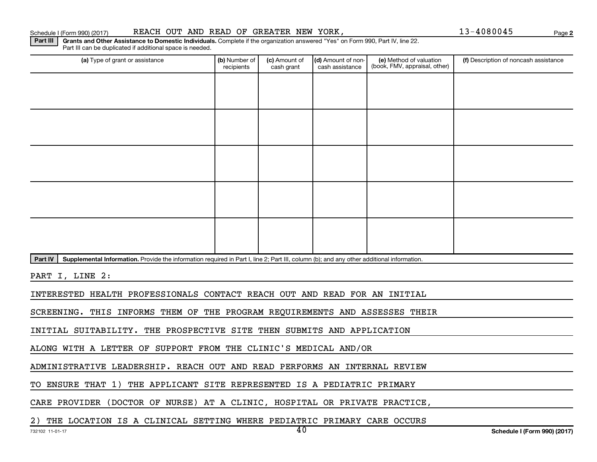### Schedule I (Form 990) (2017) REACH OUT AND READ OF GREATER NEW YORK,  $13-4080045$  Page

Part III | Grants and Other Assistance to Domestic Individuals. Complete if the organization answered "Yes" on Form 990, Part IV, line 22.

(a) Type of grant or assistance **(b)** Number of  $|$  **(c)** Amount of  $|$  **(d)** Amount of non- $|$  **(e)** Method of valuation  $|$  **(f)** Part III can be duplicated if additional space is needed. (e) Method of valuation (book, FMV, appraisal, other) recipients (c) Amount of cash grant (d) Amount of noncash assistance **(f)** Description of noncash assistance

Part IV | Supplemental Information. Provide the information required in Part I, line 2; Part III, column (b); and any other additional information.

PART I, LINE 2:

INTERESTED HEALTH PROFESSIONALS CONTACT REACH OUT AND READ FOR AN INITIAL

SCREENING. THIS INFORMS THEM OF THE PROGRAM REQUIREMENTS AND ASSESSES THEIR

INITIAL SUITABILITY. THE PROSPECTIVE SITE THEN SUBMITS AND APPLICATION

ALONG WITH A LETTER OF SUPPORT FROM THE CLINIC'S MEDICAL AND/OR

ADMINISTRATIVE LEADERSHIP. REACH OUT AND READ PERFORMS AN INTERNAL REVIEW

TO ENSURE THAT 1) THE APPLICANT SITE REPRESENTED IS A PEDIATRIC PRIMARY

CARE PROVIDER (DOCTOR OF NURSE) AT A CLINIC, HOSPITAL OR PRIVATE PRACTICE,

2) THE LOCATION IS A CLINICAL SETTING WHERE PEDIATRIC PRIMARY CARE OCCURS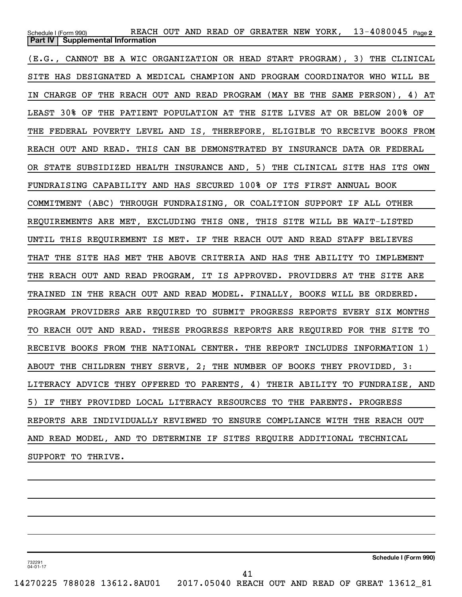$13 - 4080045$  Page 2 Schedule I (Form 990) Page REACH OUT AND READ OF GREATER NEW YORK, 13-4080045 **Part IV** | Supplemental Information (E.G., CANNOT BE A WIC ORGANIZATION OR HEAD START PROGRAM), 3) THE CLINICAL SITE HAS DESIGNATED A MEDICAL CHAMPION AND PROGRAM COORDINATOR WHO WILL BE IN CHARGE OF THE REACH OUT AND READ PROGRAM (MAY BE THE SAME PERSON), 4) AT LEAST 30% OF THE PATIENT POPULATION AT THE SITE LIVES AT OR BELOW 200% OF THE FEDERAL POVERTY LEVEL AND IS, THEREFORE, ELIGIBLE TO RECEIVE BOOKS FROM REACH OUT AND READ. THIS CAN BE DEMONSTRATED BY INSURANCE DATA OR FEDERAL OR STATE SUBSIDIZED HEALTH INSURANCE AND, 5) THE CLINICAL SITE HAS ITS OWN FUNDRAISING CAPABILITY AND HAS SECURED 100% OF ITS FIRST ANNUAL BOOK COMMITMENT (ABC) THROUGH FUNDRAISING, OR COALITION SUPPORT IF ALL OTHER REQUIREMENTS ARE MET, EXCLUDING THIS ONE, THIS SITE WILL BE WAIT-LISTED UNTIL THIS REQUIREMENT IS MET. IF THE REACH OUT AND READ STAFF BELIEVES THAT THE SITE HAS MET THE ABOVE CRITERIA AND HAS THE ABILITY TO IMPLEMENT THE REACH OUT AND READ PROGRAM, IT IS APPROVED. PROVIDERS AT THE SITE ARE TRAINED IN THE REACH OUT AND READ MODEL. FINALLY, BOOKS WILL BE ORDERED. PROGRAM PROVIDERS ARE REQUIRED TO SUBMIT PROGRESS REPORTS EVERY SIX MONTHS TO REACH OUT AND READ. THESE PROGRESS REPORTS ARE REQUIRED FOR THE SITE TO RECEIVE BOOKS FROM THE NATIONAL CENTER. THE REPORT INCLUDES INFORMATION 1) ABOUT THE CHILDREN THEY SERVE, 2; THE NUMBER OF BOOKS THEY PROVIDED, 3: LITERACY ADVICE THEY OFFERED TO PARENTS, 4) THEIR ABILITY TO FUNDRAISE, AND 5) IF THEY PROVIDED LOCAL LITERACY RESOURCES TO THE PARENTS. PROGRESS REPORTS ARE INDIVIDUALLY REVIEWED TO ENSURE COMPLIANCE WITH THE REACH OUT AND READ MODEL, AND TO DETERMINE IF SITES REQUIRE ADDITIONAL TECHNICAL SUPPORT TO THRIVE.

732291 04-01-17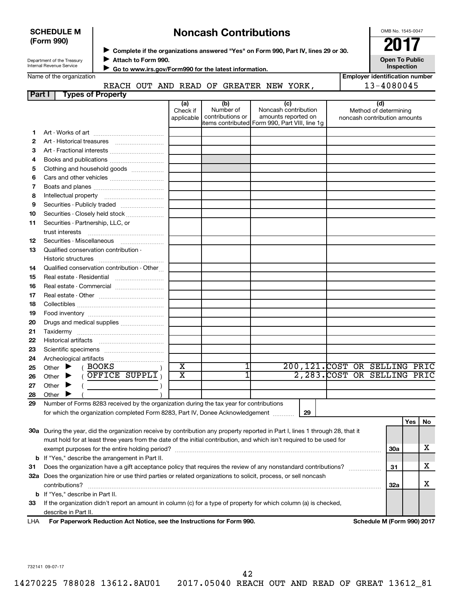|        | (Form 990) | <b>SCHEDULE M</b>                       |                                                |                     |                                                                                    |  |                                                       | <b>Noncash Contributions</b>                                                            |                                                                                                                                |  |                                       |                              | OMB No. 1545-0047<br>2017 |                       |    |
|--------|------------|-----------------------------------------|------------------------------------------------|---------------------|------------------------------------------------------------------------------------|--|-------------------------------------------------------|-----------------------------------------------------------------------------------------|--------------------------------------------------------------------------------------------------------------------------------|--|---------------------------------------|------------------------------|---------------------------|-----------------------|----|
|        |            | Department of the Treasury              |                                                | Attach to Form 990. | Complete if the organizations answered "Yes" on Form 990, Part IV, lines 29 or 30. |  |                                                       |                                                                                         |                                                                                                                                |  |                                       |                              |                           | <b>Open To Public</b> |    |
|        |            | Internal Revenue Service                |                                                |                     |                                                                                    |  | Go to www.irs.gov/Form990 for the latest information. |                                                                                         |                                                                                                                                |  |                                       |                              | Inspection                |                       |    |
|        |            | Name of the organization                |                                                |                     |                                                                                    |  |                                                       |                                                                                         |                                                                                                                                |  | <b>Employer identification number</b> |                              |                           |                       |    |
| Part I |            |                                         | <b>Types of Property</b>                       |                     |                                                                                    |  |                                                       | REACH OUT AND READ OF GREATER NEW YORK,                                                 |                                                                                                                                |  |                                       | 13-4080045                   |                           |                       |    |
|        |            |                                         |                                                |                     | (a)<br>Check if<br>applicable                                                      |  | (b)<br>Number of<br>contributions or                  |                                                                                         | (c)<br>Noncash contribution<br>amounts reported on<br>items contributed Form 990, Part VIII, line 1g                           |  | noncash contribution amounts          | (d)<br>Method of determining |                           |                       |    |
| 1.     |            |                                         |                                                |                     |                                                                                    |  |                                                       |                                                                                         |                                                                                                                                |  |                                       |                              |                           |                       |    |
| 2      |            |                                         |                                                |                     |                                                                                    |  |                                                       |                                                                                         |                                                                                                                                |  |                                       |                              |                           |                       |    |
| З      |            |                                         |                                                |                     |                                                                                    |  |                                                       |                                                                                         |                                                                                                                                |  |                                       |                              |                           |                       |    |
| 4      |            |                                         |                                                |                     |                                                                                    |  |                                                       |                                                                                         |                                                                                                                                |  |                                       |                              |                           |                       |    |
| 5      |            |                                         | Clothing and household goods                   |                     |                                                                                    |  |                                                       |                                                                                         |                                                                                                                                |  |                                       |                              |                           |                       |    |
| 6      |            |                                         |                                                |                     |                                                                                    |  |                                                       |                                                                                         |                                                                                                                                |  |                                       |                              |                           |                       |    |
| 7      |            |                                         |                                                |                     |                                                                                    |  |                                                       |                                                                                         |                                                                                                                                |  |                                       |                              |                           |                       |    |
| 8      |            |                                         |                                                |                     |                                                                                    |  |                                                       |                                                                                         |                                                                                                                                |  |                                       |                              |                           |                       |    |
| 9      |            |                                         |                                                |                     |                                                                                    |  |                                                       |                                                                                         |                                                                                                                                |  |                                       |                              |                           |                       |    |
| 10     |            |                                         | Securities - Closely held stock                |                     |                                                                                    |  |                                                       |                                                                                         |                                                                                                                                |  |                                       |                              |                           |                       |    |
| 11     |            |                                         | Securities - Partnership, LLC, or              |                     |                                                                                    |  |                                                       |                                                                                         |                                                                                                                                |  |                                       |                              |                           |                       |    |
|        |            |                                         |                                                |                     |                                                                                    |  |                                                       |                                                                                         |                                                                                                                                |  |                                       |                              |                           |                       |    |
| 12     |            |                                         | Securities - Miscellaneous                     |                     |                                                                                    |  |                                                       |                                                                                         |                                                                                                                                |  |                                       |                              |                           |                       |    |
| 13     |            |                                         | Qualified conservation contribution -          |                     |                                                                                    |  |                                                       |                                                                                         |                                                                                                                                |  |                                       |                              |                           |                       |    |
| 14     |            |                                         | Qualified conservation contribution - Other    |                     |                                                                                    |  |                                                       |                                                                                         |                                                                                                                                |  |                                       |                              |                           |                       |    |
| 15     |            |                                         |                                                |                     |                                                                                    |  |                                                       |                                                                                         |                                                                                                                                |  |                                       |                              |                           |                       |    |
| 16     |            |                                         | Real estate - Commercial                       |                     |                                                                                    |  |                                                       |                                                                                         |                                                                                                                                |  |                                       |                              |                           |                       |    |
| 17     |            |                                         |                                                |                     |                                                                                    |  |                                                       |                                                                                         |                                                                                                                                |  |                                       |                              |                           |                       |    |
| 18     |            |                                         |                                                |                     |                                                                                    |  |                                                       |                                                                                         |                                                                                                                                |  |                                       |                              |                           |                       |    |
| 19     |            |                                         |                                                |                     |                                                                                    |  |                                                       |                                                                                         |                                                                                                                                |  |                                       |                              |                           |                       |    |
| 20     |            |                                         | Drugs and medical supplies                     |                     |                                                                                    |  |                                                       |                                                                                         |                                                                                                                                |  |                                       |                              |                           |                       |    |
| 21     |            |                                         |                                                |                     |                                                                                    |  |                                                       |                                                                                         |                                                                                                                                |  |                                       |                              |                           |                       |    |
| 22     |            |                                         |                                                |                     |                                                                                    |  |                                                       |                                                                                         |                                                                                                                                |  |                                       |                              |                           |                       |    |
| 23     |            |                                         |                                                |                     |                                                                                    |  |                                                       |                                                                                         |                                                                                                                                |  |                                       |                              |                           |                       |    |
| 24     |            | Archeological artifacts                 |                                                |                     |                                                                                    |  |                                                       |                                                                                         |                                                                                                                                |  |                                       |                              |                           |                       |    |
| 25     | Other      |                                         | <b>BOOKS</b>                                   |                     | $\overline{\text{X}}$                                                              |  |                                                       |                                                                                         | 200,121.COST OR SELLING PRIC                                                                                                   |  |                                       |                              |                           |                       |    |
| 26     | Other      |                                         | OFFICE SUPPLI                                  |                     | $\overline{\textbf{x}}$                                                            |  |                                                       |                                                                                         | 2,283. COST OR SELLING PRIC                                                                                                    |  |                                       |                              |                           |                       |    |
| 27     | Other      |                                         |                                                |                     |                                                                                    |  |                                                       |                                                                                         |                                                                                                                                |  |                                       |                              |                           |                       |    |
| 28     | Other      |                                         |                                                |                     |                                                                                    |  |                                                       |                                                                                         |                                                                                                                                |  |                                       |                              |                           |                       |    |
| 29     |            |                                         |                                                |                     |                                                                                    |  |                                                       | Number of Forms 8283 received by the organization during the tax year for contributions |                                                                                                                                |  |                                       |                              |                           |                       |    |
|        |            |                                         |                                                |                     |                                                                                    |  |                                                       | for which the organization completed Form 8283, Part IV, Donee Acknowledgement [1111]   | 29                                                                                                                             |  |                                       |                              |                           | Yes                   | No |
|        |            |                                         |                                                |                     |                                                                                    |  |                                                       |                                                                                         | 30a During the year, did the organization receive by contribution any property reported in Part I, lines 1 through 28, that it |  |                                       |                              |                           |                       |    |
|        |            |                                         |                                                |                     |                                                                                    |  |                                                       |                                                                                         | must hold for at least three years from the date of the initial contribution, and which isn't required to be used for          |  |                                       |                              |                           |                       |    |
|        |            |                                         |                                                |                     |                                                                                    |  |                                                       |                                                                                         |                                                                                                                                |  |                                       |                              | 30a                       |                       | х  |
| b      |            |                                         | If "Yes," describe the arrangement in Part II. |                     |                                                                                    |  |                                                       |                                                                                         |                                                                                                                                |  |                                       |                              |                           |                       |    |
| 31     |            |                                         |                                                |                     |                                                                                    |  |                                                       |                                                                                         | Does the organization have a gift acceptance policy that requires the review of any nonstandard contributions?                 |  |                                       |                              | 31                        |                       | x  |
| 32a    |            |                                         |                                                |                     |                                                                                    |  |                                                       |                                                                                         | Does the organization hire or use third parties or related organizations to solicit, process, or sell noncash                  |  |                                       |                              |                           |                       |    |
|        |            | contributions?                          |                                                |                     |                                                                                    |  |                                                       |                                                                                         |                                                                                                                                |  |                                       |                              | 32a                       |                       | х  |
|        |            | <b>b</b> If "Yes," describe in Part II. |                                                |                     |                                                                                    |  |                                                       |                                                                                         |                                                                                                                                |  |                                       |                              |                           |                       |    |

**33** If the organization didn't report an amount in column (c) for a type of property for which column (a) is checked, describe in Part II.

**For Paperwork Reduction Act Notice, see the Instructions for Form 990. Schedule M (Form 990) 2017** LHA

732141 09-07-17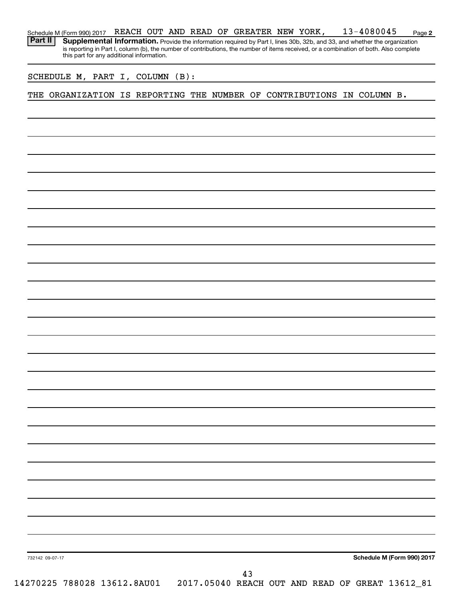| Schedule M (Form 990) 2017 REACH OUT AND READ OF GREATER NEW YORK, |  |  |  |  | 13-4080045                                                                                                                                | Page 2 |
|--------------------------------------------------------------------|--|--|--|--|-------------------------------------------------------------------------------------------------------------------------------------------|--------|
|                                                                    |  |  |  |  | <b>Part II</b> Supplemental Information. Provide the information required by Part I, lines 30b, 32b, and 33, and whether the organization |        |
|                                                                    |  |  |  |  | is reporting in Part I, column (b), the number of contributions, the number of items received, or a combination of both. Also complete    |        |
| this part for any additional information.                          |  |  |  |  |                                                                                                                                           |        |

SCHEDULE M, PART I, COLUMN (B):

THE ORGANIZATION IS REPORTING THE NUMBER OF CONTRIBUTIONS IN COLUMN B.

**Schedule M (Form 990) 2017**

732142 09-07-17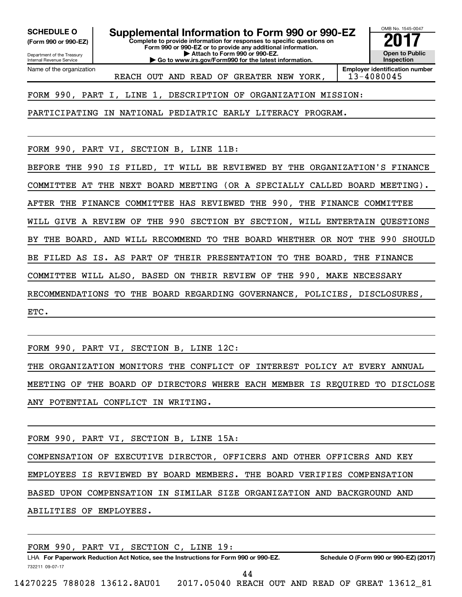**(Form 990 or 990-EZ)**

Department of the Treasury Internal Revenue Service Name of the organization

**Complete to provide information for responses to specific questions on Form 990 or 990-EZ or to provide any additional information. | Attach to Form 990 or 990-EZ. SCHEDULE O Supplemental Information to Form 990 or 990-EZ**  $\overline{\mathbf{20}}$ 

**| Go to www.irs.gov/Form990 for the latest information.**

OMB No. 1545-0047 **Open to Public Inspection**

REACH OUT AND READ OF GREATER NEW YORK, | 13-4080045

**Employer identification number**

FORM 990, PART I, LINE 1, DESCRIPTION OF ORGANIZATION MISSION:

PARTICIPATING IN NATIONAL PEDIATRIC EARLY LITERACY PROGRAM.

FORM 990, PART VI, SECTION B, LINE 11B:

BEFORE THE 990 IS FILED, IT WILL BE REVIEWED BY THE ORGANIZATION'S FINANCE COMMITTEE AT THE NEXT BOARD MEETING (OR A SPECIALLY CALLED BOARD MEETING). AFTER THE FINANCE COMMITTEE HAS REVIEWED THE 990, THE FINANCE COMMITTEE WILL GIVE A REVIEW OF THE 990 SECTION BY SECTION, WILL ENTERTAIN QUESTIONS BY THE BOARD, AND WILL RECOMMEND TO THE BOARD WHETHER OR NOT THE 990 SHOULD BE FILED AS IS. AS PART OF THEIR PRESENTATION TO THE BOARD, THE FINANCE COMMITTEE WILL ALSO, BASED ON THEIR REVIEW OF THE 990, MAKE NECESSARY RECOMMENDATIONS TO THE BOARD REGARDING GOVERNANCE, POLICIES, DISCLOSURES, ETC.

FORM 990, PART VI, SECTION B, LINE 12C:

THE ORGANIZATION MONITORS THE CONFLICT OF INTEREST POLICY AT EVERY ANNUAL MEETING OF THE BOARD OF DIRECTORS WHERE EACH MEMBER IS REQUIRED TO DISCLOSE ANY POTENTIAL CONFLICT IN WRITING.

FORM 990, PART VI, SECTION B, LINE 15A:

COMPENSATION OF EXECUTIVE DIRECTOR, OFFICERS AND OTHER OFFICERS AND KEY EMPLOYEES IS REVIEWED BY BOARD MEMBERS. THE BOARD VERIFIES COMPENSATION BASED UPON COMPENSATION IN SIMILAR SIZE ORGANIZATION AND BACKGROUND AND ABILITIES OF EMPLOYEES.

|                 |  | FORM 990, PART VI, SECTION C, LINE 19:                                               |  |                                                 |  |  |                                        |  |
|-----------------|--|--------------------------------------------------------------------------------------|--|-------------------------------------------------|--|--|----------------------------------------|--|
|                 |  | LHA For Paperwork Reduction Act Notice, see the Instructions for Form 990 or 990-EZ. |  |                                                 |  |  | Schedule O (Form 990 or 990-EZ) (2017) |  |
| 732211 09-07-17 |  |                                                                                      |  | 44                                              |  |  |                                        |  |
|                 |  | 14270225 788028 13612.8AU01                                                          |  | 2017.05040 REACH OUT AND READ OF GREAT 13612 81 |  |  |                                        |  |